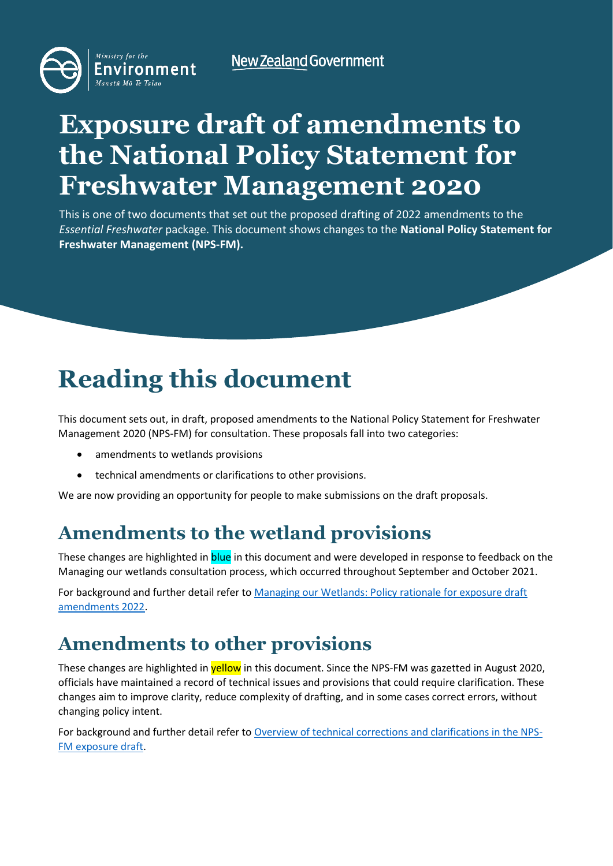**New Zealand Government** 



## **Exposure draft of amendments to the National Policy Statement for Freshwater Management 2020**

This is one of two documents that set out the proposed drafting of 2022 amendments to the *Essential Freshwater* package. This document shows changes to the **National Policy Statement for Freshwater Management (NPS-FM).**

## **Reading this document**

This document sets out, in draft, proposed amendments to the National Policy Statement for Freshwater Management 2020 (NPS-FM) for consultation. These proposals fall into two categories:

- amendments to wetlands provisions
- technical amendments or clarifications to other provisions.

We are now providing an opportunity for people to make submissions on the draft proposals.

## **Amendments to the wetland provisions**

These changes are highlighted in **blue** in this document and were developed in response to feedback on the Managing our wetlands consultation process, which occurred throughout September and October 2021.

For background and further detail refer to Managing our Wetlands: Policy rationale for exposure draft [amendments 2022.](https://environment.govt.nz/publications/managing-our-wetlands-policy-rationale-for-exposure-draft-amendments-2022)

## **Amendments to other provisions**

These changes are highlighted in yellow in this document. Since the NPS-FM was gazetted in August 2020, officials have maintained a record of technical issues and provisions that could require clarification. These changes aim to improve clarity, reduce complexity of drafting, and in some cases correct errors, without changing policy intent.

For background and further detail refer to [Overview of technical corrections and clarifications in the NPS-](https://aus01.safelinks.protection.outlook.com/?url=https%3A%2F%2Fconsult.environment.govt.nz%2F%2B%2Bpreview%2B%2B%2Ffreshwater%2Fwetlands-exposure-draft%2Fuser_uploads%2Foverview-of-technical-corrections-and-clarifications-in-npsfm-exposure-draft.pdf&data=05%7C01%7CCrystal.Wilson%40mfe.govt.nz%7Ce146727f1edb4d6e2ea608da42acedd6%7C761dd003d4ff40498a728549b20fcbb1%7C0%7C0%7C637895607733850057%7CUnknown%7CTWFpbGZsb3d8eyJWIjoiMC4wLjAwMDAiLCJQIjoiV2luMzIiLCJBTiI6Ik1haWwiLCJXVCI6Mn0%3D%7C3000%7C%7C%7C&sdata=%2F4TeVhMRubOAcwyqlj26Trh4zCJyNjjb9EfxOM6tggk%3D&reserved=0)[FM exposure draft.](https://aus01.safelinks.protection.outlook.com/?url=https%3A%2F%2Fconsult.environment.govt.nz%2F%2B%2Bpreview%2B%2B%2Ffreshwater%2Fwetlands-exposure-draft%2Fuser_uploads%2Foverview-of-technical-corrections-and-clarifications-in-npsfm-exposure-draft.pdf&data=05%7C01%7CCrystal.Wilson%40mfe.govt.nz%7Ce146727f1edb4d6e2ea608da42acedd6%7C761dd003d4ff40498a728549b20fcbb1%7C0%7C0%7C637895607733850057%7CUnknown%7CTWFpbGZsb3d8eyJWIjoiMC4wLjAwMDAiLCJQIjoiV2luMzIiLCJBTiI6Ik1haWwiLCJXVCI6Mn0%3D%7C3000%7C%7C%7C&sdata=%2F4TeVhMRubOAcwyqlj26Trh4zCJyNjjb9EfxOM6tggk%3D&reserved=0)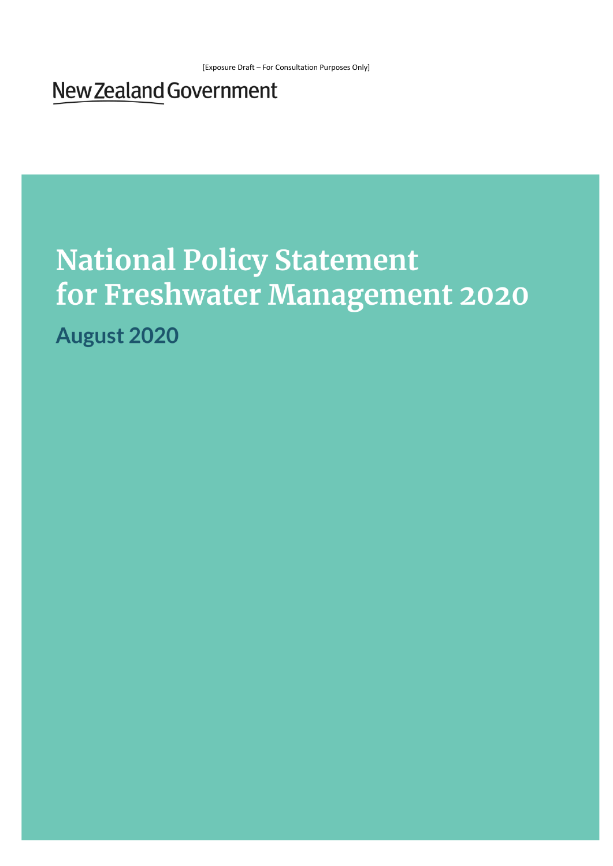## New Zealand Government

# **National Policy Statement** for Freshwater Management 2020 August 2020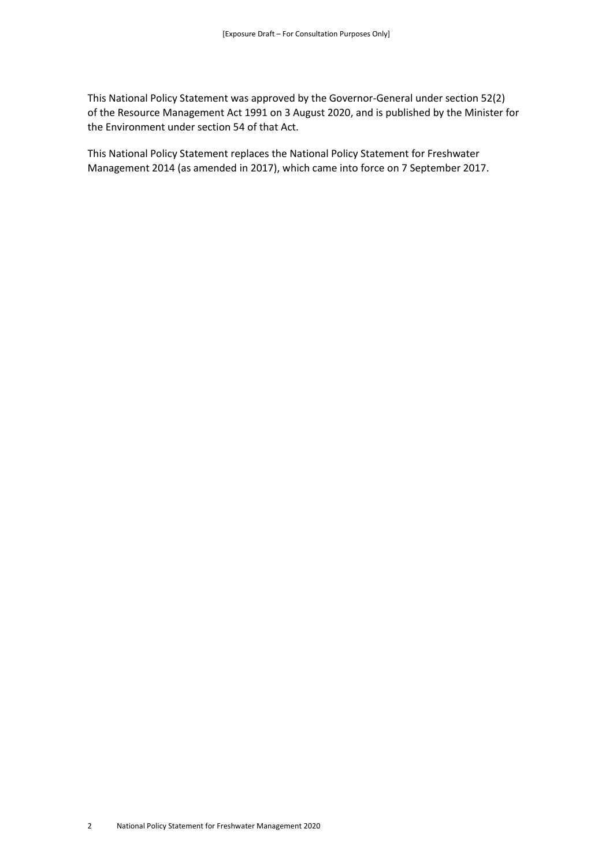This National Policy Statement was approved by the Governor-General under section 52(2) of the Resource Management Act 1991 on 3 August 2020, and is published by the Minister for the Environment under section 54 of that Act.

This National Policy Statement replaces the National Policy Statement for Freshwater Management 2014 (as amended in 2017), which came into force on 7 September 2017.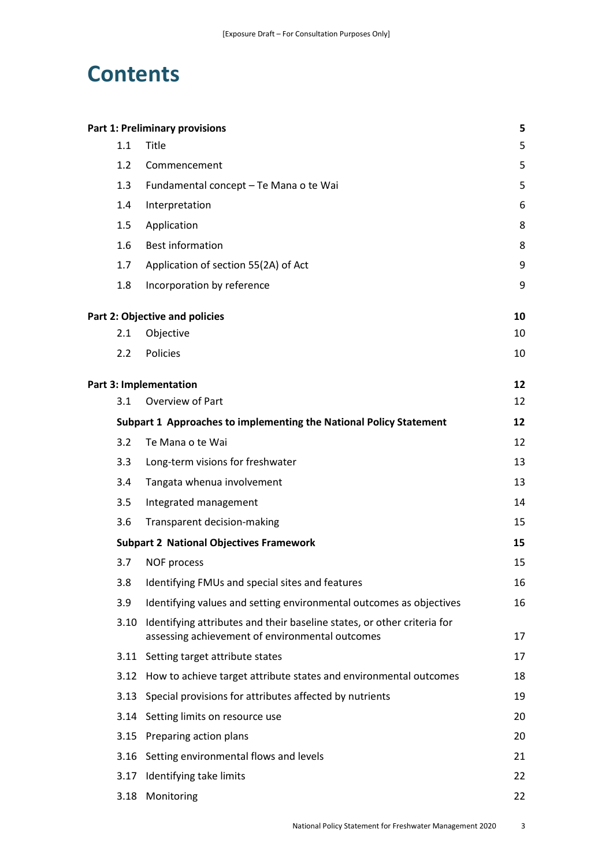## **Contents**

|                                                | Part 1: Preliminary provisions                                                                                             | 5  |  |
|------------------------------------------------|----------------------------------------------------------------------------------------------------------------------------|----|--|
| 1.1                                            | Title                                                                                                                      | 5  |  |
| 1.2                                            | Commencement                                                                                                               | 5  |  |
| 1.3                                            | Fundamental concept - Te Mana o te Wai                                                                                     | 5  |  |
| 1.4                                            | Interpretation                                                                                                             | 6  |  |
| 1.5                                            | Application                                                                                                                | 8  |  |
| 1.6                                            | <b>Best information</b>                                                                                                    | 8  |  |
| 1.7                                            | Application of section 55(2A) of Act                                                                                       | 9  |  |
| 1.8                                            | Incorporation by reference                                                                                                 | 9  |  |
|                                                | Part 2: Objective and policies                                                                                             | 10 |  |
| 2.1                                            | Objective                                                                                                                  | 10 |  |
| 2.2                                            | Policies                                                                                                                   | 10 |  |
|                                                | Part 3: Implementation                                                                                                     | 12 |  |
| 3.1                                            | Overview of Part                                                                                                           | 12 |  |
|                                                | Subpart 1 Approaches to implementing the National Policy Statement                                                         | 12 |  |
| 3.2                                            | Te Mana o te Wai                                                                                                           | 12 |  |
| 3.3                                            | Long-term visions for freshwater                                                                                           | 13 |  |
| 3.4                                            | Tangata whenua involvement                                                                                                 | 13 |  |
| 3.5                                            | Integrated management                                                                                                      | 14 |  |
| 3.6                                            | Transparent decision-making                                                                                                | 15 |  |
| <b>Subpart 2 National Objectives Framework</b> |                                                                                                                            |    |  |
| 3.7                                            | NOF process                                                                                                                | 15 |  |
| 3.8                                            | Identifying FMUs and special sites and features                                                                            | 16 |  |
| 3.9                                            | Identifying values and setting environmental outcomes as objectives                                                        | 16 |  |
| 3.10                                           | Identifying attributes and their baseline states, or other criteria for<br>assessing achievement of environmental outcomes | 17 |  |
| 3.11                                           | Setting target attribute states                                                                                            | 17 |  |
| 3.12                                           | How to achieve target attribute states and environmental outcomes                                                          | 18 |  |
| 3.13                                           | Special provisions for attributes affected by nutrients                                                                    | 19 |  |
| 3.14                                           | Setting limits on resource use                                                                                             | 20 |  |
| 3.15                                           | Preparing action plans                                                                                                     | 20 |  |
| 3.16                                           | Setting environmental flows and levels                                                                                     | 21 |  |
| 3.17                                           | Identifying take limits                                                                                                    | 22 |  |
| 3.18                                           | Monitoring                                                                                                                 | 22 |  |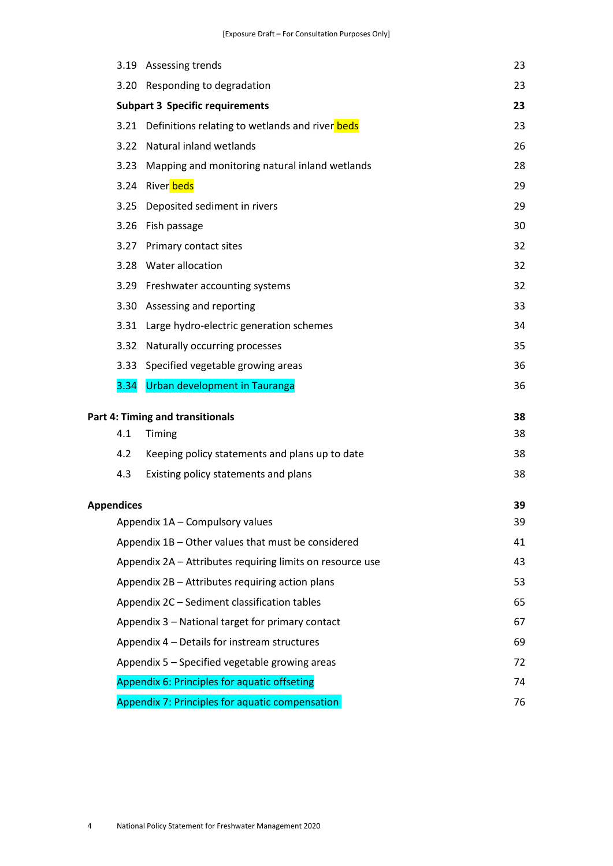|                                                           | 3.19 Assessing trends                                | 23 |  |
|-----------------------------------------------------------|------------------------------------------------------|----|--|
|                                                           | 3.20 Responding to degradation                       | 23 |  |
| <b>Subpart 3 Specific requirements</b>                    |                                                      |    |  |
|                                                           | 3.21 Definitions relating to wetlands and river beds | 23 |  |
| 3.22                                                      | Natural inland wetlands                              | 26 |  |
| 3.23                                                      | Mapping and monitoring natural inland wetlands       | 28 |  |
|                                                           | 3.24 River beds                                      | 29 |  |
| 3.25                                                      | Deposited sediment in rivers                         | 29 |  |
| 3.26                                                      | Fish passage                                         | 30 |  |
| 3.27                                                      | Primary contact sites                                | 32 |  |
|                                                           | 3.28 Water allocation                                | 32 |  |
|                                                           | 3.29 Freshwater accounting systems                   | 32 |  |
| 3.30                                                      | Assessing and reporting                              | 33 |  |
|                                                           | 3.31 Large hydro-electric generation schemes         | 34 |  |
|                                                           | 3.32 Naturally occurring processes                   | 35 |  |
| 3.33                                                      | Specified vegetable growing areas                    | 36 |  |
| 3.34                                                      | Urban development in Tauranga                        | 36 |  |
|                                                           | Part 4: Timing and transitionals                     | 38 |  |
| 4.1                                                       | Timing                                               | 38 |  |
| 4.2                                                       | Keeping policy statements and plans up to date       | 38 |  |
| 4.3                                                       | Existing policy statements and plans                 | 38 |  |
| <b>Appendices</b>                                         |                                                      | 39 |  |
|                                                           | Appendix 1A – Compulsory values                      | 39 |  |
|                                                           | Appendix 1B - Other values that must be considered   | 41 |  |
| Appendix 2A - Attributes requiring limits on resource use | 43                                                   |    |  |
|                                                           | Appendix 2B - Attributes requiring action plans      | 53 |  |
|                                                           | Appendix 2C - Sediment classification tables         |    |  |
|                                                           | Appendix 3 - National target for primary contact     | 67 |  |
| Appendix 4 - Details for instream structures              |                                                      |    |  |
| Appendix 5 - Specified vegetable growing areas            |                                                      |    |  |
| Appendix 6: Principles for aquatic offseting              | 74                                                   |    |  |
| Appendix 7: Principles for aquatic compensation           |                                                      |    |  |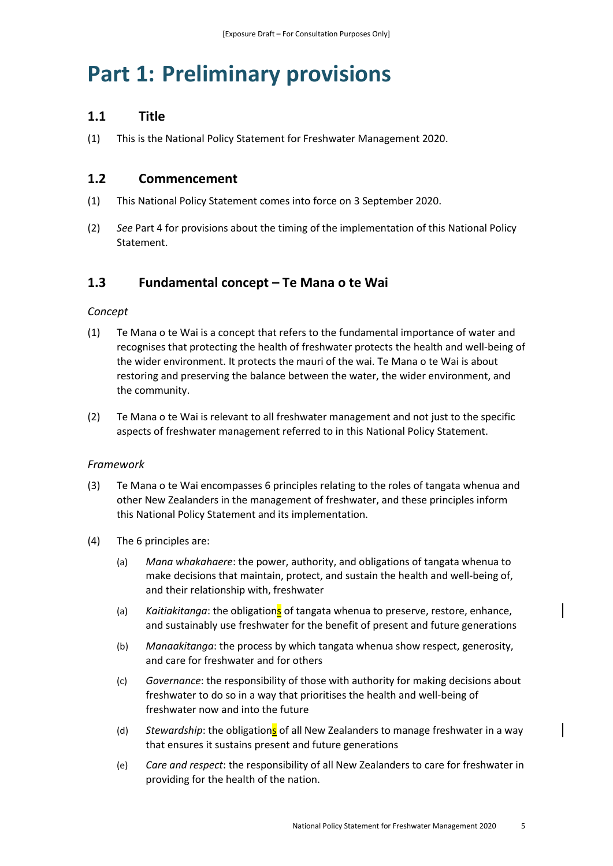## <span id="page-5-0"></span>**Part 1: Preliminary provisions**

## <span id="page-5-1"></span>**1.1 Title**

(1) This is the National Policy Statement for Freshwater Management 2020.

## <span id="page-5-2"></span>**1.2 Commencement**

- (1) This National Policy Statement comes into force on 3 September 2020.
- (2) *See* Part 4 for provisions about the timing of the implementation of this National Policy Statement.

## <span id="page-5-3"></span>**1.3 Fundamental concept – Te Mana o te Wai**

#### *Concept*

- (1) Te Mana o te Wai is a concept that refers to the fundamental importance of water and recognises that protecting the health of freshwater protects the health and well-being of the wider environment. It protects the mauri of the wai. Te Mana o te Wai is about restoring and preserving the balance between the water, the wider environment, and the community.
- (2) Te Mana o te Wai is relevant to all freshwater management and not just to the specific aspects of freshwater management referred to in this National Policy Statement.

#### *Framework*

- (3) Te Mana o te Wai encompasses 6 principles relating to the roles of tangata whenua and other New Zealanders in the management of freshwater, and these principles inform this National Policy Statement and its implementation.
- (4) The 6 principles are:
	- (a) *Mana whakahaere*: the power, authority, and obligations of tangata whenua to make decisions that maintain, protect, and sustain the health and well-being of, and their relationship with, freshwater
	- (a) *Kaitiakitanga*: the obligation**s** of tangata whenua to preserve, restore, enhance, and sustainably use freshwater for the benefit of present and future generations
	- (b) *Manaakitanga*: the process by which tangata whenua show respect, generosity, and care for freshwater and for others
	- (c) *Governance*: the responsibility of those with authority for making decisions about freshwater to do so in a way that prioritises the health and well-being of freshwater now and into the future
	- (d) Stewardship: the obligations of all New Zealanders to manage freshwater in a way that ensures it sustains present and future generations
	- (e) *Care and respect*: the responsibility of all New Zealanders to care for freshwater in providing for the health of the nation.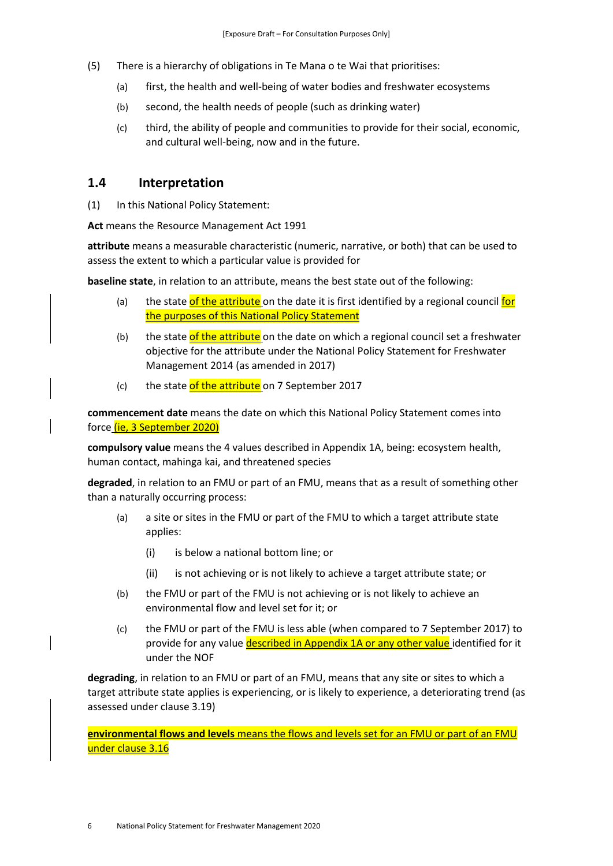- (5) There is a hierarchy of obligations in Te Mana o te Wai that prioritises:
	- (a) first, the health and well-being of water bodies and freshwater ecosystems
	- (b) second, the health needs of people (such as drinking water)
	- (c) third, the ability of people and communities to provide for their social, economic, and cultural well-being, now and in the future.

## <span id="page-6-0"></span>**1.4 Interpretation**

(1) In this National Policy Statement:

**Act** means the Resource Management Act 1991

**attribute** means a measurable characteristic (numeric, narrative, or both) that can be used to assess the extent to which a particular value is provided for

**baseline state**, in relation to an attribute, means the best state out of the following:

- (a) the state of the attribute on the date it is first identified by a regional council for the purposes of this National Policy Statement
- (b) the state of the attribute on the date on which a regional council set a freshwater objective for the attribute under the National Policy Statement for Freshwater Management 2014 (as amended in 2017)
- (c) the state of the attribute on 7 September 2017

**commencement date** means the date on which this National Policy Statement comes into force (ie, 3 September 2020)

**compulsory value** means the 4 values described in Appendix 1A, being: ecosystem health, human contact, mahinga kai, and threatened species

**degraded**, in relation to an FMU or part of an FMU, means that as a result of something other than a naturally occurring process:

- (a) a site or sites in the FMU or part of the FMU to which a target attribute state applies:
	- (i) is below a national bottom line; or
	- (ii) is not achieving or is not likely to achieve a target attribute state; or
- (b) the FMU or part of the FMU is not achieving or is not likely to achieve an environmental flow and level set for it; or
- (c) the FMU or part of the FMU is less able (when compared to 7 September 2017) to provide for any value described in Appendix 1A or any other value identified for it under the NOF

**degrading**, in relation to an FMU or part of an FMU, means that any site or sites to which a target attribute state applies is experiencing, or is likely to experience, a deteriorating trend (as assessed under clause 3.19)

**environmental flows and levels** means the flows and levels set for an FMU or part of an FMU under clause 3.16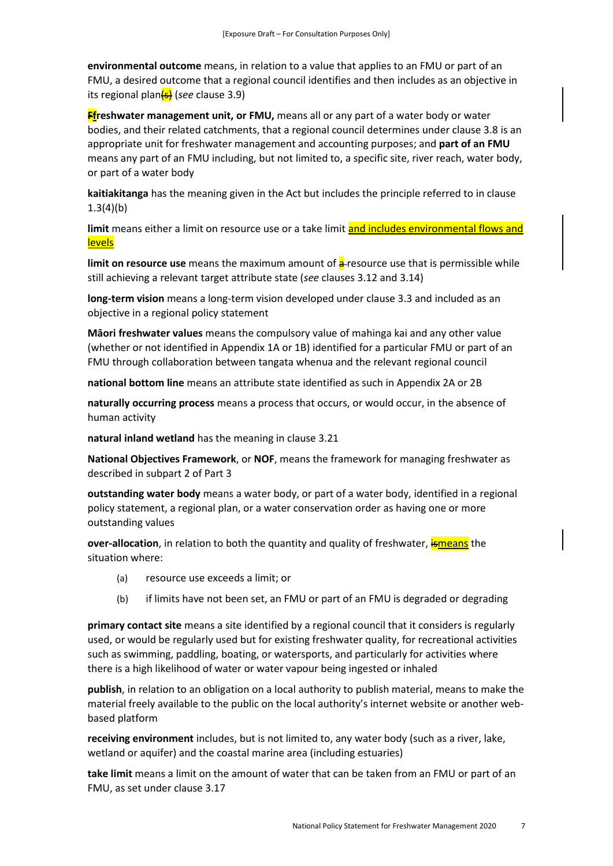**environmental outcome** means, in relation to a value that applies to an FMU or part of an FMU, a desired outcome that a regional council identifies and then includes as an objective in its regional plan<sub>(s)</sub> (*see* clause 3.9)

**Ffreshwater management unit, or FMU,** means all or any part of a water body or water bodies, and their related catchments, that a regional council determines under clause 3.8 is an appropriate unit for freshwater management and accounting purposes; and **part of an FMU** means any part of an FMU including, but not limited to, a specific site, river reach, water body, or part of a water body

**kaitiakitanga** has the meaning given in the Act but includes the principle referred to in clause  $1.3(4)(b)$ 

limit means either a limit on resource use or a take limit and includes environmental flows and levels

**limit on resource use** means the maximum amount of  $\frac{1}{2}$  resource use that is permissible while still achieving a relevant target attribute state (*see* clauses 3.12 and 3.14)

**long-term vision** means a long-term vision developed under clause 3.3 and included as an objective in a regional policy statement

**Māori freshwater values** means the compulsory value of mahinga kai and any other value (whether or not identified in Appendix 1A or 1B) identified for a particular FMU or part of an FMU through collaboration between tangata whenua and the relevant regional council

**national bottom line** means an attribute state identified as such in Appendix 2A or 2B

**naturally occurring process** means a process that occurs, or would occur, in the absence of human activity

**natural inland wetland** has the meaning in clause 3.21

**National Objectives Framework**, or **NOF**, means the framework for managing freshwater as described in subpart 2 of Part 3

**outstanding water body** means a water body, or part of a water body, identified in a regional policy statement, a regional plan, or a water conservation order as having one or more outstanding values

**over-allocation**, in relation to both the quantity and quality of freshwater, **ismeans** the situation where:

- (a) resource use exceeds a limit; or
- (b) if limits have not been set, an FMU or part of an FMU is degraded or degrading

**primary contact site** means a site identified by a regional council that it considers is regularly used, or would be regularly used but for existing freshwater quality, for recreational activities such as swimming, paddling, boating, or watersports, and particularly for activities where there is a high likelihood of water or water vapour being ingested or inhaled

**publish**, in relation to an obligation on a local authority to publish material, means to make the material freely available to the public on the local authority's internet website or another webbased platform

**receiving environment** includes, but is not limited to, any water body (such as a river, lake, wetland or aquifer) and the coastal marine area (including estuaries)

**take limit** means a limit on the amount of water that can be taken from an FMU or part of an FMU, as set under clause 3.17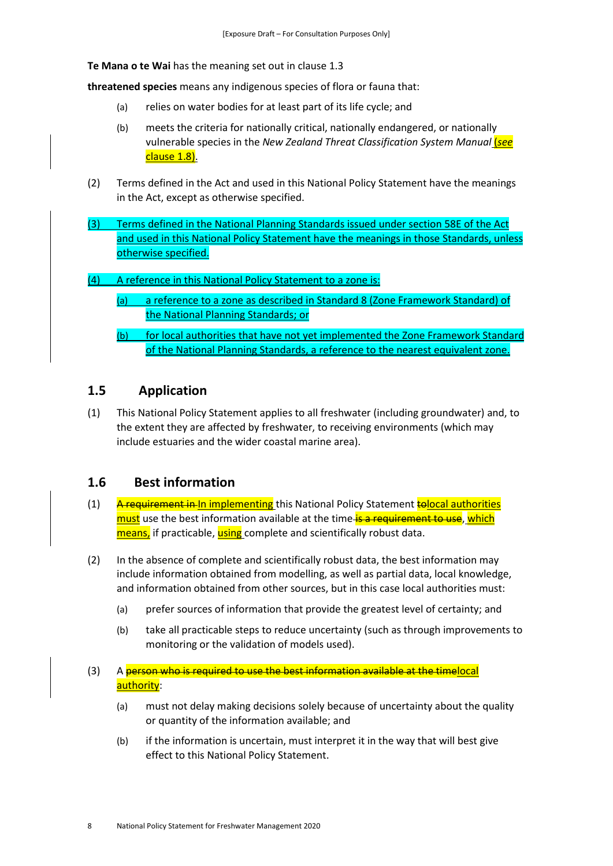**Te Mana o te Wai** has the meaning set out in clause 1.3

**threatened species** means any indigenous species of flora or fauna that:

- (a) relies on water bodies for at least part of its life cycle; and
- (b) meets the criteria for nationally critical, nationally endangered, or nationally vulnerable species in the *New Zealand Threat Classification System Manual* (*see* clause 1.8).
- (2) Terms defined in the Act and used in this National Policy Statement have the meanings in the Act, except as otherwise specified.
- (3) Terms defined in the National Planning Standards issued under section 58E of the Act and used in this National Policy Statement have the meanings in those Standards, unless otherwise specified.
- (4) A reference in this National Policy Statement to a zone is:
	- (a) a reference to a zone as described in Standard 8 (Zone Framework Standard) of the National Planning Standards; or
	- (b) for local authorities that have not yet implemented the Zone Framework Standard of the National Planning Standards, a reference to the nearest equivalent zone.

## <span id="page-8-0"></span>**1.5 Application**

(1) This National Policy Statement applies to all freshwater (including groundwater) and, to the extent they are affected by freshwater, to receiving environments (which may include estuaries and the wider coastal marine area).

## <span id="page-8-1"></span>**1.6 Best information**

- (1) A requirement in In implementing this National Policy Statement **tolocal authorities** must use the best information available at the time-is a requirement to use, which means, if practicable, using complete and scientifically robust data.
- (2) In the absence of complete and scientifically robust data, the best information may include information obtained from modelling, as well as partial data, local knowledge, and information obtained from other sources, but in this case local authorities must:
	- (a) prefer sources of information that provide the greatest level of certainty; and
	- (b) take all practicable steps to reduce uncertainty (such as through improvements to monitoring or the validation of models used).
- (3) A person who is required to use the best information available at the timelocal authority:
	- (a) must not delay making decisions solely because of uncertainty about the quality or quantity of the information available; and
	- (b) if the information is uncertain, must interpret it in the way that will best give effect to this National Policy Statement.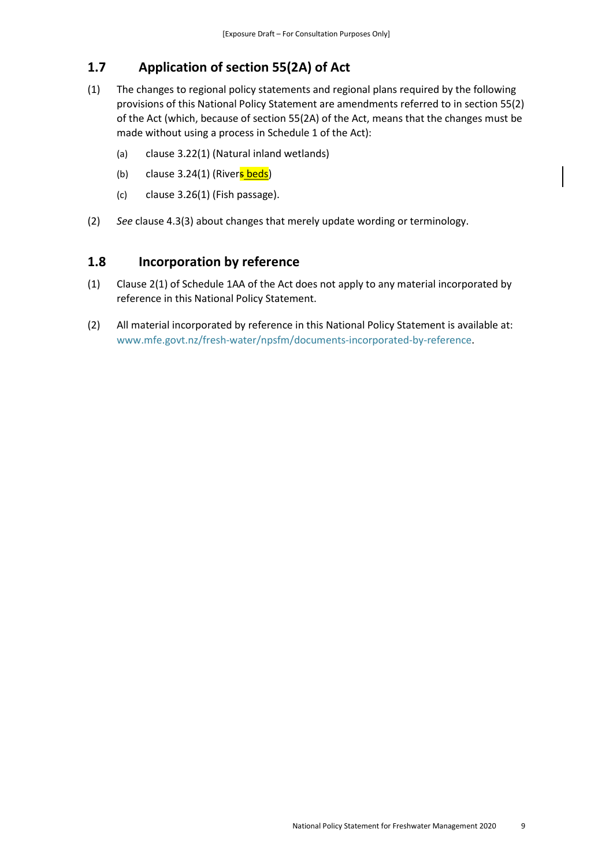## <span id="page-9-0"></span>**1.7 Application of section 55(2A) of Act**

- (1) The changes to regional policy statements and regional plans required by the following provisions of this National Policy Statement are amendments referred to in section 55(2) of the Act (which, because of section 55(2A) of the Act, means that the changes must be made without using a process in Schedule 1 of the Act):
	- (a) clause 3.22(1) (Natural inland wetlands)
	- (b) clause 3.24(1) (River**s** beds)
	- (c) clause 3.26(1) (Fish passage).
- <span id="page-9-1"></span>(2) *See* clause 4.3(3) about changes that merely update wording or terminology.

## **1.8 Incorporation by reference**

- (1) Clause 2(1) of Schedule 1AA of the Act does not apply to any material incorporated by reference in this National Policy Statement.
- (2) All material incorporated by reference in this National Policy Statement is available at: [www.mfe.govt.nz/fresh-water/npsfm/documents-incorporated-by-reference.](http://www.mfe.govt.nz/fresh-water/npsfm/documents-incorporated-by-reference)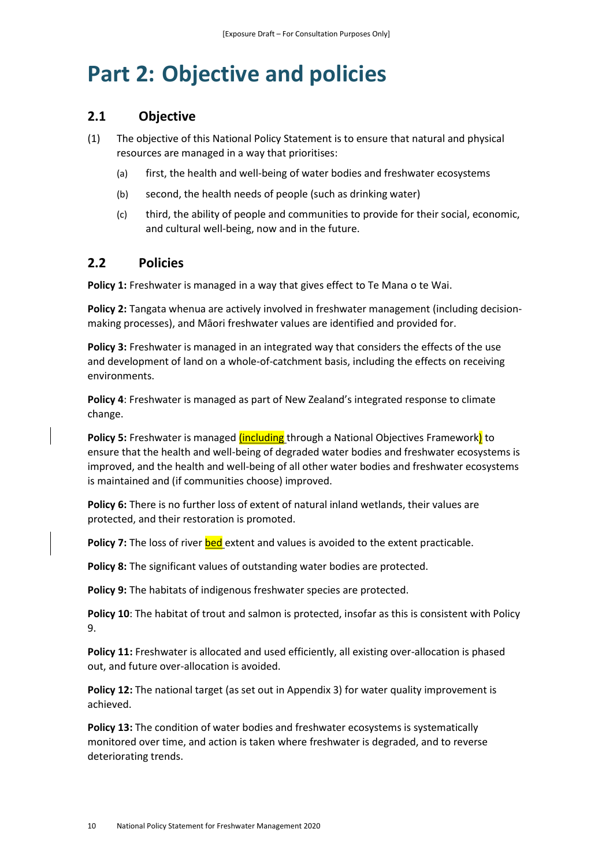## <span id="page-10-0"></span>**Part 2: Objective and policies**

## <span id="page-10-1"></span>**2.1 Objective**

- (1) The objective of this National Policy Statement is to ensure that natural and physical resources are managed in a way that prioritises:
	- (a) first, the health and well-being of water bodies and freshwater ecosystems
	- (b) second, the health needs of people (such as drinking water)
	- (c) third, the ability of people and communities to provide for their social, economic, and cultural well-being, now and in the future.

## <span id="page-10-2"></span>**2.2 Policies**

Policy 1: Freshwater is managed in a way that gives effect to Te Mana o te Wai.

**Policy 2:** Tangata whenua are actively involved in freshwater management (including decisionmaking processes), and Māori freshwater values are identified and provided for.

**Policy 3:** Freshwater is managed in an integrated way that considers the effects of the use and development of land on a whole-of-catchment basis, including the effects on receiving environments.

**Policy 4**: Freshwater is managed as part of New Zealand's integrated response to climate change.

**Policy 5:** Freshwater is managed *(including* through a National Objectives Framework) to ensure that the health and well-being of degraded water bodies and freshwater ecosystems is improved, and the health and well-being of all other water bodies and freshwater ecosystems is maintained and (if communities choose) improved.

**Policy 6:** There is no further loss of extent of natural inland wetlands, their values are protected, and their restoration is promoted.

**Policy 7:** The loss of river **bed** extent and values is avoided to the extent practicable.

**Policy 8:** The significant values of outstanding water bodies are protected.

**Policy 9:** The habitats of indigenous freshwater species are protected.

**Policy 10**: The habitat of trout and salmon is protected, insofar as this is consistent with Policy 9.

**Policy 11:** Freshwater is allocated and used efficiently, all existing over-allocation is phased out, and future over-allocation is avoided.

**Policy 12:** The national target (as set out in Appendix 3) for water quality improvement is achieved.

**Policy 13:** The condition of water bodies and freshwater ecosystems is systematically monitored over time, and action is taken where freshwater is degraded, and to reverse deteriorating trends.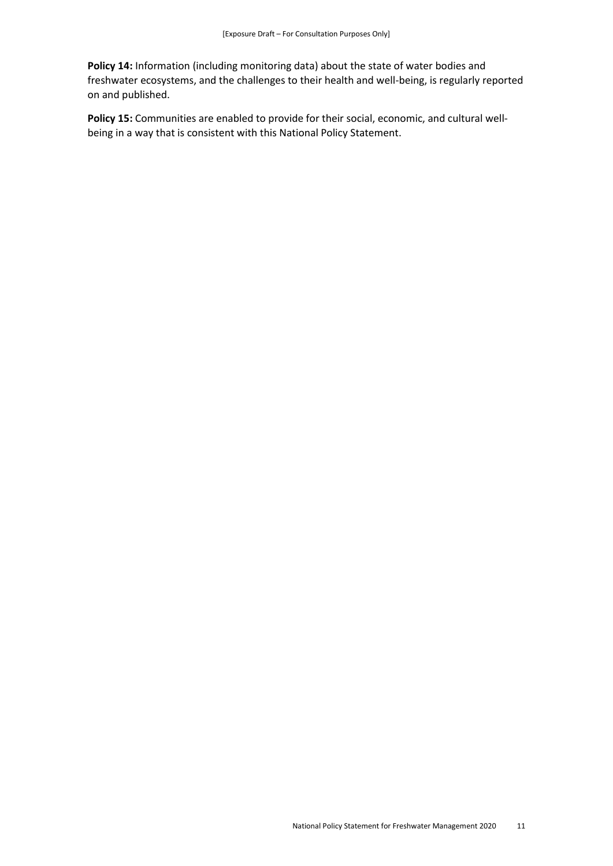**Policy 14:** Information (including monitoring data) about the state of water bodies and freshwater ecosystems, and the challenges to their health and well-being, is regularly reported on and published.

**Policy 15:** Communities are enabled to provide for their social, economic, and cultural wellbeing in a way that is consistent with this National Policy Statement.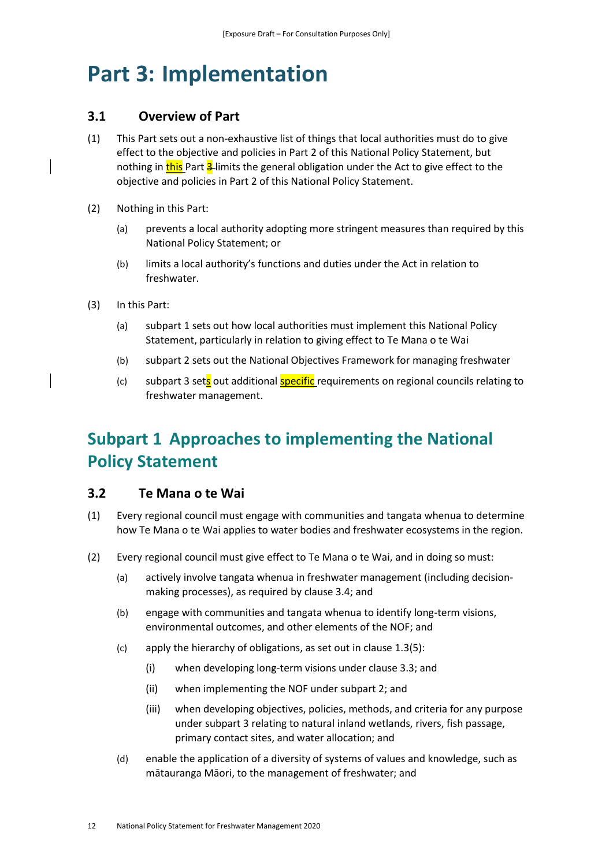## <span id="page-12-0"></span>**Part 3: Implementation**

## <span id="page-12-1"></span>**3.1 Overview of Part**

- (1) This Part sets out a non-exhaustive list of things that local authorities must do to give effect to the objective and policies in Part 2 of this National Policy Statement, but nothing in this Part 3 limits the general obligation under the Act to give effect to the objective and policies in Part 2 of this National Policy Statement.
- (2) Nothing in this Part:
	- (a) prevents a local authority adopting more stringent measures than required by this National Policy Statement; or
	- (b) limits a local authority's functions and duties under the Act in relation to freshwater.
- (3) In this Part:
	- (a) subpart 1 sets out how local authorities must implement this National Policy Statement, particularly in relation to giving effect to Te Mana o te Wai
	- (b) subpart 2 sets out the National Objectives Framework for managing freshwater
	- (c) subpart 3 sets out additional **specific** requirements on regional councils relating to freshwater management.

## <span id="page-12-2"></span>**Subpart 1 Approaches to implementing the National Policy Statement**

### <span id="page-12-3"></span>**3.2 Te Mana o te Wai**

- (1) Every regional council must engage with communities and tangata whenua to determine how Te Mana o te Wai applies to water bodies and freshwater ecosystems in the region.
- (2) Every regional council must give effect to Te Mana o te Wai, and in doing so must:
	- (a) actively involve tangata whenua in freshwater management (including decisionmaking processes), as required by clause 3.4; and
	- (b) engage with communities and tangata whenua to identify long-term visions, environmental outcomes, and other elements of the NOF; and
	- (c) apply the hierarchy of obligations, as set out in clause 1.3(5):
		- (i) when developing long-term visions under clause 3.3; and
		- (ii) when implementing the NOF under subpart 2; and
		- (iii) when developing objectives, policies, methods, and criteria for any purpose under subpart 3 relating to natural inland wetlands, rivers, fish passage, primary contact sites, and water allocation; and
	- (d) enable the application of a diversity of systems of values and knowledge, such as mātauranga Māori, to the management of freshwater; and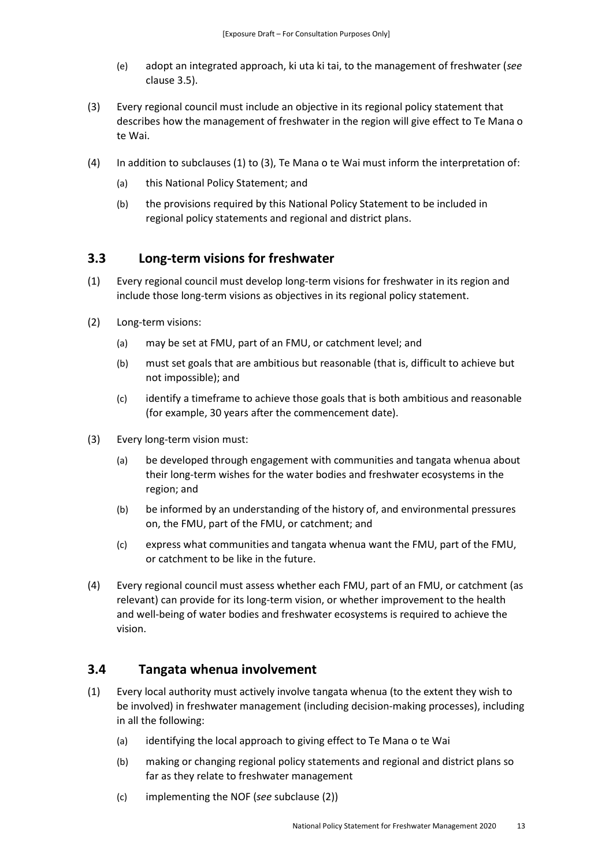- (e) adopt an integrated approach, ki uta ki tai, to the management of freshwater (*see* clause 3.5).
- (3) Every regional council must include an objective in its regional policy statement that describes how the management of freshwater in the region will give effect to Te Mana o te Wai.
- (4) In addition to subclauses (1) to (3), Te Mana o te Wai must inform the interpretation of:
	- (a) this National Policy Statement; and
	- (b) the provisions required by this National Policy Statement to be included in regional policy statements and regional and district plans.

## <span id="page-13-0"></span>**3.3 Long-term visions for freshwater**

- (1) Every regional council must develop long-term visions for freshwater in its region and include those long-term visions as objectives in its regional policy statement.
- (2) Long-term visions:
	- (a) may be set at FMU, part of an FMU, or catchment level; and
	- (b) must set goals that are ambitious but reasonable (that is, difficult to achieve but not impossible); and
	- (c) identify a timeframe to achieve those goals that is both ambitious and reasonable (for example, 30 years after the commencement date).
- (3) Every long-term vision must:
	- (a) be developed through engagement with communities and tangata whenua about their long-term wishes for the water bodies and freshwater ecosystems in the region; and
	- (b) be informed by an understanding of the history of, and environmental pressures on, the FMU, part of the FMU, or catchment; and
	- (c) express what communities and tangata whenua want the FMU, part of the FMU, or catchment to be like in the future.
- (4) Every regional council must assess whether each FMU, part of an FMU, or catchment (as relevant) can provide for its long-term vision, or whether improvement to the health and well-being of water bodies and freshwater ecosystems is required to achieve the vision.

## <span id="page-13-1"></span>**3.4 Tangata whenua involvement**

- (1) Every local authority must actively involve tangata whenua (to the extent they wish to be involved) in freshwater management (including decision-making processes), including in all the following:
	- (a) identifying the local approach to giving effect to Te Mana o te Wai
	- (b) making or changing regional policy statements and regional and district plans so far as they relate to freshwater management
	- (c) implementing the NOF (*see* subclause (2))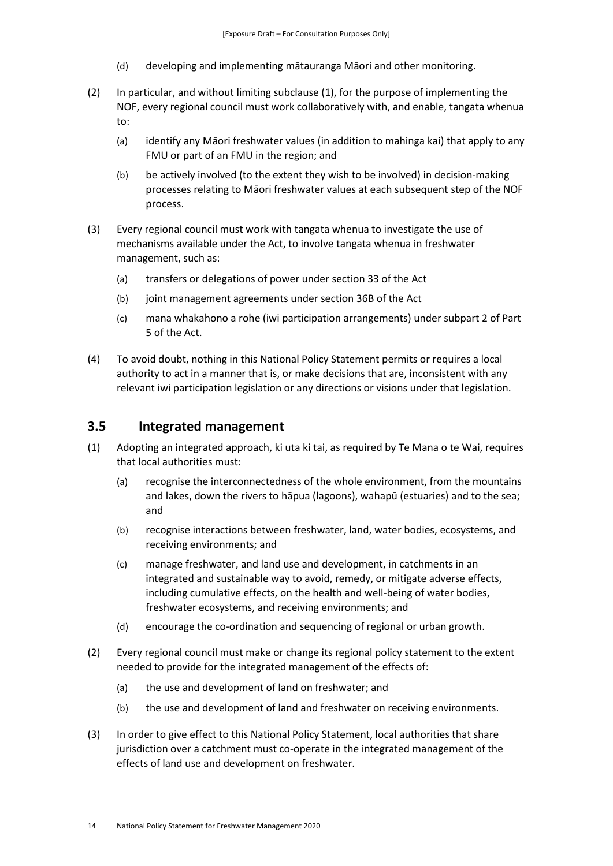- (d) developing and implementing mātauranga Māori and other monitoring.
- (2) In particular, and without limiting subclause (1), for the purpose of implementing the NOF, every regional council must work collaboratively with, and enable, tangata whenua to:
	- (a) identify any Māori freshwater values (in addition to mahinga kai) that apply to any FMU or part of an FMU in the region; and
	- (b) be actively involved (to the extent they wish to be involved) in decision-making processes relating to Māori freshwater values at each subsequent step of the NOF process.
- (3) Every regional council must work with tangata whenua to investigate the use of mechanisms available under the Act, to involve tangata whenua in freshwater management, such as:
	- (a) transfers or delegations of power under section 33 of the Act
	- (b) joint management agreements under section 36B of the Act
	- (c) mana whakahono a rohe (iwi participation arrangements) under subpart 2 of Part 5 of the Act.
- (4) To avoid doubt, nothing in this National Policy Statement permits or requires a local authority to act in a manner that is, or make decisions that are, inconsistent with any relevant iwi participation legislation or any directions or visions under that legislation.

## <span id="page-14-0"></span>**3.5 Integrated management**

- (1) Adopting an integrated approach, ki uta ki tai, as required by Te Mana o te Wai, requires that local authorities must:
	- (a) recognise the interconnectedness of the whole environment, from the mountains and lakes, down the rivers to hāpua (lagoons), wahapū (estuaries) and to the sea; and
	- (b) recognise interactions between freshwater, land, water bodies, ecosystems, and receiving environments; and
	- (c) manage freshwater, and land use and development, in catchments in an integrated and sustainable way to avoid, remedy, or mitigate adverse effects, including cumulative effects, on the health and well-being of water bodies, freshwater ecosystems, and receiving environments; and
	- (d) encourage the co-ordination and sequencing of regional or urban growth.
- (2) Every regional council must make or change its regional policy statement to the extent needed to provide for the integrated management of the effects of:
	- (a) the use and development of land on freshwater; and
	- (b) the use and development of land and freshwater on receiving environments.
- (3) In order to give effect to this National Policy Statement, local authorities that share jurisdiction over a catchment must co-operate in the integrated management of the effects of land use and development on freshwater.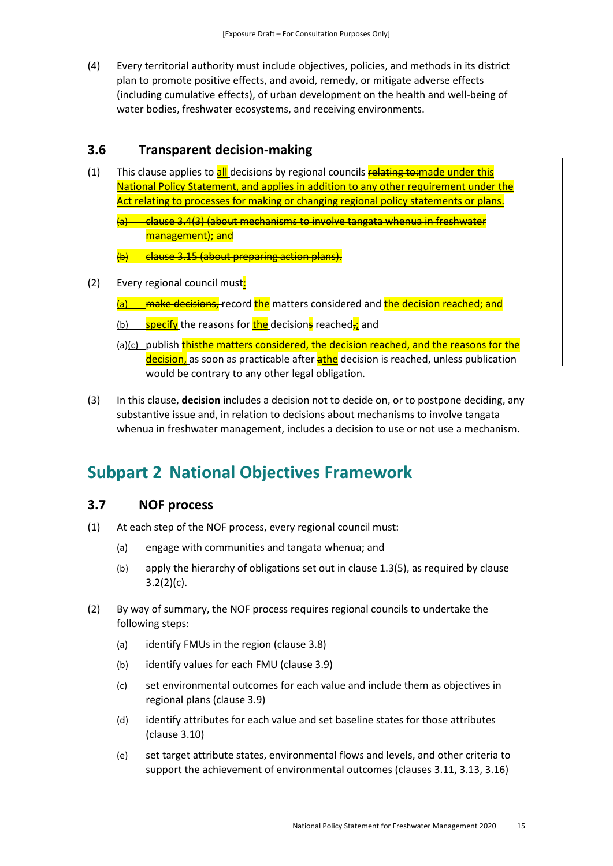(4) Every territorial authority must include objectives, policies, and methods in its district plan to promote positive effects, and avoid, remedy, or mitigate adverse effects (including cumulative effects), of urban development on the health and well-being of water bodies, freshwater ecosystems, and receiving environments.

## <span id="page-15-0"></span>**3.6 Transparent decision-making**

(1) This clause applies to **all** decisions by regional councils relating to:made under this National Policy Statement, and applies in addition to any other requirement under the Act relating to processes for making or changing regional policy statements or plans.

(a) clause 3.4(3) (about mechanisms to involve tangata whenua in freshwater management); and

(b) clause 3.15 (about preparing action plans).

- (2) Every regional council must:
	- (a) make decisions, record the matters considered and the decision reached; and
	- (b) specify the reasons for the decisions reached<sub>;</sub> and
	- $\left\{a\right\}(c)$  publish thisthe matters considered, the decision reached, and the reasons for the decision, as soon as practicable after athe decision is reached, unless publication would be contrary to any other legal obligation.
- (3) In this clause, **decision** includes a decision not to decide on, or to postpone deciding, any substantive issue and, in relation to decisions about mechanisms to involve tangata whenua in freshwater management, includes a decision to use or not use a mechanism.

## <span id="page-15-1"></span>**Subpart 2 National Objectives Framework**

### <span id="page-15-2"></span>**3.7 NOF process**

- (1) At each step of the NOF process, every regional council must:
	- (a) engage with communities and tangata whenua; and
	- (b) apply the hierarchy of obligations set out in clause 1.3(5), as required by clause  $3.2(2)(c)$ .
- (2) By way of summary, the NOF process requires regional councils to undertake the following steps:
	- (a) identify FMUs in the region (clause 3.8)
	- (b) identify values for each FMU (clause 3.9)
	- (c) set environmental outcomes for each value and include them as objectives in regional plans (clause 3.9)
	- (d) identify attributes for each value and set baseline states for those attributes (clause 3.10)
	- (e) set target attribute states, environmental flows and levels, and other criteria to support the achievement of environmental outcomes (clauses 3.11, 3.13, 3.16)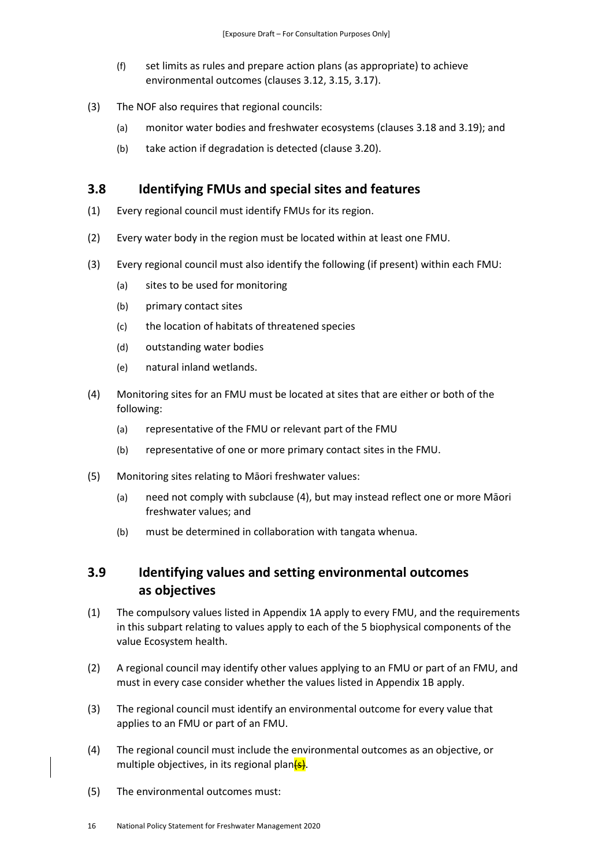- (f) set limits as rules and prepare action plans (as appropriate) to achieve environmental outcomes (clauses 3.12, 3.15, 3.17).
- (3) The NOF also requires that regional councils:
	- (a) monitor water bodies and freshwater ecosystems (clauses 3.18 and 3.19); and
	- (b) take action if degradation is detected (clause 3.20).

## <span id="page-16-0"></span>**3.8 Identifying FMUs and special sites and features**

- (1) Every regional council must identify FMUs for its region.
- (2) Every water body in the region must be located within at least one FMU.
- (3) Every regional council must also identify the following (if present) within each FMU:
	- (a) sites to be used for monitoring
	- (b) primary contact sites
	- (c) the location of habitats of threatened species
	- (d) outstanding water bodies
	- (e) natural inland wetlands.
- (4) Monitoring sites for an FMU must be located at sites that are either or both of the following:
	- (a) representative of the FMU or relevant part of the FMU
	- (b) representative of one or more primary contact sites in the FMU.
- (5) Monitoring sites relating to Māori freshwater values:
	- (a) need not comply with subclause (4), but may instead reflect one or more Māori freshwater values; and
	- (b) must be determined in collaboration with tangata whenua.

## <span id="page-16-1"></span>**3.9 Identifying values and setting environmental outcomes as objectives**

- (1) The compulsory values listed in Appendix 1A apply to every FMU, and the requirements in this subpart relating to values apply to each of the 5 biophysical components of the value Ecosystem health.
- (2) A regional council may identify other values applying to an FMU or part of an FMU, and must in every case consider whether the values listed in Appendix 1B apply.
- (3) The regional council must identify an environmental outcome for every value that applies to an FMU or part of an FMU.
- (4) The regional council must include the environmental outcomes as an objective, or multiple objectives, in its regional plan $\frac{1}{5}$ .
- (5) The environmental outcomes must: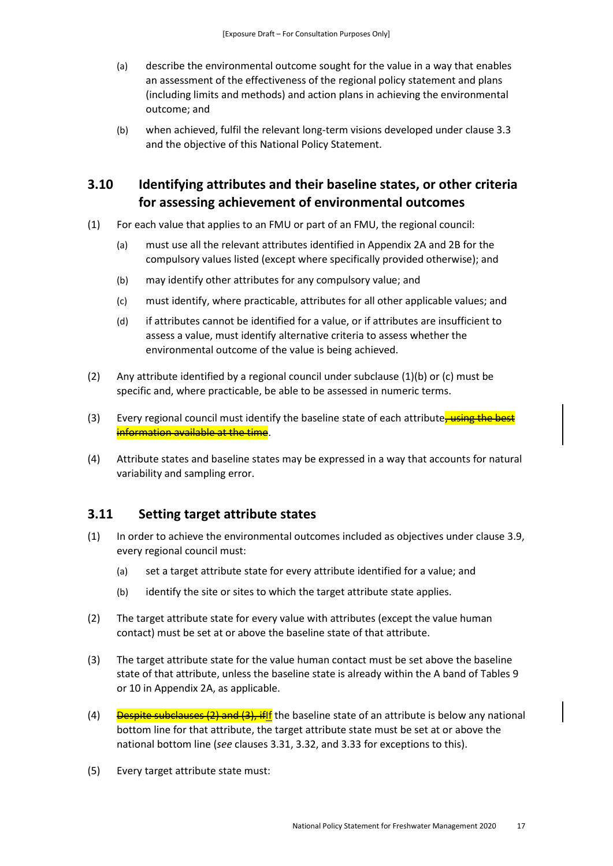- (a) describe the environmental outcome sought for the value in a way that enables an assessment of the effectiveness of the regional policy statement and plans (including limits and methods) and action plans in achieving the environmental outcome; and
- (b) when achieved, fulfil the relevant long-term visions developed under clause 3.3 and the objective of this National Policy Statement.

## <span id="page-17-0"></span>**3.10 Identifying attributes and their baseline states, or other criteria for assessing achievement of environmental outcomes**

- (1) For each value that applies to an FMU or part of an FMU, the regional council:
	- (a) must use all the relevant attributes identified in Appendix 2A and 2B for the compulsory values listed (except where specifically provided otherwise); and
	- (b) may identify other attributes for any compulsory value; and
	- (c) must identify, where practicable, attributes for all other applicable values; and
	- (d) if attributes cannot be identified for a value, or if attributes are insufficient to assess a value, must identify alternative criteria to assess whether the environmental outcome of the value is being achieved.
- (2) Any attribute identified by a regional council under subclause (1)(b) or (c) must be specific and, where practicable, be able to be assessed in numeric terms.
- (3) Every regional council must identify the baseline state of each attribute, using the best information available at the time.
- (4) Attribute states and baseline states may be expressed in a way that accounts for natural variability and sampling error.

## <span id="page-17-1"></span>**3.11 Setting target attribute states**

- (1) In order to achieve the environmental outcomes included as objectives under clause 3.9, every regional council must:
	- (a) set a target attribute state for every attribute identified for a value; and
	- (b) identify the site or sites to which the target attribute state applies.
- (2) The target attribute state for every value with attributes (except the value human contact) must be set at or above the baseline state of that attribute.
- (3) The target attribute state for the value human contact must be set above the baseline state of that attribute, unless the baseline state is already within the A band of Tables 9 or 10 in Appendix 2A, as applicable.
- (4) **Despite subclauses (2) and (3), if** If the baseline state of an attribute is below any national bottom line for that attribute, the target attribute state must be set at or above the national bottom line (*see* clauses 3.31, 3.32, and 3.33 for exceptions to this).
- (5) Every target attribute state must: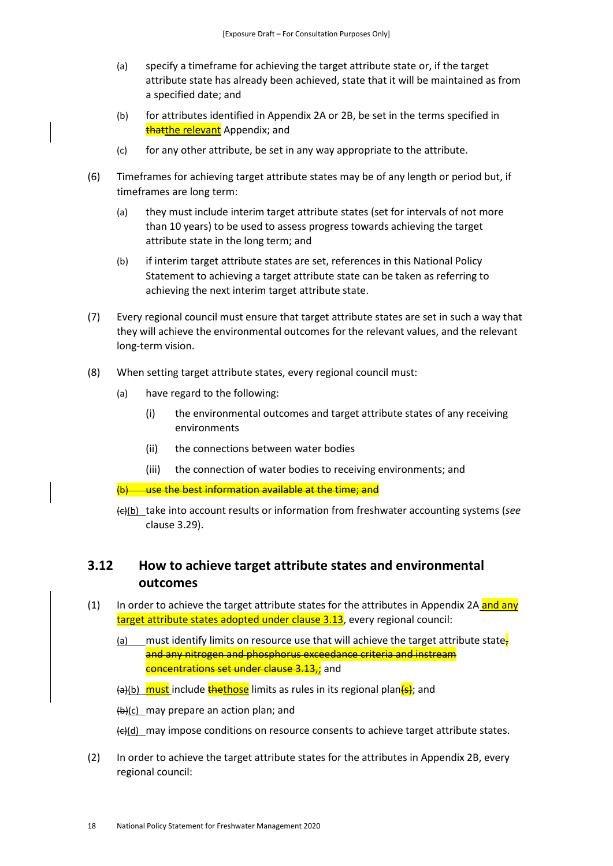- (a) specify a timeframe for achieving the target attribute state or, if the target attribute state has already been achieved, state that it will be maintained as from a specified date; and
- (b) for attributes identified in Appendix 2A or 2B, be set in the terms specified in thatthe relevant Appendix; and
- (c) for any other attribute, be set in any way appropriate to the attribute.
- (6) Timeframes for achieving target attribute states may be of any length or period but, if timeframes are long term:
	- (a) they must include interim target attribute states (set for intervals of not more than 10 years) to be used to assess progress towards achieving the target attribute state in the long term; and
	- (b) if interim target attribute states are set, references in this National Policy Statement to achieving a target attribute state can be taken as referring to achieving the next interim target attribute state.
- (7) Every regional council must ensure that target attribute states are set in such a way that they will achieve the environmental outcomes for the relevant values, and the relevant long-term vision.
- (8) When setting target attribute states, every regional council must:
	- (a) have regard to the following:
		- (i) the environmental outcomes and target attribute states of any receiving environments
		- (ii) the connections between water bodies
		- (iii) the connection of water bodies to receiving environments; and

 $(b)$  use the best information available at the time; and

(c)(b) take into account results or information from freshwater accounting systems (*see* clause 3.29).

## <span id="page-18-0"></span>**3.12 How to achieve target attribute states and environmental outcomes**

- (1) In order to achieve the target attribute states for the attributes in Appendix 2A and any target attribute states adopted under clause 3.13, every regional council:
	- (a) must identify limits on resource use that will achieve the target attribute state, and any nitrogen and phosphorus exceedance criteria and instream concentrations set under clause 3.13,; and
	- (a)(b) must include thethose limits as rules in its regional plan(s); and

(b)(c) may prepare an action plan; and

 $\left(\frac{c}{d}\right)$  may impose conditions on resource consents to achieve target attribute states.

(2) In order to achieve the target attribute states for the attributes in Appendix 2B, every regional council: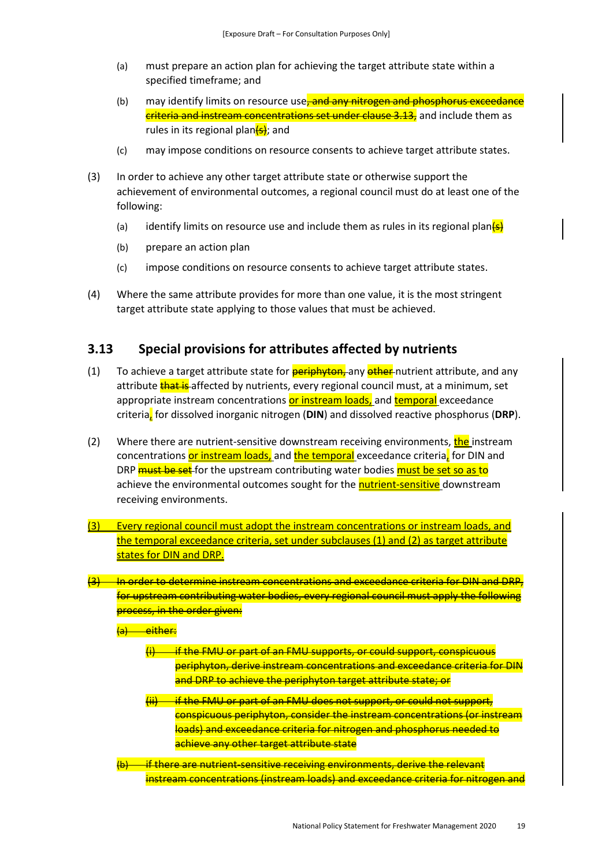- (a) must prepare an action plan for achieving the target attribute state within a specified timeframe; and
- (b) may identify limits on resource use<del>, and any nitrogen and phosphorus exceedance</del> criteria and instream concentrations set under clause 3.13, and include them as rules in its regional plan(s); and
- (c) may impose conditions on resource consents to achieve target attribute states.
- (3) In order to achieve any other target attribute state or otherwise support the achievement of environmental outcomes, a regional council must do at least one of the following:
	- (a) identify limits on resource use and include them as rules in its regional plan $\left\{ \Theta \right\}$
	- (b) prepare an action plan
	- (c) impose conditions on resource consents to achieve target attribute states.
- (4) Where the same attribute provides for more than one value, it is the most stringent target attribute state applying to those values that must be achieved.

## <span id="page-19-0"></span>**3.13 Special provisions for attributes affected by nutrients**

- $(1)$  To achieve a target attribute state for **periphyton,** any **ether** nutrient attribute, and any attribute that is affected by nutrients, every regional council must, at a minimum, set appropriate instream concentrations or instream loads, and temporal exceedance criteria, for dissolved inorganic nitrogen (**DIN**) and dissolved reactive phosphorus (**DRP**).
- (2) Where there are nutrient-sensitive downstream receiving environments, the instream concentrations or instream loads, and the temporal exceedance criteria, for DIN and DRP **must be set** for the upstream contributing water bodies must be set so as to achieve the environmental outcomes sought for the nutrient-sensitive downstream receiving environments.
- (3) Every regional council must adopt the instream concentrations or instream loads, and the temporal exceedance criteria, set under subclauses (1) and (2) as target attribute states for DIN and DRP.
- $-$  In order to determine instream concentrations and exceedance criteria for DIN and DRP, for upstream contributing water bodies, every regional council must apply the following process, in the order given:

(a) either:

- if the FMU or part of an FMU supports, or could support, conspicuous periphyton, derive instream concentrations and exceedance criteria for DIN and DRP to achieve the periphyton target attribute state; or
- if the FMU or part of an FMU does not support, or could not support, conspicuous periphyton, consider the instream concentrations (or instream loads) and exceedance criteria for nitrogen and phosphorus needed to achieve any other target attribute state
- if there are nutrient-sensitive receiving environments, derive the relevant instream concentrations (instream loads) and exceedance criteria for nitrogen and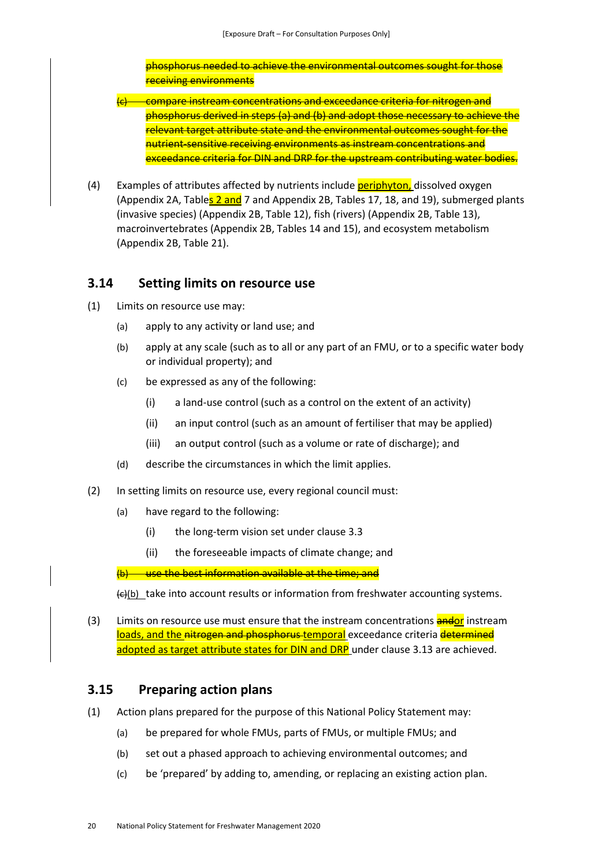phosphorus needed to achieve the environmental outcomes sought for those receiving environments

- (c) compare instream concentrations and exceedance criteria for nitrogen and phosphorus derived in steps (a) and (b) and adopt those necessary to achieve the relevant target attribute state and the environmental outcomes sought for the nutrient-sensitive receiving environments as instream concentrations and exceedance criteria for DIN and DRP for the upstream contributing water bodies.
- (4) Examples of attributes affected by nutrients include **periphyton**, dissolved oxygen (Appendix 2A, Tables 2 and 7 and Appendix 2B, Tables 17, 18, and 19), submerged plants (invasive species) (Appendix 2B, Table 12), fish (rivers) (Appendix 2B, Table 13), macroinvertebrates (Appendix 2B, Tables 14 and 15), and ecosystem metabolism (Appendix 2B, Table 21).

## <span id="page-20-0"></span>**3.14 Setting limits on resource use**

- (1) Limits on resource use may:
	- (a) apply to any activity or land use; and
	- (b) apply at any scale (such as to all or any part of an FMU, or to a specific water body or individual property); and
	- (c) be expressed as any of the following:
		- (i) a land-use control (such as a control on the extent of an activity)
		- (ii) an input control (such as an amount of fertiliser that may be applied)
		- (iii) an output control (such as a volume or rate of discharge); and
	- (d) describe the circumstances in which the limit applies.
- (2) In setting limits on resource use, every regional council must:
	- (a) have regard to the following:
		- (i) the long-term vision set under clause 3.3
		- (ii) the foreseeable impacts of climate change; and

 $(b)$  use the best information available at the time; and

 $\left\langle \epsilon \right\rangle$ (b) take into account results or information from freshwater accounting systems.

(3) Limits on resource use must ensure that the instream concentrations **andor** instream loads, and the nitrogen and phosphorus temporal exceedance criteria determined adopted as target attribute states for DIN and DRP under clause 3.13 are achieved.

### <span id="page-20-1"></span>**3.15 Preparing action plans**

- (1) Action plans prepared for the purpose of this National Policy Statement may:
	- (a) be prepared for whole FMUs, parts of FMUs, or multiple FMUs; and
	- (b) set out a phased approach to achieving environmental outcomes; and
	- (c) be 'prepared' by adding to, amending, or replacing an existing action plan.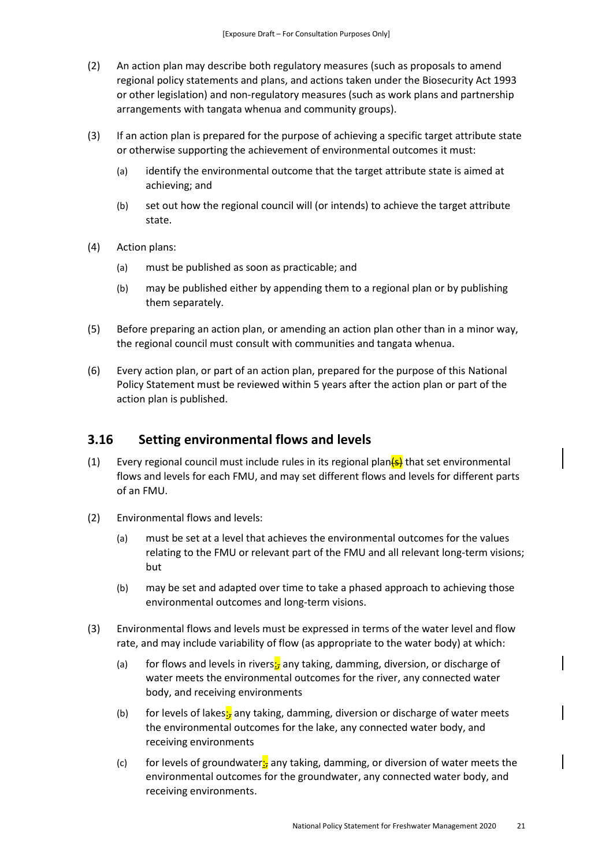- (2) An action plan may describe both regulatory measures (such as proposals to amend regional policy statements and plans, and actions taken under the Biosecurity Act 1993 or other legislation) and non-regulatory measures (such as work plans and partnership arrangements with tangata whenua and community groups).
- (3) If an action plan is prepared for the purpose of achieving a specific target attribute state or otherwise supporting the achievement of environmental outcomes it must:
	- (a) identify the environmental outcome that the target attribute state is aimed at achieving; and
	- (b) set out how the regional council will (or intends) to achieve the target attribute state.
- (4) Action plans:
	- (a) must be published as soon as practicable; and
	- (b) may be published either by appending them to a regional plan or by publishing them separately.
- (5) Before preparing an action plan, or amending an action plan other than in a minor way, the regional council must consult with communities and tangata whenua.
- (6) Every action plan, or part of an action plan, prepared for the purpose of this National Policy Statement must be reviewed within 5 years after the action plan or part of the action plan is published.

### <span id="page-21-0"></span>**3.16 Setting environmental flows and levels**

- (1) Every regional council must include rules in its regional plan $\left( s \right)$  that set environmental flows and levels for each FMU, and may set different flows and levels for different parts of an FMU.
- (2) Environmental flows and levels:
	- (a) must be set at a level that achieves the environmental outcomes for the values relating to the FMU or relevant part of the FMU and all relevant long-term visions; but
	- (b) may be set and adapted over time to take a phased approach to achieving those environmental outcomes and long-term visions.
- (3) Environmental flows and levels must be expressed in terms of the water level and flow rate, and may include variability of flow (as appropriate to the water body) at which:
	- (a) for flows and levels in rivers:  $\frac{1}{2}$  any taking, damming, diversion, or discharge of water meets the environmental outcomes for the river, any connected water body, and receiving environments
	- (b) for levels of lakes: $\frac{1}{2}$  any taking, damming, diversion or discharge of water meets the environmental outcomes for the lake, any connected water body, and receiving environments
	- (c) for levels of groundwater: $\frac{1}{2}$  any taking, damming, or diversion of water meets the environmental outcomes for the groundwater, any connected water body, and receiving environments.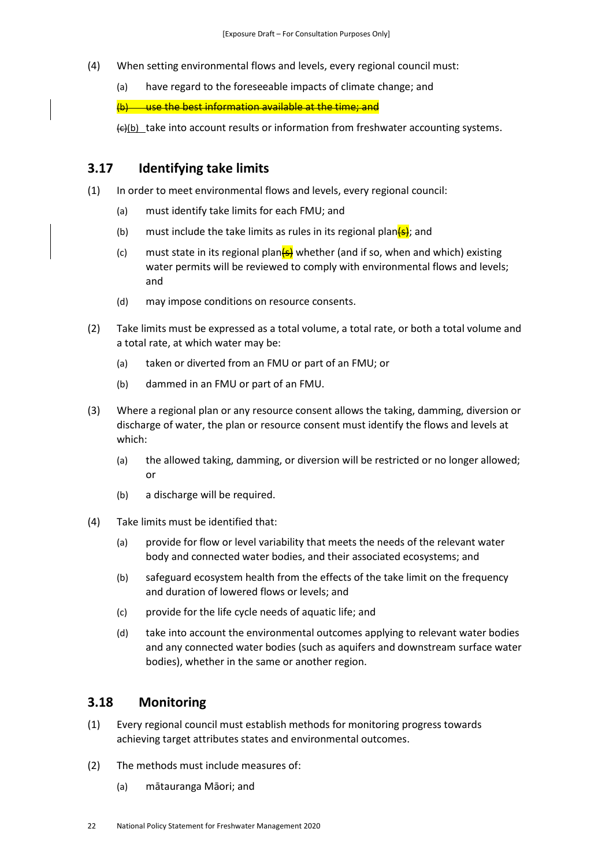- (4) When setting environmental flows and levels, every regional council must:
	- (a) have regard to the foreseeable impacts of climate change; and

 $(b)$  use the best information available at the time; and

 $\left(\frac{c}{c}\right)$  take into account results or information from freshwater accounting systems.

## <span id="page-22-0"></span>**3.17 Identifying take limits**

- (1) In order to meet environmental flows and levels, every regional council:
	- (a) must identify take limits for each FMU; and
	- (b) must include the take limits as rules in its regional plan $\frac{1}{s}$ ; and
	- (c) must state in its regional plan $\frac{1}{s}$  whether (and if so, when and which) existing water permits will be reviewed to comply with environmental flows and levels; and
	- (d) may impose conditions on resource consents.
- (2) Take limits must be expressed as a total volume, a total rate, or both a total volume and a total rate, at which water may be:
	- (a) taken or diverted from an FMU or part of an FMU; or
	- (b) dammed in an FMU or part of an FMU.
- (3) Where a regional plan or any resource consent allows the taking, damming, diversion or discharge of water, the plan or resource consent must identify the flows and levels at which:
	- (a) the allowed taking, damming, or diversion will be restricted or no longer allowed; or
	- (b) a discharge will be required.
- (4) Take limits must be identified that:
	- (a) provide for flow or level variability that meets the needs of the relevant water body and connected water bodies, and their associated ecosystems; and
	- (b) safeguard ecosystem health from the effects of the take limit on the frequency and duration of lowered flows or levels; and
	- (c) provide for the life cycle needs of aquatic life; and
	- (d) take into account the environmental outcomes applying to relevant water bodies and any connected water bodies (such as aquifers and downstream surface water bodies), whether in the same or another region.

### <span id="page-22-1"></span>**3.18 Monitoring**

- (1) Every regional council must establish methods for monitoring progress towards achieving target attributes states and environmental outcomes.
- (2) The methods must include measures of:
	- (a) mātauranga Māori; and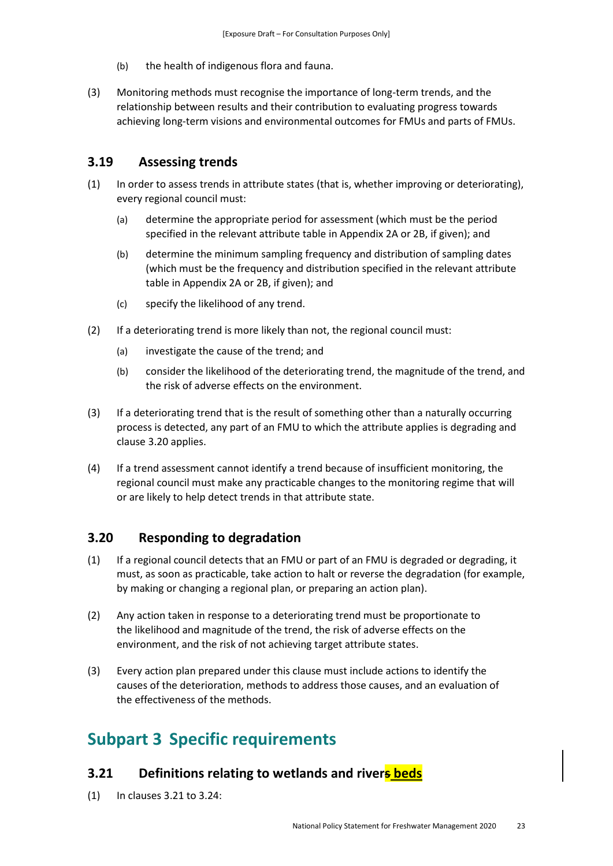- (b) the health of indigenous flora and fauna.
- (3) Monitoring methods must recognise the importance of long-term trends, and the relationship between results and their contribution to evaluating progress towards achieving long-term visions and environmental outcomes for FMUs and parts of FMUs.

## <span id="page-23-0"></span>**3.19 Assessing trends**

- (1) In order to assess trends in attribute states (that is, whether improving or deteriorating), every regional council must:
	- (a) determine the appropriate period for assessment (which must be the period specified in the relevant attribute table in Appendix 2A or 2B, if given); and
	- (b) determine the minimum sampling frequency and distribution of sampling dates (which must be the frequency and distribution specified in the relevant attribute table in Appendix 2A or 2B, if given); and
	- (c) specify the likelihood of any trend.
- (2) If a deteriorating trend is more likely than not, the regional council must:
	- (a) investigate the cause of the trend; and
	- (b) consider the likelihood of the deteriorating trend, the magnitude of the trend, and the risk of adverse effects on the environment.
- (3) If a deteriorating trend that is the result of something other than a naturally occurring process is detected, any part of an FMU to which the attribute applies is degrading and clause 3.20 applies.
- (4) If a trend assessment cannot identify a trend because of insufficient monitoring, the regional council must make any practicable changes to the monitoring regime that will or are likely to help detect trends in that attribute state.

## <span id="page-23-1"></span>**3.20 Responding to degradation**

- (1) If a regional council detects that an FMU or part of an FMU is degraded or degrading, it must, as soon as practicable, take action to halt or reverse the degradation (for example, by making or changing a regional plan, or preparing an action plan).
- (2) Any action taken in response to a deteriorating trend must be proportionate to the likelihood and magnitude of the trend, the risk of adverse effects on the environment, and the risk of not achieving target attribute states.
- (3) Every action plan prepared under this clause must include actions to identify the causes of the deterioration, methods to address those causes, and an evaluation of the effectiveness of the methods.

## <span id="page-23-2"></span>**Subpart 3 Specific requirements**

## <span id="page-23-3"></span>**3.21 Definitions relating to wetlands and rivers beds**

(1) In clauses 3.21 to 3.24: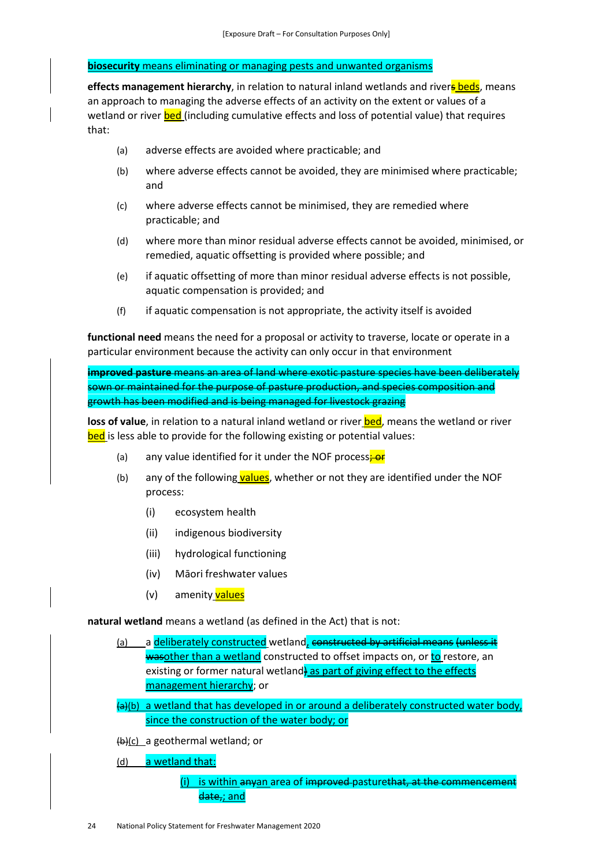#### **biosecurity** means eliminating or managing pests and unwanted organisms

**effects management hierarchy**, in relation to natural inland wetlands and rivers beds, means an approach to managing the adverse effects of an activity on the extent or values of a wetland or river **bed** (including cumulative effects and loss of potential value) that requires that:

- (a) adverse effects are avoided where practicable; and
- (b) where adverse effects cannot be avoided, they are minimised where practicable; and
- (c) where adverse effects cannot be minimised, they are remedied where practicable; and
- (d) where more than minor residual adverse effects cannot be avoided, minimised, or remedied, aquatic offsetting is provided where possible; and
- (e) if aquatic offsetting of more than minor residual adverse effects is not possible, aquatic compensation is provided; and
- $(f)$  if aquatic compensation is not appropriate, the activity itself is avoided

**functional need** means the need for a proposal or activity to traverse, locate or operate in a particular environment because the activity can only occur in that environment

**improved pasture** means an area of land where exotic pasture species have been deliberately sown or maintained for the purpose of pasture production, and species composition and growth has been modified and is being managed for livestock grazing

loss of value, in relation to a natural inland wetland or river **bed**, means the wetland or river bed is less able to provide for the following existing or potential values:

- (a) any value identified for it under the NOF process-or
- (b) any of the following values, whether or not they are identified under the NOF process:
	- (i) ecosystem health
	- (ii) indigenous biodiversity
	- (iii) hydrological functioning
	- (iv) Māori freshwater values
	- (v) amenity values

**natural wetland** means a wetland (as defined in the Act) that is not:

- (a) a deliberately constructed wetland, constructed by artificial means (unless it wasother than a wetland constructed to offset impacts on, or to restore, an existing or former natural wetland) as part of giving effect to the effects management hierarchy; or
- $\left\{a\right\}(b)$  a wetland that has developed in or around a deliberately constructed water body, since the construction of the water body; or
- (b)(c) a geothermal wetland; or
- (d) a wetland that:

(i) is within anyan area of improved pasturethat, at the commencement date,; and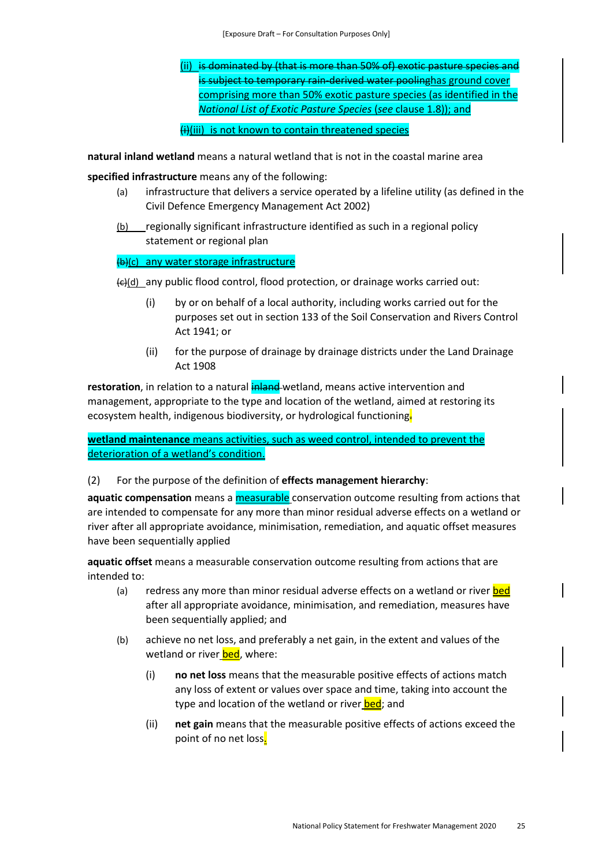(ii) is dominated by (that is more than 50% of) exotic pasture species and is subject to temporary rain-derived water poolinghas ground cover comprising more than 50% exotic pasture species (as identified in the *National List of Exotic Pasture Species* (*see* clause 1.8)); and

 $(i)$ (iii) is not known to contain threatened species

**natural inland wetland** means a natural wetland that is not in the coastal marine area

**specified infrastructure** means any of the following:

- (a) infrastructure that delivers a service operated by a lifeline utility (as defined in the Civil Defence Emergency Management Act 2002)
- (b) regionally significant infrastructure identified as such in a regional policy statement or regional plan

#### $(b)(c)$  any water storage infrastructure

 $\left(\frac{e}{c}\right)(d)$  any public flood control, flood protection, or drainage works carried out:

- (i) by or on behalf of a local authority, including works carried out for the purposes set out in section 133 of the Soil Conservation and Rivers Control Act 1941; or
- (ii) for the purpose of drainage by drainage districts under the Land Drainage Act 1908

restoration, in relation to a natural **inland** wetland, means active intervention and management, appropriate to the type and location of the wetland, aimed at restoring its ecosystem health, indigenous biodiversity, or hydrological functioning-

**wetland maintenance** means activities, such as weed control, intended to prevent the deterioration of a wetland's condition.

#### (2) For the purpose of the definition of **effects management hierarchy**:

**aquatic compensation** means a measurable conservation outcome resulting from actions that are intended to compensate for any more than minor residual adverse effects on a wetland or river after all appropriate avoidance, minimisation, remediation, and aquatic offset measures have been sequentially applied

**aquatic offset** means a measurable conservation outcome resulting from actions that are intended to:

- (a) redress any more than minor residual adverse effects on a wetland or river bed after all appropriate avoidance, minimisation, and remediation, measures have been sequentially applied; and
- (b) achieve no net loss, and preferably a net gain, in the extent and values of the wetland or river bed, where:
	- (i) **no net loss** means that the measurable positive effects of actions match any loss of extent or values over space and time, taking into account the type and location of the wetland or river **bed**; and
	- (ii) **net gain** means that the measurable positive effects of actions exceed the point of no net loss.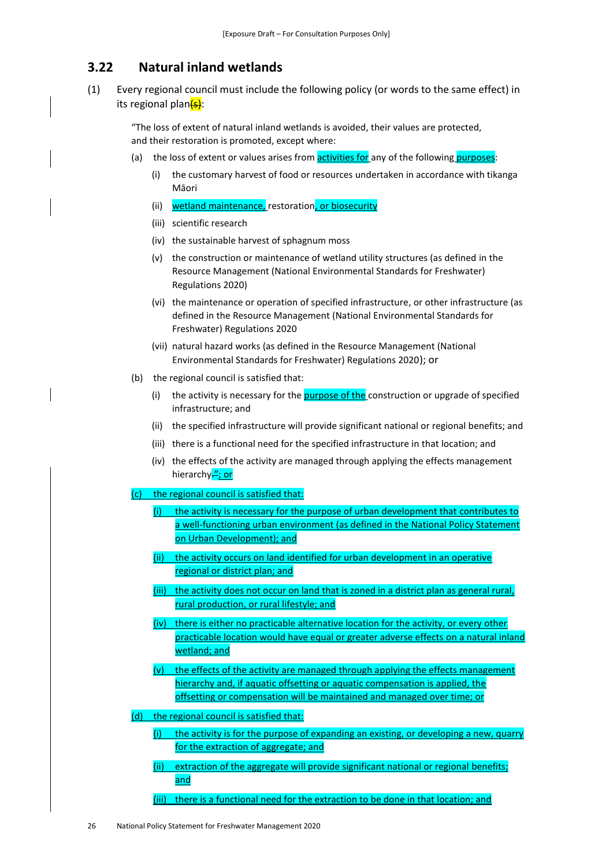### <span id="page-26-0"></span>**3.22 Natural inland wetlands**

(1) Every regional council must include the following policy (or words to the same effect) in its regional plan $\frac{1}{5}$ :

"The loss of extent of natural inland wetlands is avoided, their values are protected, and their restoration is promoted, except where:

- (a) the loss of extent or values arises from **activities for** any of the following **purposes**:
	- (i) the customary harvest of food or resources undertaken in accordance with tikanga Māori
	- (ii) wetland maintenance, restoration, or biosecurity
	- (iii) scientific research
	- (iv) the sustainable harvest of sphagnum moss
	- (v) the construction or maintenance of wetland utility structures (as defined in the Resource Management (National Environmental Standards for Freshwater) Regulations 2020)
	- (vi) the maintenance or operation of specified infrastructure, or other infrastructure (as defined in the Resource Management (National Environmental Standards for Freshwater) Regulations 2020
	- (vii) natural hazard works (as defined in the Resource Management (National Environmental Standards for Freshwater) Regulations 2020); or
- (b) the regional council is satisfied that:
	- (i) the activity is necessary for the **purpose of the** construction or upgrade of specified infrastructure; and
	- (ii) the specified infrastructure will provide significant national or regional benefits; and
	- (iii) there is a functional need for the specified infrastructure in that location; and
	- (iv) the effects of the activity are managed through applying the effects management hierarchy<mark>."; or</mark>
- (c) the regional council is satisfied that:
	- the activity is necessary for the purpose of urban development that contributes to a well-functioning urban environment (as defined in the National Policy Statement on Urban Development); and
	- (ii) the activity occurs on land identified for urban development in an operative regional or district plan; and
	- (iii) the activity does not occur on land that is zoned in a district plan as general rural, rural production, or rural lifestyle; and
	- (iv) there is either no practicable alternative location for the activity, or every other practicable location would have equal or greater adverse effects on a natural inland wetland; and
	- (v) the effects of the activity are managed through applying the effects management hierarchy and, if aquatic offsetting or aquatic compensation is applied, the offsetting or compensation will be maintained and managed over time; or
- (d) the regional council is satisfied that:
	- $(i)$  the activity is for the purpose of expanding an existing, or developing a new, quarry for the extraction of aggregate; and
	- extraction of the aggregate will provide significant national or regional benefits; and
	- (iii) there is a functional need for the extraction to be done in that location; and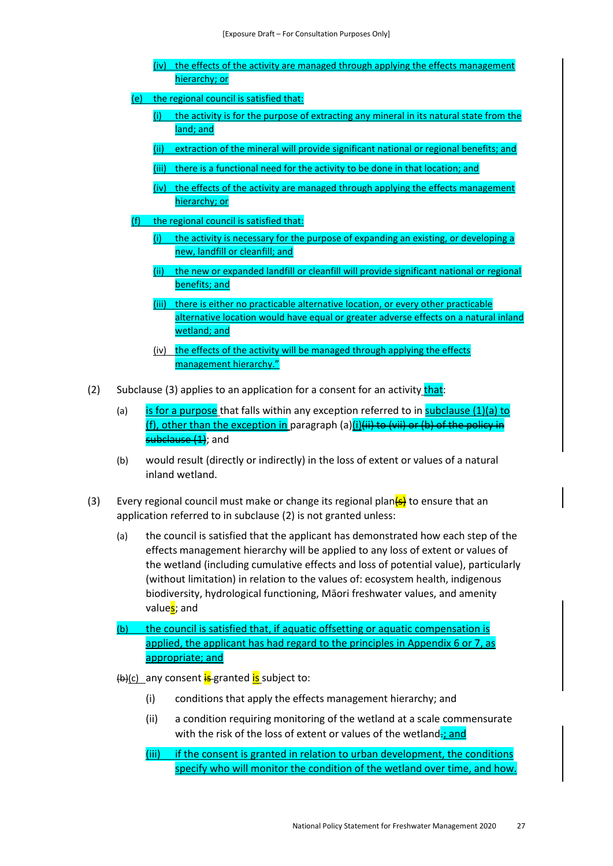- (iv) the effects of the activity are managed through applying the effects management hierarchy; or
- (e) the regional council is satisfied that:
	- (i) the activity is for the purpose of extracting any mineral in its natural state from the land; and
	- extraction of the mineral will provide significant national or regional benefits; and
	- (iii) there is a functional need for the activity to be done in that location; and
	- (iv) the effects of the activity are managed through applying the effects management hierarchy; or
- $(f)$  the regional council is satisfied that:
	- (i) the activity is necessary for the purpose of expanding an existing, or developing a new, landfill or cleanfill; and
	- (ii) the new or expanded landfill or cleanfill will provide significant national or regional benefits; and
	- (iii) there is either no practicable alternative location, or every other practicable alternative location would have equal or greater adverse effects on a natural inland wetland; and
	- (iv) the effects of the activity will be managed through applying the effects management hierarchy."
- (2) Subclause (3) applies to an application for a consent for an activity that:
	- (a) is for a purpose that falls within any exception referred to in subclause  $(1)(a)$  to (f), other than the exception in paragraph (a)(i)(ii) to (vii) or (b) of the policy in subclause (1); and
	- (b) would result (directly or indirectly) in the loss of extent or values of a natural inland wetland.
- (3) Every regional council must make or change its regional plan $\left( \frac{1}{5} \right)$  to ensure that an application referred to in subclause (2) is not granted unless:
	- (a) the council is satisfied that the applicant has demonstrated how each step of the effects management hierarchy will be applied to any loss of extent or values of the wetland (including cumulative effects and loss of potential value), particularly (without limitation) in relation to the values of: ecosystem health, indigenous biodiversity, hydrological functioning, Māori freshwater values, and amenity values; and
	- (b) the council is satisfied that, if aquatic offsetting or aquatic compensation is applied, the applicant has had regard to the principles in Appendix 6 or 7, as appropriate; and

(b)(c) any consent is granted is subject to:

- (i) conditions that apply the effects management hierarchy; and
- (ii) a condition requiring monitoring of the wetland at a scale commensurate with the risk of the loss of extent or values of the wetland-; and
- $(iii)$  if the consent is granted in relation to urban development, the conditions specify who will monitor the condition of the wetland over time, and how.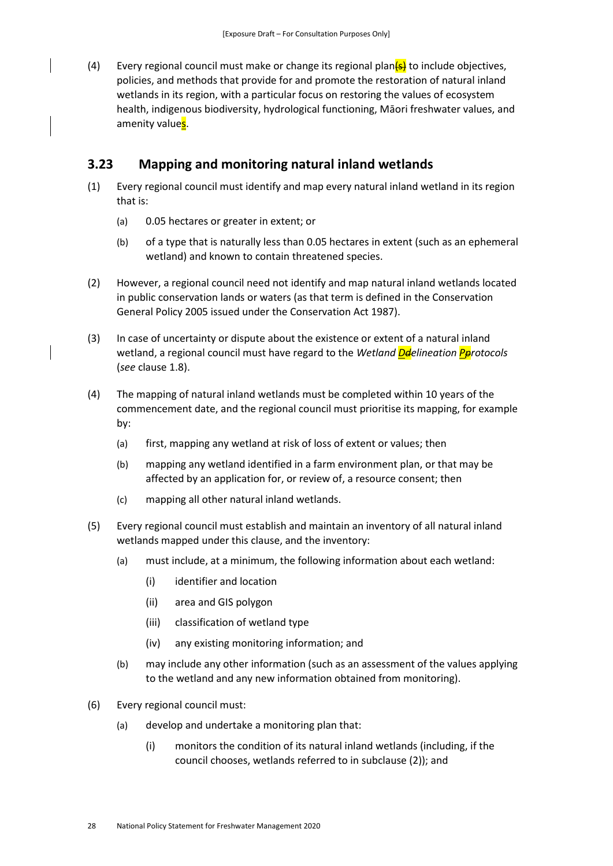(4) Every regional council must make or change its regional plan $\overline{43}$  to include objectives, policies, and methods that provide for and promote the restoration of natural inland wetlands in its region, with a particular focus on restoring the values of ecosystem health, indigenous biodiversity, hydrological functioning, Māori freshwater values, and amenity values.

## <span id="page-28-0"></span>**3.23 Mapping and monitoring natural inland wetlands**

- (1) Every regional council must identify and map every natural inland wetland in its region that is:
	- (a) 0.05 hectares or greater in extent; or
	- (b) of a type that is naturally less than 0.05 hectares in extent (such as an ephemeral wetland) and known to contain threatened species.
- (2) However, a regional council need not identify and map natural inland wetlands located in public conservation lands or waters (as that term is defined in the Conservation General Policy 2005 issued under the Conservation Act 1987).
- (3) In case of uncertainty or dispute about the existence or extent of a natural inland wetland, a regional council must have regard to the *Wetland Ddelineation Pprotocols* (*see* clause 1.8).
- (4) The mapping of natural inland wetlands must be completed within 10 years of the commencement date, and the regional council must prioritise its mapping, for example by:
	- (a) first, mapping any wetland at risk of loss of extent or values; then
	- (b) mapping any wetland identified in a farm environment plan, or that may be affected by an application for, or review of, a resource consent; then
	- (c) mapping all other natural inland wetlands.
- (5) Every regional council must establish and maintain an inventory of all natural inland wetlands mapped under this clause, and the inventory:
	- (a) must include, at a minimum, the following information about each wetland:
		- (i) identifier and location
		- (ii) area and GIS polygon
		- (iii) classification of wetland type
		- (iv) any existing monitoring information; and
	- (b) may include any other information (such as an assessment of the values applying to the wetland and any new information obtained from monitoring).
- (6) Every regional council must:
	- (a) develop and undertake a monitoring plan that:
		- (i) monitors the condition of its natural inland wetlands (including, if the council chooses, wetlands referred to in subclause (2)); and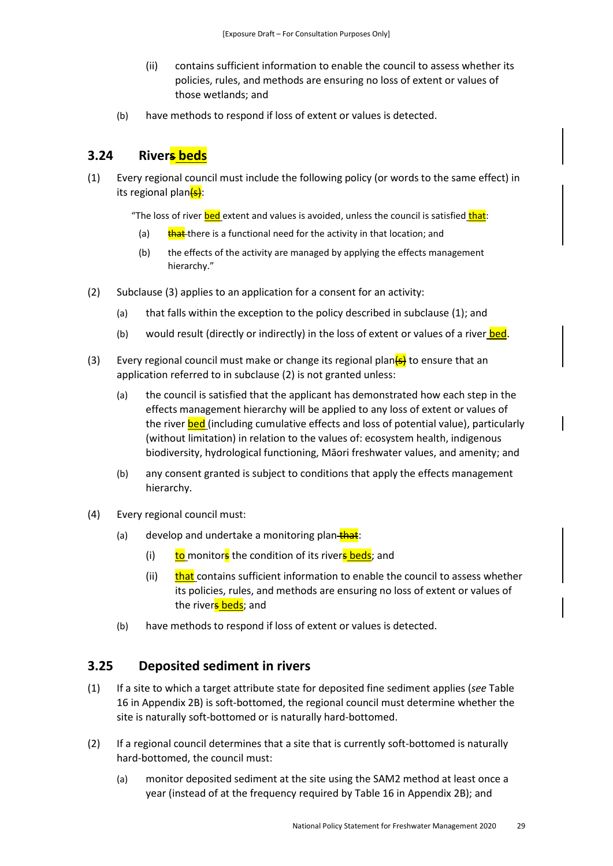- (ii) contains sufficient information to enable the council to assess whether its policies, rules, and methods are ensuring no loss of extent or values of those wetlands; and
- (b) have methods to respond if loss of extent or values is detected.

## <span id="page-29-0"></span>**3.24 Rivers beds**

(1) Every regional council must include the following policy (or words to the same effect) in its regional plan $\frac{1}{5}$ :

"The loss of river bed extent and values is avoided, unless the council is satisfied that:

- (a)  $that$  there is a functional need for the activity in that location; and
- (b) the effects of the activity are managed by applying the effects management hierarchy."
- (2) Subclause (3) applies to an application for a consent for an activity:
	- (a) that falls within the exception to the policy described in subclause (1); and
	- (b) would result (directly or indirectly) in the loss of extent or values of a river bed.
- (3) Every regional council must make or change its regional plan $\left( \frac{c}{\sigma} \right)$  to ensure that an application referred to in subclause (2) is not granted unless:
	- (a) the council is satisfied that the applicant has demonstrated how each step in the effects management hierarchy will be applied to any loss of extent or values of the river bed (including cumulative effects and loss of potential value), particularly (without limitation) in relation to the values of: ecosystem health, indigenous biodiversity, hydrological functioning, Māori freshwater values, and amenity; and
	- (b) any consent granted is subject to conditions that apply the effects management hierarchy.
- (4) Every regional council must:
	- (a) develop and undertake a monitoring plan-that:
		- (i)  $t_0$  monitors the condition of its rivers beds; and
		- (ii) that contains sufficient information to enable the council to assess whether its policies, rules, and methods are ensuring no loss of extent or values of the rivers beds; and
	- (b) have methods to respond if loss of extent or values is detected.

### <span id="page-29-1"></span>**3.25 Deposited sediment in rivers**

- (1) If a site to which a target attribute state for deposited fine sediment applies (*see* Table 16 in Appendix 2B) is soft-bottomed, the regional council must determine whether the site is naturally soft-bottomed or is naturally hard-bottomed.
- (2) If a regional council determines that a site that is currently soft-bottomed is naturally hard-bottomed, the council must:
	- (a) monitor deposited sediment at the site using the SAM2 method at least once a year (instead of at the frequency required by Table 16 in Appendix 2B); and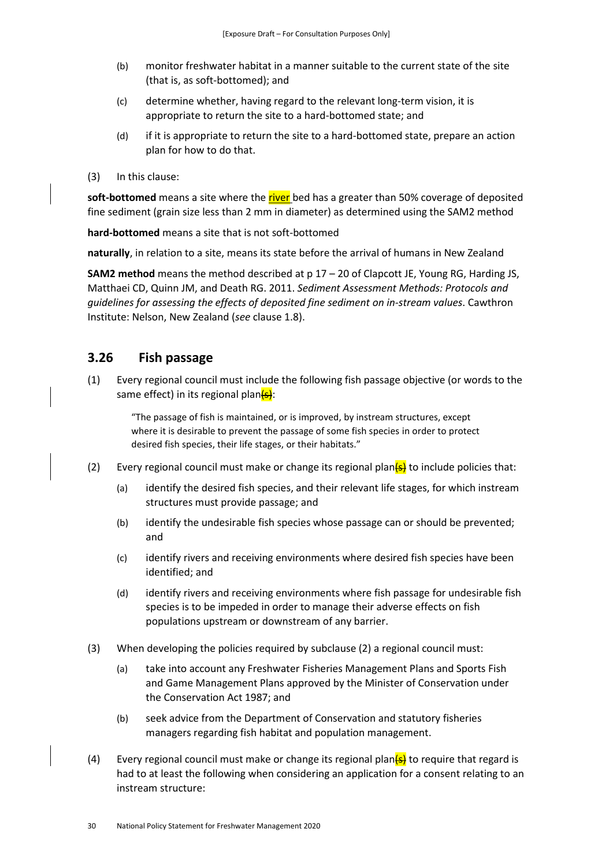- (b) monitor freshwater habitat in a manner suitable to the current state of the site (that is, as soft-bottomed); and
- (c) determine whether, having regard to the relevant long-term vision, it is appropriate to return the site to a hard-bottomed state; and
- (d) if it is appropriate to return the site to a hard-bottomed state, prepare an action plan for how to do that.
- (3) In this clause:

**soft-bottomed** means a site where the river bed has a greater than 50% coverage of deposited fine sediment (grain size less than 2 mm in diameter) as determined using the SAM2 method

**hard-bottomed** means a site that is not soft-bottomed

**naturally**, in relation to a site, means its state before the arrival of humans in New Zealand

**SAM2 method** means the method described at p 17 – 20 of Clapcott JE, Young RG, Harding JS, Matthaei CD, Quinn JM, and Death RG. 2011. *Sediment Assessment Methods: Protocols and guidelines for assessing the effects of deposited fine sediment on in-stream values*. Cawthron Institute: Nelson, New Zealand (*see* clause 1.8).

## <span id="page-30-0"></span>**3.26 Fish passage**

(1) Every regional council must include the following fish passage objective (or words to the same effect) in its regional plan(s):

"The passage of fish is maintained, or is improved, by instream structures, except where it is desirable to prevent the passage of some fish species in order to protect desired fish species, their life stages, or their habitats."

- (2) Every regional council must make or change its regional plan $\left( s \right)$  to include policies that:
	- (a) identify the desired fish species, and their relevant life stages, for which instream structures must provide passage; and
	- (b) identify the undesirable fish species whose passage can or should be prevented; and
	- (c) identify rivers and receiving environments where desired fish species have been identified; and
	- (d) identify rivers and receiving environments where fish passage for undesirable fish species is to be impeded in order to manage their adverse effects on fish populations upstream or downstream of any barrier.
- (3) When developing the policies required by subclause (2) a regional council must:
	- (a) take into account any Freshwater Fisheries Management Plans and Sports Fish and Game Management Plans approved by the Minister of Conservation under the Conservation Act 1987; and
	- (b) seek advice from the Department of Conservation and statutory fisheries managers regarding fish habitat and population management.
- (4) Every regional council must make or change its regional plan $\left( s \right)$  to require that regard is had to at least the following when considering an application for a consent relating to an instream structure: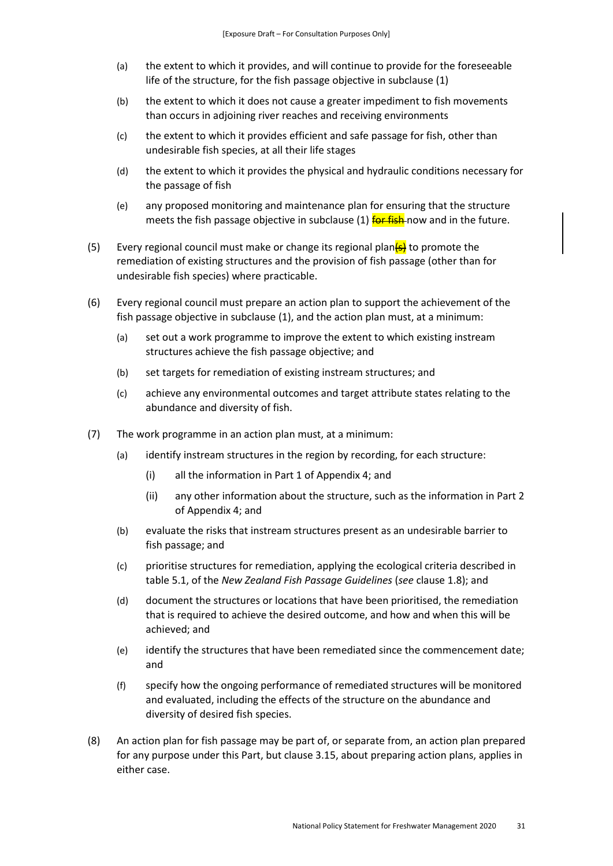- (a) the extent to which it provides, and will continue to provide for the foreseeable life of the structure, for the fish passage objective in subclause (1)
- (b) the extent to which it does not cause a greater impediment to fish movements than occurs in adjoining river reaches and receiving environments
- (c) the extent to which it provides efficient and safe passage for fish, other than undesirable fish species, at all their life stages
- (d) the extent to which it provides the physical and hydraulic conditions necessary for the passage of fish
- (e) any proposed monitoring and maintenance plan for ensuring that the structure meets the fish passage objective in subclause  $(1)$  for fish-now and in the future.
- (5) Every regional council must make or change its regional plan $\left( s \right)$  to promote the remediation of existing structures and the provision of fish passage (other than for undesirable fish species) where practicable.
- (6) Every regional council must prepare an action plan to support the achievement of the fish passage objective in subclause (1), and the action plan must, at a minimum:
	- (a) set out a work programme to improve the extent to which existing instream structures achieve the fish passage objective; and
	- (b) set targets for remediation of existing instream structures; and
	- (c) achieve any environmental outcomes and target attribute states relating to the abundance and diversity of fish.
- (7) The work programme in an action plan must, at a minimum:
	- (a) identify instream structures in the region by recording, for each structure:
		- (i) all the information in Part 1 of Appendix 4; and
		- (ii) any other information about the structure, such as the information in Part 2 of Appendix 4; and
	- (b) evaluate the risks that instream structures present as an undesirable barrier to fish passage; and
	- (c) prioritise structures for remediation, applying the ecological criteria described in table 5.1, of the *New Zealand Fish Passage Guidelines* (*see* clause 1.8); and
	- (d) document the structures or locations that have been prioritised, the remediation that is required to achieve the desired outcome, and how and when this will be achieved; and
	- (e) identify the structures that have been remediated since the commencement date; and
	- (f) specify how the ongoing performance of remediated structures will be monitored and evaluated, including the effects of the structure on the abundance and diversity of desired fish species.
- (8) An action plan for fish passage may be part of, or separate from, an action plan prepared for any purpose under this Part, but clause 3.15, about preparing action plans, applies in either case.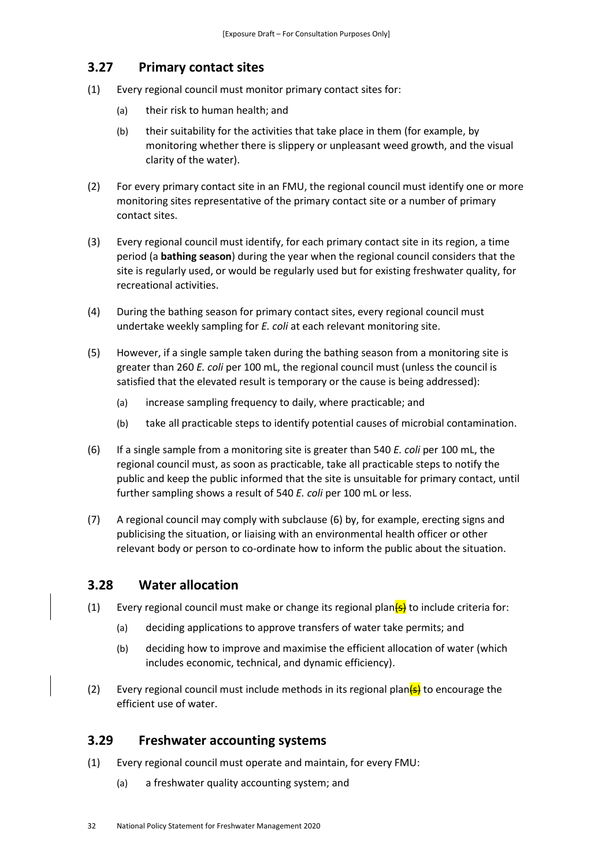## <span id="page-32-0"></span>**3.27 Primary contact sites**

- (1) Every regional council must monitor primary contact sites for:
	- (a) their risk to human health; and
	- (b) their suitability for the activities that take place in them (for example, by monitoring whether there is slippery or unpleasant weed growth, and the visual clarity of the water).
- (2) For every primary contact site in an FMU, the regional council must identify one or more monitoring sites representative of the primary contact site or a number of primary contact sites.
- (3) Every regional council must identify, for each primary contact site in its region, a time period (a **bathing season**) during the year when the regional council considers that the site is regularly used, or would be regularly used but for existing freshwater quality, for recreational activities.
- (4) During the bathing season for primary contact sites, every regional council must undertake weekly sampling for *E. coli* at each relevant monitoring site.
- (5) However, if a single sample taken during the bathing season from a monitoring site is greater than 260 *E. coli* per 100 mL, the regional council must (unless the council is satisfied that the elevated result is temporary or the cause is being addressed):
	- (a) increase sampling frequency to daily, where practicable; and
	- (b) take all practicable steps to identify potential causes of microbial contamination.
- (6) If a single sample from a monitoring site is greater than 540 *E. coli* per 100 mL, the regional council must, as soon as practicable, take all practicable steps to notify the public and keep the public informed that the site is unsuitable for primary contact, until further sampling shows a result of 540 *E. coli* per 100 mL or less.
- (7) A regional council may comply with subclause (6) by, for example, erecting signs and publicising the situation, or liaising with an environmental health officer or other relevant body or person to co-ordinate how to inform the public about the situation.

## <span id="page-32-1"></span>**3.28 Water allocation**

- (1) Every regional council must make or change its regional plan $\left( s \right)$  to include criteria for:
	- (a) deciding applications to approve transfers of water take permits; and
	- (b) deciding how to improve and maximise the efficient allocation of water (which includes economic, technical, and dynamic efficiency).
- (2) Every regional council must include methods in its regional plan $\left\{\leftarrow\right\}$  to encourage the efficient use of water.

## <span id="page-32-2"></span>**3.29 Freshwater accounting systems**

- (1) Every regional council must operate and maintain, for every FMU:
	- (a) a freshwater quality accounting system; and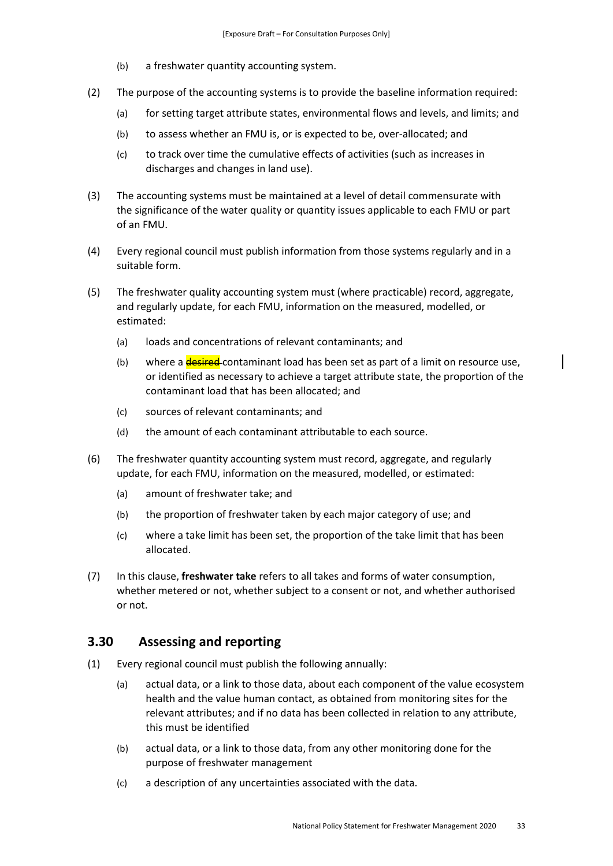- (b) a freshwater quantity accounting system.
- (2) The purpose of the accounting systems is to provide the baseline information required:
	- (a) for setting target attribute states, environmental flows and levels, and limits; and
	- (b) to assess whether an FMU is, or is expected to be, over-allocated; and
	- (c) to track over time the cumulative effects of activities (such as increases in discharges and changes in land use).
- (3) The accounting systems must be maintained at a level of detail commensurate with the significance of the water quality or quantity issues applicable to each FMU or part of an FMU.
- (4) Every regional council must publish information from those systems regularly and in a suitable form.
- (5) The freshwater quality accounting system must (where practicable) record, aggregate, and regularly update, for each FMU, information on the measured, modelled, or estimated:
	- (a) loads and concentrations of relevant contaminants; and
	- (b) where a **desired** contaminant load has been set as part of a limit on resource use, or identified as necessary to achieve a target attribute state, the proportion of the contaminant load that has been allocated; and
	- (c) sources of relevant contaminants; and
	- (d) the amount of each contaminant attributable to each source.
- (6) The freshwater quantity accounting system must record, aggregate, and regularly update, for each FMU, information on the measured, modelled, or estimated:
	- (a) amount of freshwater take; and
	- (b) the proportion of freshwater taken by each major category of use; and
	- (c) where a take limit has been set, the proportion of the take limit that has been allocated.
- (7) In this clause, **freshwater take** refers to all takes and forms of water consumption, whether metered or not, whether subject to a consent or not, and whether authorised or not.

## <span id="page-33-0"></span>**3.30 Assessing and reporting**

- (1) Every regional council must publish the following annually:
	- (a) actual data, or a link to those data, about each component of the value ecosystem health and the value human contact, as obtained from monitoring sites for the relevant attributes; and if no data has been collected in relation to any attribute, this must be identified
	- (b) actual data, or a link to those data, from any other monitoring done for the purpose of freshwater management
	- (c) a description of any uncertainties associated with the data.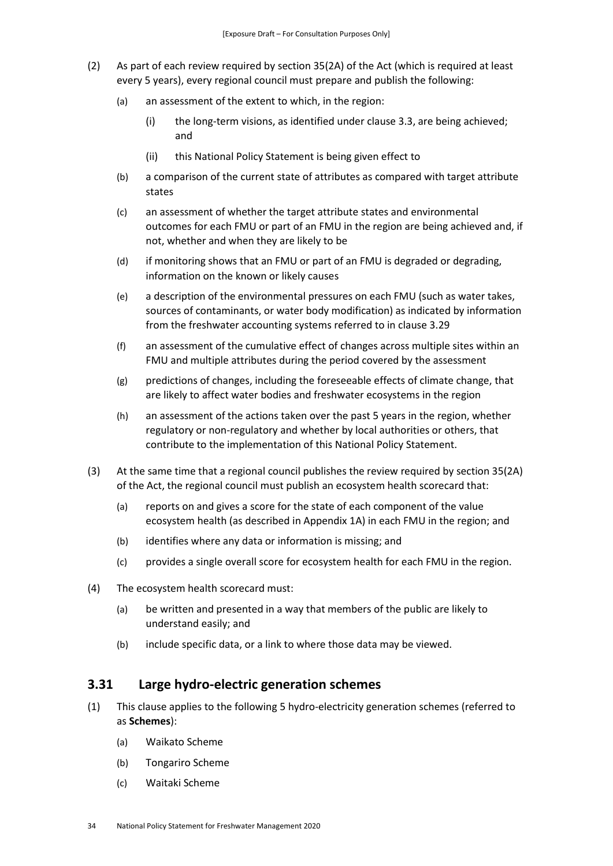- (2) As part of each review required by section 35(2A) of the Act (which is required at least every 5 years), every regional council must prepare and publish the following:
	- (a) an assessment of the extent to which, in the region:
		- (i) the long-term visions, as identified under clause 3.3, are being achieved; and
		- (ii) this National Policy Statement is being given effect to
	- (b) a comparison of the current state of attributes as compared with target attribute states
	- (c) an assessment of whether the target attribute states and environmental outcomes for each FMU or part of an FMU in the region are being achieved and, if not, whether and when they are likely to be
	- (d) if monitoring shows that an FMU or part of an FMU is degraded or degrading, information on the known or likely causes
	- (e) a description of the environmental pressures on each FMU (such as water takes, sources of contaminants, or water body modification) as indicated by information from the freshwater accounting systems referred to in clause 3.29
	- (f) an assessment of the cumulative effect of changes across multiple sites within an FMU and multiple attributes during the period covered by the assessment
	- (g) predictions of changes, including the foreseeable effects of climate change, that are likely to affect water bodies and freshwater ecosystems in the region
	- (h) an assessment of the actions taken over the past 5 years in the region, whether regulatory or non-regulatory and whether by local authorities or others, that contribute to the implementation of this National Policy Statement.
- (3) At the same time that a regional council publishes the review required by section 35(2A) of the Act, the regional council must publish an ecosystem health scorecard that:
	- (a) reports on and gives a score for the state of each component of the value ecosystem health (as described in Appendix 1A) in each FMU in the region; and
	- (b) identifies where any data or information is missing; and
	- (c) provides a single overall score for ecosystem health for each FMU in the region.
- (4) The ecosystem health scorecard must:
	- (a) be written and presented in a way that members of the public are likely to understand easily; and
	- (b) include specific data, or a link to where those data may be viewed.

## <span id="page-34-0"></span>**3.31 Large hydro-electric generation schemes**

- (1) This clause applies to the following 5 hydro-electricity generation schemes (referred to as **Schemes**):
	- (a) Waikato Scheme
	- (b) Tongariro Scheme
	- (c) Waitaki Scheme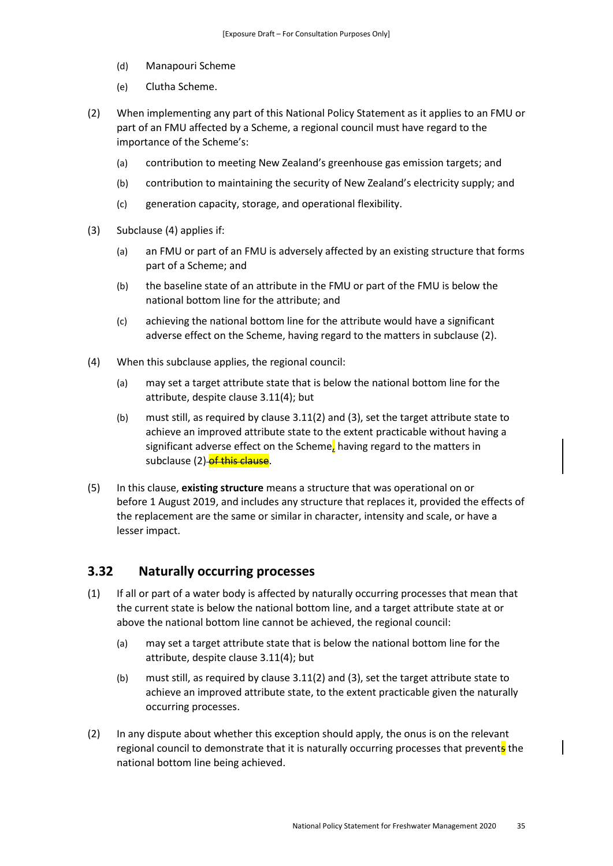- (d) Manapouri Scheme
- (e) Clutha Scheme.
- (2) When implementing any part of this National Policy Statement as it applies to an FMU or part of an FMU affected by a Scheme, a regional council must have regard to the importance of the Scheme's:
	- (a) contribution to meeting New Zealand's greenhouse gas emission targets; and
	- (b) contribution to maintaining the security of New Zealand's electricity supply; and
	- (c) generation capacity, storage, and operational flexibility.
- (3) Subclause (4) applies if:
	- (a) an FMU or part of an FMU is adversely affected by an existing structure that forms part of a Scheme; and
	- (b) the baseline state of an attribute in the FMU or part of the FMU is below the national bottom line for the attribute; and
	- (c) achieving the national bottom line for the attribute would have a significant adverse effect on the Scheme, having regard to the matters in subclause (2).
- (4) When this subclause applies, the regional council:
	- (a) may set a target attribute state that is below the national bottom line for the attribute, despite clause 3.11(4); but
	- (b) must still, as required by clause 3.11(2) and (3), set the target attribute state to achieve an improved attribute state to the extent practicable without having a significant adverse effect on the Scheme, having regard to the matters in subclause (2) of this clause.
- (5) In this clause, **existing structure** means a structure that was operational on or before 1 August 2019, and includes any structure that replaces it, provided the effects of the replacement are the same or similar in character, intensity and scale, or have a lesser impact.

## <span id="page-35-0"></span>**3.32 Naturally occurring processes**

- (1) If all or part of a water body is affected by naturally occurring processes that mean that the current state is below the national bottom line, and a target attribute state at or above the national bottom line cannot be achieved, the regional council:
	- (a) may set a target attribute state that is below the national bottom line for the attribute, despite clause 3.11(4); but
	- (b) must still, as required by clause 3.11(2) and (3), set the target attribute state to achieve an improved attribute state, to the extent practicable given the naturally occurring processes.
- (2) In any dispute about whether this exception should apply, the onus is on the relevant regional council to demonstrate that it is naturally occurring processes that prevents the national bottom line being achieved.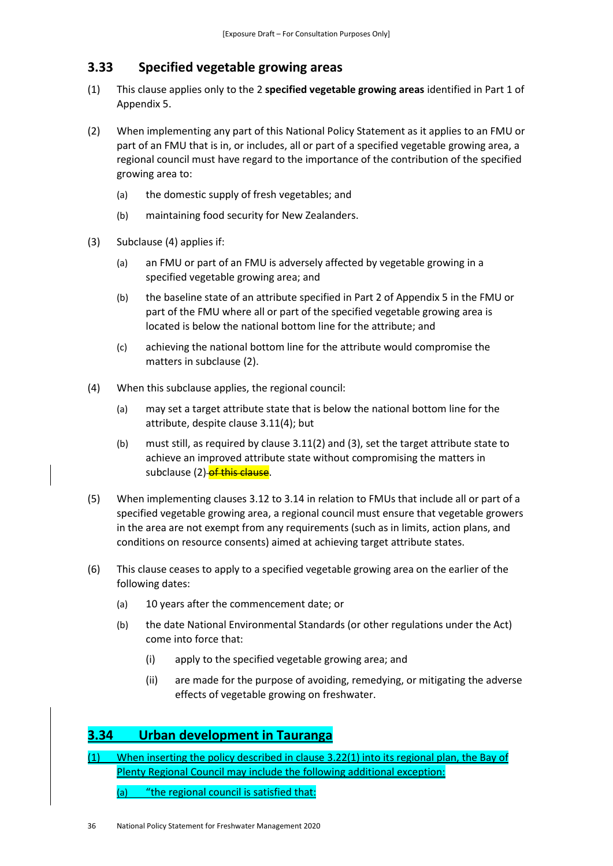### **3.33 Specified vegetable growing areas**

- (1) This clause applies only to the 2 **specified vegetable growing areas** identified in Part 1 of Appendix 5.
- (2) When implementing any part of this National Policy Statement as it applies to an FMU or part of an FMU that is in, or includes, all or part of a specified vegetable growing area, a regional council must have regard to the importance of the contribution of the specified growing area to:
	- (a) the domestic supply of fresh vegetables; and
	- (b) maintaining food security for New Zealanders.
- (3) Subclause (4) applies if:
	- (a) an FMU or part of an FMU is adversely affected by vegetable growing in a specified vegetable growing area; and
	- (b) the baseline state of an attribute specified in Part 2 of Appendix 5 in the FMU or part of the FMU where all or part of the specified vegetable growing area is located is below the national bottom line for the attribute; and
	- (c) achieving the national bottom line for the attribute would compromise the matters in subclause (2).
- (4) When this subclause applies, the regional council:
	- (a) may set a target attribute state that is below the national bottom line for the attribute, despite clause 3.11(4); but
	- (b) must still, as required by clause 3.11(2) and (3), set the target attribute state to achieve an improved attribute state without compromising the matters in subclause (2) of this clause.
- (5) When implementing clauses 3.12 to 3.14 in relation to FMUs that include all or part of a specified vegetable growing area, a regional council must ensure that vegetable growers in the area are not exempt from any requirements (such as in limits, action plans, and conditions on resource consents) aimed at achieving target attribute states.
- (6) This clause ceases to apply to a specified vegetable growing area on the earlier of the following dates:
	- (a) 10 years after the commencement date; or
	- (b) the date National Environmental Standards (or other regulations under the Act) come into force that:
		- (i) apply to the specified vegetable growing area; and
		- (ii) are made for the purpose of avoiding, remedying, or mitigating the adverse effects of vegetable growing on freshwater.

### **3.34 Urban development in Tauranga**

(1) When inserting the policy described in clause 3.22(1) into its regional plan, the Bay of Plenty Regional Council may include the following additional exception:

(a) "the regional council is satisfied that: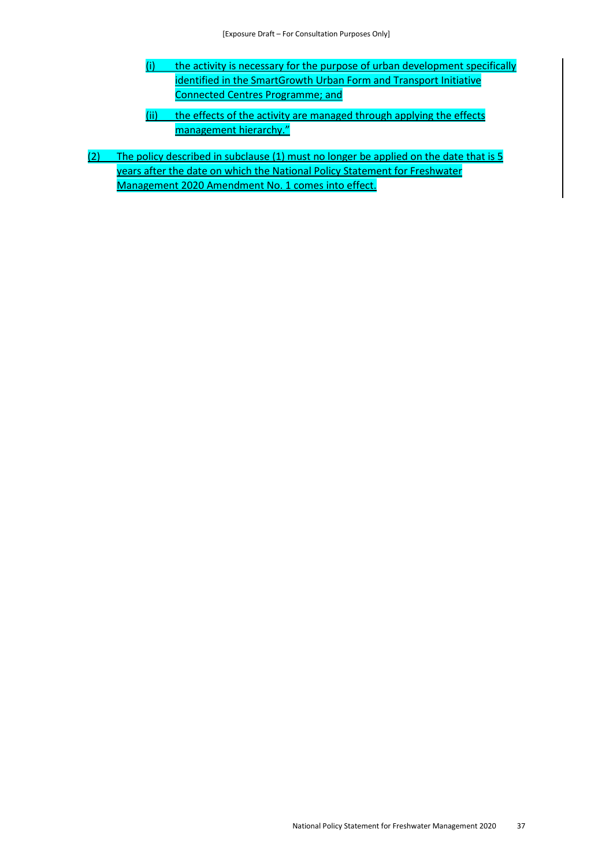- $(i)$  the activity is necessary for the purpose of urban development specifically identified in the SmartGrowth Urban Form and Transport Initiative Connected Centres Programme; and
- (ii) the effects of the activity are managed through applying the effects management hierarchy."
- (2) The policy described in subclause (1) must no longer be applied on the date that is 5 years after the date on which the National Policy Statement for Freshwater Management 2020 Amendment No. 1 comes into effect.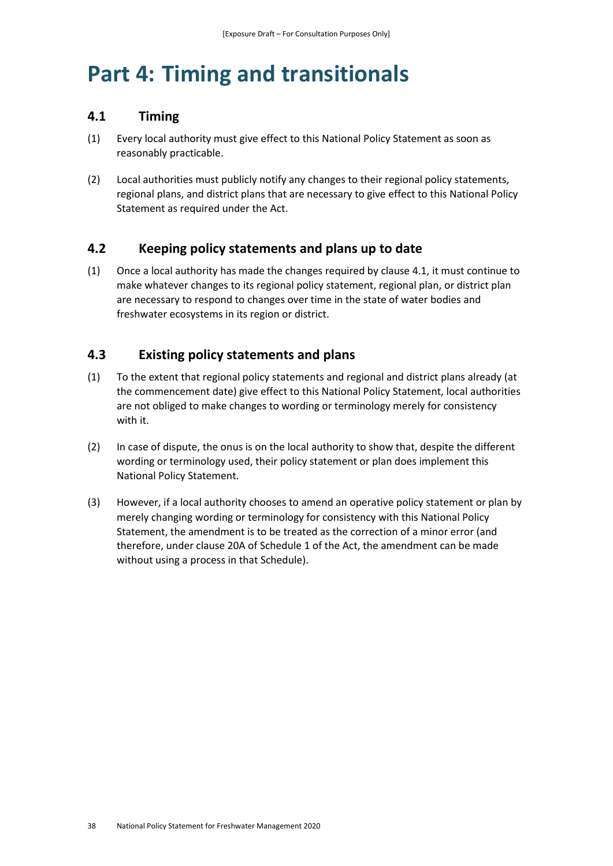# **Part 4: Timing and transitionals**

### **4.1 Timing**

- (1) Every local authority must give effect to this National Policy Statement as soon as reasonably practicable.
- (2) Local authorities must publicly notify any changes to their regional policy statements, regional plans, and district plans that are necessary to give effect to this National Policy Statement as required under the Act.

### **4.2 Keeping policy statements and plans up to date**

(1) Once a local authority has made the changes required by clause 4.1, it must continue to make whatever changes to its regional policy statement, regional plan, or district plan are necessary to respond to changes over time in the state of water bodies and freshwater ecosystems in its region or district.

### **4.3 Existing policy statements and plans**

- (1) To the extent that regional policy statements and regional and district plans already (at the commencement date) give effect to this National Policy Statement, local authorities are not obliged to make changes to wording or terminology merely for consistency with it.
- (2) In case of dispute, the onus is on the local authority to show that, despite the different wording or terminology used, their policy statement or plan does implement this National Policy Statement.
- (3) However, if a local authority chooses to amend an operative policy statement or plan by merely changing wording or terminology for consistency with this National Policy Statement, the amendment is to be treated as the correction of a minor error (and therefore, under clause 20A of Schedule 1 of the Act, the amendment can be made without using a process in that Schedule).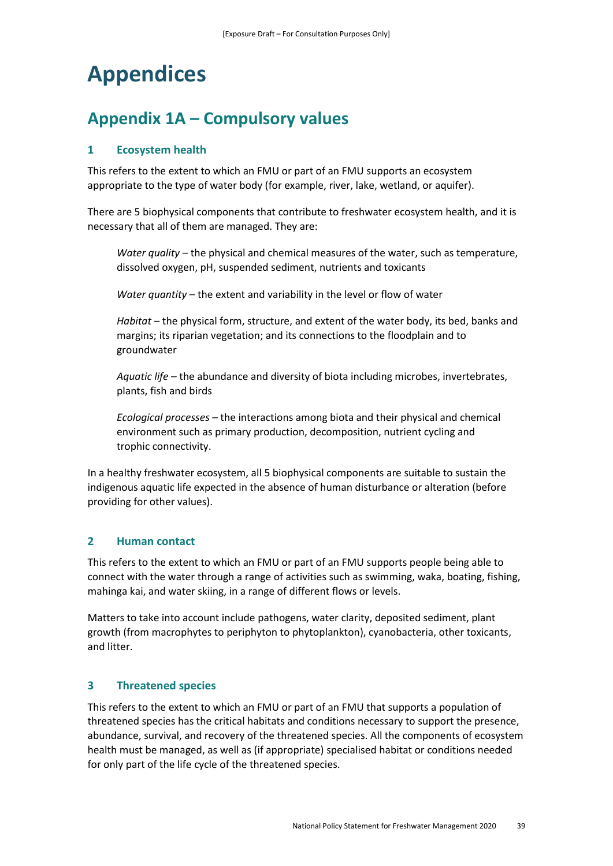# **Appendices**

## **Appendix 1A – Compulsory values**

### **1 Ecosystem health**

This refers to the extent to which an FMU or part of an FMU supports an ecosystem appropriate to the type of water body (for example, river, lake, wetland, or aquifer).

There are 5 biophysical components that contribute to freshwater ecosystem health, and it is necessary that all of them are managed. They are:

*Water quality* – the physical and chemical measures of the water, such as temperature, dissolved oxygen, pH, suspended sediment, nutrients and toxicants

*Water quantity* – the extent and variability in the level or flow of water

*Habitat* – the physical form, structure, and extent of the water body, its bed, banks and margins; its riparian vegetation; and its connections to the floodplain and to groundwater

*Aquatic life* – the abundance and diversity of biota including microbes, invertebrates, plants, fish and birds

*Ecological processes* – the interactions among biota and their physical and chemical environment such as primary production, decomposition, nutrient cycling and trophic connectivity.

In a healthy freshwater ecosystem, all 5 biophysical components are suitable to sustain the indigenous aquatic life expected in the absence of human disturbance or alteration (before providing for other values).

### **2 Human contact**

This refers to the extent to which an FMU or part of an FMU supports people being able to connect with the water through a range of activities such as swimming, waka, boating, fishing, mahinga kai, and water skiing, in a range of different flows or levels.

Matters to take into account include pathogens, water clarity, deposited sediment, plant growth (from macrophytes to periphyton to phytoplankton), cyanobacteria, other toxicants, and litter.

### **3 Threatened species**

This refers to the extent to which an FMU or part of an FMU that supports a population of threatened species has the critical habitats and conditions necessary to support the presence, abundance, survival, and recovery of the threatened species. All the components of ecosystem health must be managed, as well as (if appropriate) specialised habitat or conditions needed for only part of the life cycle of the threatened species.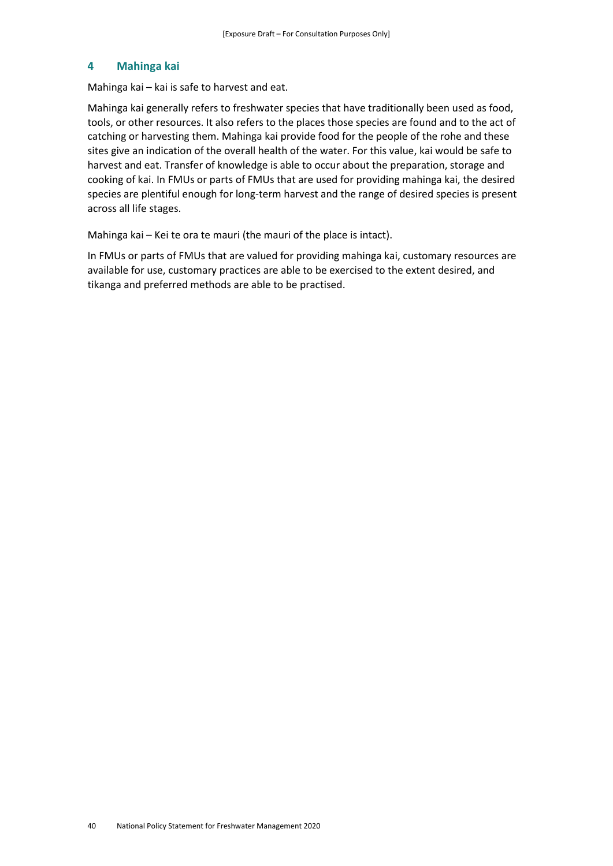#### **4 Mahinga kai**

Mahinga kai – kai is safe to harvest and eat.

Mahinga kai generally refers to freshwater species that have traditionally been used as food, tools, or other resources. It also refers to the places those species are found and to the act of catching or harvesting them. Mahinga kai provide food for the people of the rohe and these sites give an indication of the overall health of the water. For this value, kai would be safe to harvest and eat. Transfer of knowledge is able to occur about the preparation, storage and cooking of kai. In FMUs or parts of FMUs that are used for providing mahinga kai, the desired species are plentiful enough for long-term harvest and the range of desired species is present across all life stages.

Mahinga kai – Kei te ora te mauri (the mauri of the place is intact).

In FMUs or parts of FMUs that are valued for providing mahinga kai, customary resources are available for use, customary practices are able to be exercised to the extent desired, and tikanga and preferred methods are able to be practised.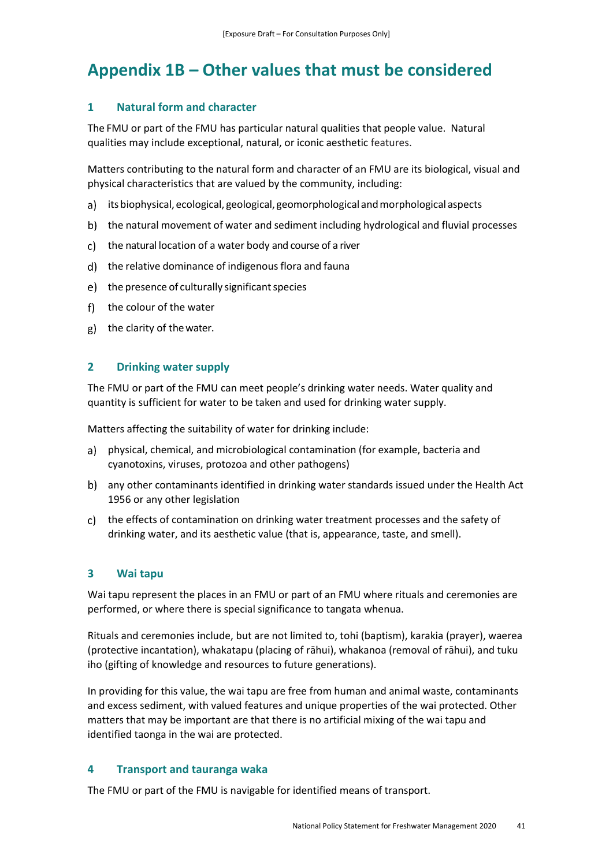## **Appendix 1B – Other values that must be considered**

#### **1 Natural form and character**

The FMU or part of the FMU has particular natural qualities that people value. Natural qualities may include exceptional, natural, or iconic aesthetic features.

Matters contributing to the natural form and character of an FMU are its biological, visual and physical characteristics that are valued by the community, including:

- a) its biophysical, ecological, geological, geomorphological and morphological aspects
- the natural movement of water and sediment including hydrological and fluvial processes
- the natural location of a water body and course of a river
- the relative dominance of indigenous flora and fauna
- e) the presence of culturally significant species
- f) the colour of the water
- g) the clarity of the water.

#### **2 Drinking water supply**

The FMU or part of the FMU can meet people's drinking water needs. Water quality and quantity is sufficient for water to be taken and used for drinking water supply.

Matters affecting the suitability of water for drinking include:

- physical, chemical, and microbiological contamination (for example, bacteria and cyanotoxins, viruses, protozoa and other pathogens)
- any other contaminants identified in drinking water standards issued under the Health Act 1956 or any other legislation
- the effects of contamination on drinking water treatment processes and the safety of drinking water, and its aesthetic value (that is, appearance, taste, and smell).

#### **3 Wai tapu**

Wai tapu represent the places in an FMU or part of an FMU where rituals and ceremonies are performed, or where there is special significance to tangata whenua.

Rituals and ceremonies include, but are not limited to, tohi (baptism), karakia (prayer), waerea (protective incantation), whakatapu (placing of rāhui), whakanoa (removal of rāhui), and tuku iho (gifting of knowledge and resources to future generations).

In providing for this value, the wai tapu are free from human and animal waste, contaminants and excess sediment, with valued features and unique properties of the wai protected. Other matters that may be important are that there is no artificial mixing of the wai tapu and identified taonga in the wai are protected.

#### **4 Transport and tauranga waka**

The FMU or part of the FMU is navigable for identified means of transport.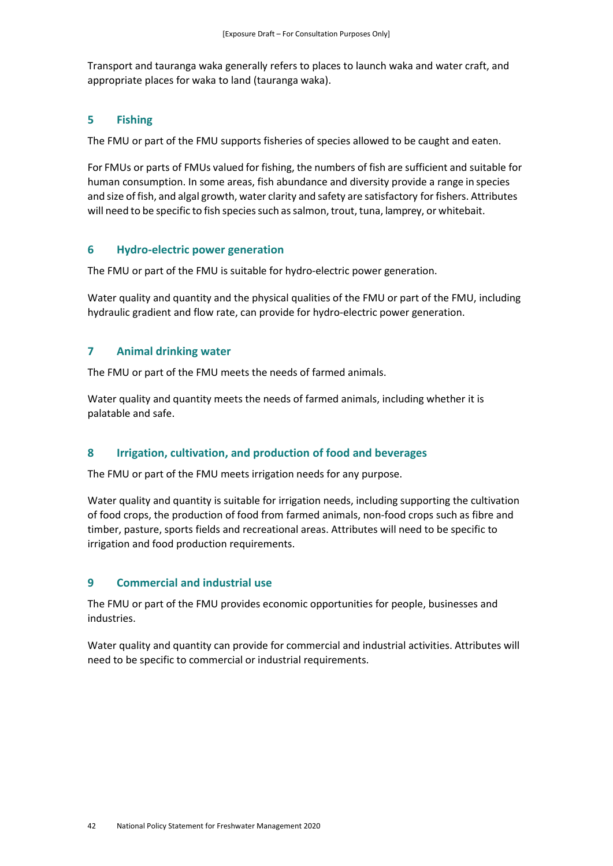Transport and tauranga waka generally refers to places to launch waka and water craft, and appropriate places for waka to land (tauranga waka).

### **5 Fishing**

The FMU or part of the FMU supports fisheries of species allowed to be caught and eaten.

For FMUs or parts of FMUs valued for fishing, the numbers of fish are sufficient and suitable for human consumption. In some areas, fish abundance and diversity provide a range in species and size of fish, and algal growth, water clarity and safety are satisfactory for fishers. Attributes will need to be specific to fish species such as salmon, trout, tuna, lamprey, or whitebait.

#### **6 Hydro-electric power generation**

The FMU or part of the FMU is suitable for hydro-electric power generation.

Water quality and quantity and the physical qualities of the FMU or part of the FMU, including hydraulic gradient and flow rate, can provide for hydro-electric power generation.

#### **7 Animal drinking water**

The FMU or part of the FMU meets the needs of farmed animals.

Water quality and quantity meets the needs of farmed animals, including whether it is palatable and safe.

#### **8 Irrigation, cultivation, and production of food and beverages**

The FMU or part of the FMU meets irrigation needs for any purpose.

Water quality and quantity is suitable for irrigation needs, including supporting the cultivation of food crops, the production of food from farmed animals, non-food crops such as fibre and timber, pasture, sports fields and recreational areas. Attributes will need to be specific to irrigation and food production requirements.

### **9 Commercial and industrial use**

The FMU or part of the FMU provides economic opportunities for people, businesses and industries.

Water quality and quantity can provide for commercial and industrial activities. Attributes will need to be specific to commercial or industrial requirements.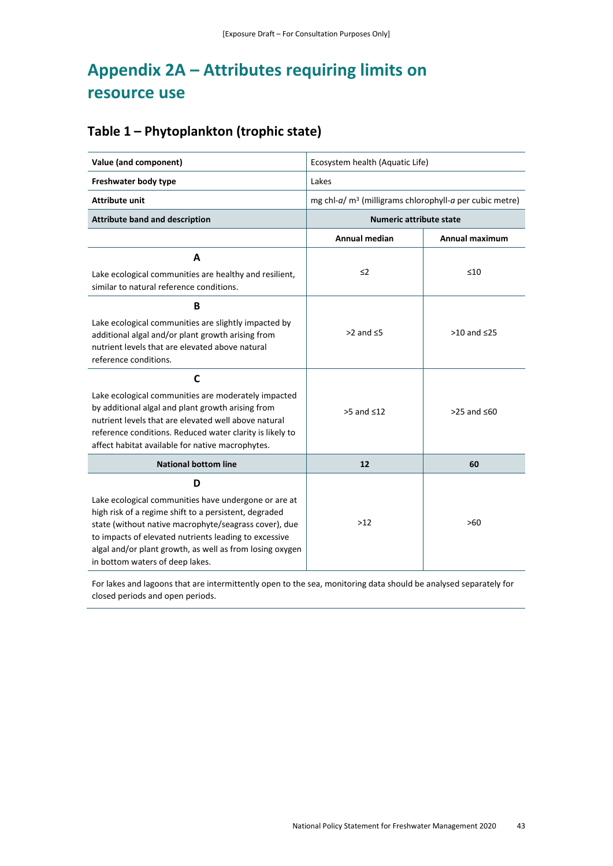## **Appendix 2A – Attributes requiring limits on resource use**

## **Table 1 – Phytoplankton (trophic state)**

| Value (and component)                                                                                                                                                                                                                                                                                                               | Ecosystem health (Aquatic Life)                                    |                     |
|-------------------------------------------------------------------------------------------------------------------------------------------------------------------------------------------------------------------------------------------------------------------------------------------------------------------------------------|--------------------------------------------------------------------|---------------------|
| Freshwater body type                                                                                                                                                                                                                                                                                                                | Lakes                                                              |                     |
| <b>Attribute unit</b>                                                                                                                                                                                                                                                                                                               | mg chl-a/m <sup>3</sup> (milligrams chlorophyll-a per cubic metre) |                     |
| <b>Attribute band and description</b>                                                                                                                                                                                                                                                                                               | <b>Numeric attribute state</b>                                     |                     |
|                                                                                                                                                                                                                                                                                                                                     | Annual median                                                      | Annual maximum      |
| A<br>Lake ecological communities are healthy and resilient,<br>similar to natural reference conditions.                                                                                                                                                                                                                             | $\leq$ 2                                                           | ≤10                 |
| B<br>Lake ecological communities are slightly impacted by<br>additional algal and/or plant growth arising from<br>nutrient levels that are elevated above natural<br>reference conditions.                                                                                                                                          | $>2$ and $\leq$ 5                                                  | $>10$ and $\leq 25$ |
| C<br>Lake ecological communities are moderately impacted<br>by additional algal and plant growth arising from<br>nutrient levels that are elevated well above natural<br>reference conditions. Reduced water clarity is likely to<br>affect habitat available for native macrophytes.                                               | $>5$ and $\leq 12$                                                 | $>25$ and $\leq 60$ |
| <b>National bottom line</b>                                                                                                                                                                                                                                                                                                         | 12                                                                 | 60                  |
| D<br>Lake ecological communities have undergone or are at<br>high risk of a regime shift to a persistent, degraded<br>state (without native macrophyte/seagrass cover), due<br>to impacts of elevated nutrients leading to excessive<br>algal and/or plant growth, as well as from losing oxygen<br>in bottom waters of deep lakes. | $>12$                                                              | >60                 |

For lakes and lagoons that are intermittently open to the sea, monitoring data should be analysed separately for closed periods and open periods.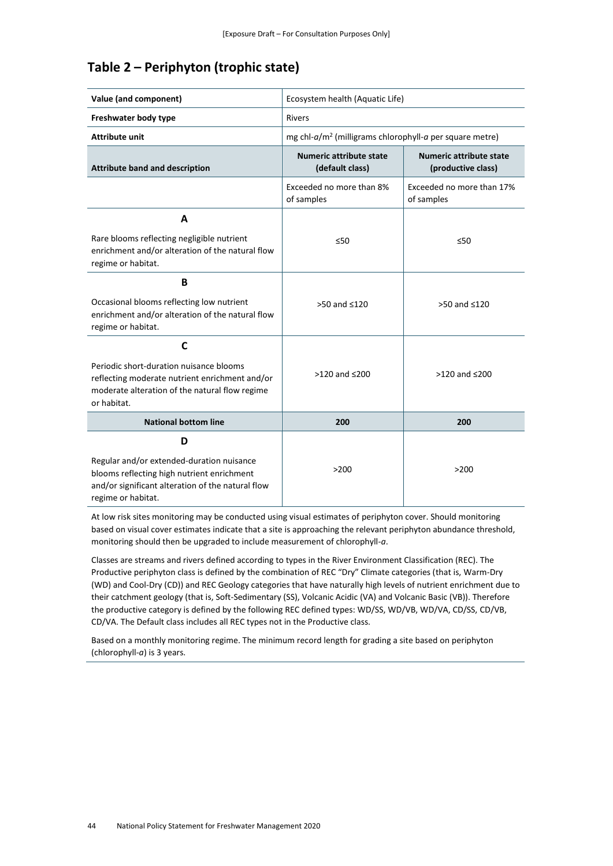## **Table 2 – Periphyton (trophic state)**

| Value (and component)                                                                                                                                                   | Ecosystem health (Aquatic Life)                                |                                               |
|-------------------------------------------------------------------------------------------------------------------------------------------------------------------------|----------------------------------------------------------------|-----------------------------------------------|
| Freshwater body type                                                                                                                                                    | <b>Rivers</b>                                                  |                                               |
| <b>Attribute unit</b>                                                                                                                                                   | mg chl- $a/m^2$ (milligrams chlorophyll- $a$ per square metre) |                                               |
| <b>Attribute band and description</b>                                                                                                                                   | <b>Numeric attribute state</b><br>(default class)              | Numeric attribute state<br>(productive class) |
|                                                                                                                                                                         | Exceeded no more than 8%<br>of samples                         | Exceeded no more than 17%<br>of samples       |
| A                                                                                                                                                                       |                                                                |                                               |
| Rare blooms reflecting negligible nutrient<br>enrichment and/or alteration of the natural flow<br>regime or habitat.                                                    | $\leq 50$                                                      | $\leq 50$                                     |
| B                                                                                                                                                                       |                                                                |                                               |
| Occasional blooms reflecting low nutrient<br>enrichment and/or alteration of the natural flow<br>regime or habitat.                                                     | >50 and ≤120                                                   | >50 and ≤120                                  |
| $\mathsf{C}$                                                                                                                                                            |                                                                |                                               |
| Periodic short-duration nuisance blooms<br>reflecting moderate nutrient enrichment and/or<br>moderate alteration of the natural flow regime<br>or habitat.              | $>120$ and $\leq 200$                                          | $>120$ and $\leq 200$                         |
| <b>National bottom line</b>                                                                                                                                             | 200                                                            | 200                                           |
| D<br>Regular and/or extended-duration nuisance<br>blooms reflecting high nutrient enrichment<br>and/or significant alteration of the natural flow<br>regime or habitat. | >200                                                           | >200                                          |

At low risk sites monitoring may be conducted using visual estimates of periphyton cover. Should monitoring based on visual cover estimates indicate that a site is approaching the relevant periphyton abundance threshold, monitoring should then be upgraded to include measurement of chlorophyll-*a*.

Classes are streams and rivers defined according to types in the River Environment Classification (REC). The Productive periphyton class is defined by the combination of REC "Dry" Climate categories (that is, Warm-Dry (WD) and Cool-Dry (CD)) and REC Geology categories that have naturally high levels of nutrient enrichment due to their catchment geology (that is, Soft-Sedimentary (SS), Volcanic Acidic (VA) and Volcanic Basic (VB)). Therefore the productive category is defined by the following REC defined types: WD/SS, WD/VB, WD/VA, CD/SS, CD/VB, CD/VA. The Default class includes all REC types not in the Productive class.

Based on a monthly monitoring regime. The minimum record length for grading a site based on periphyton (chlorophyll-*a*) is 3 years.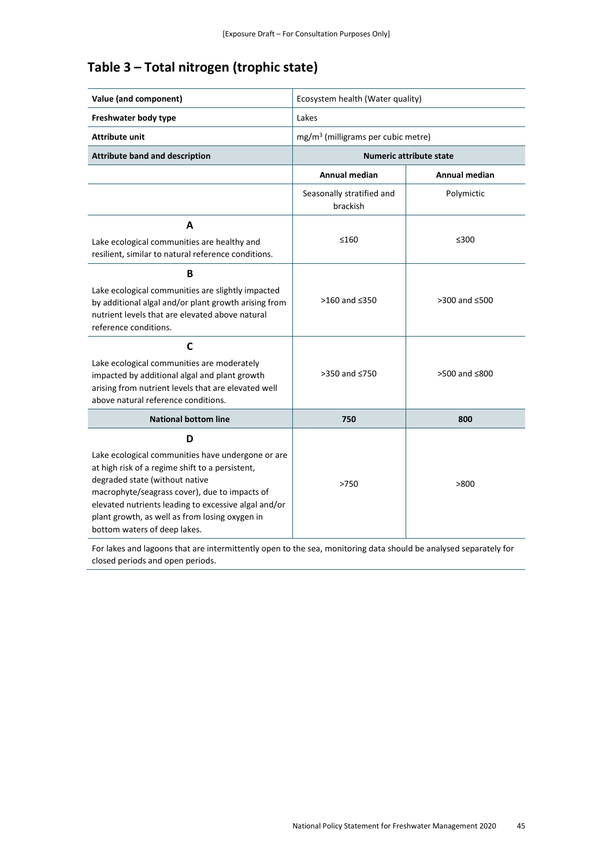## **Table 3 – Total nitrogen (trophic state)**

| Value (and component)                                                                                                                                                                                                                                                                                                                  | Ecosystem health (Water quality)               |                                |
|----------------------------------------------------------------------------------------------------------------------------------------------------------------------------------------------------------------------------------------------------------------------------------------------------------------------------------------|------------------------------------------------|--------------------------------|
| Freshwater body type                                                                                                                                                                                                                                                                                                                   | Lakes                                          |                                |
| <b>Attribute unit</b>                                                                                                                                                                                                                                                                                                                  | mg/m <sup>3</sup> (milligrams per cubic metre) |                                |
| <b>Attribute band and description</b>                                                                                                                                                                                                                                                                                                  |                                                | <b>Numeric attribute state</b> |
|                                                                                                                                                                                                                                                                                                                                        | <b>Annual median</b>                           | <b>Annual median</b>           |
|                                                                                                                                                                                                                                                                                                                                        | Seasonally stratified and<br>brackish          | Polymictic                     |
| A<br>Lake ecological communities are healthy and<br>resilient, similar to natural reference conditions.                                                                                                                                                                                                                                | ≤160                                           | ≤300                           |
| B<br>Lake ecological communities are slightly impacted<br>by additional algal and/or plant growth arising from<br>nutrient levels that are elevated above natural<br>reference conditions.                                                                                                                                             | $>160$ and $\leq 350$                          | >300 and ≤500                  |
| C<br>Lake ecological communities are moderately<br>impacted by additional algal and plant growth<br>arising from nutrient levels that are elevated well<br>above natural reference conditions.                                                                                                                                         | >350 and ≤750                                  | >500 and ≤800                  |
| <b>National bottom line</b>                                                                                                                                                                                                                                                                                                            | 750                                            | 800                            |
| D<br>Lake ecological communities have undergone or are<br>at high risk of a regime shift to a persistent,<br>degraded state (without native<br>macrophyte/seagrass cover), due to impacts of<br>elevated nutrients leading to excessive algal and/or<br>plant growth, as well as from losing oxygen in<br>bottom waters of deep lakes. | >750                                           | >800                           |

For lakes and lagoons that are intermittently open to the sea, monitoring data should be analysed separately for closed periods and open periods.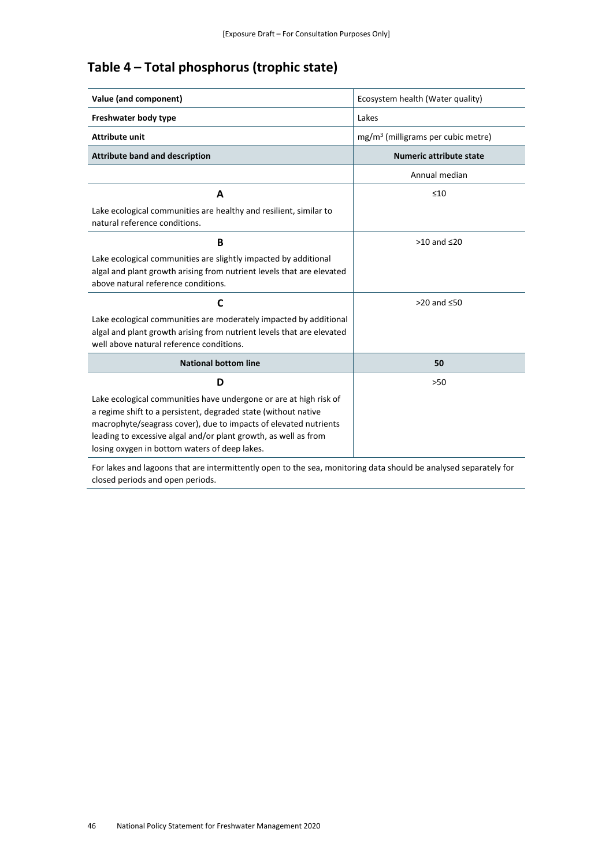## **Table 4 – Total phosphorus (trophic state)**

| Value (and component)                                                                                                                                                                                                                                                                                                       | Ecosystem health (Water quality)               |
|-----------------------------------------------------------------------------------------------------------------------------------------------------------------------------------------------------------------------------------------------------------------------------------------------------------------------------|------------------------------------------------|
| Freshwater body type                                                                                                                                                                                                                                                                                                        | Lakes                                          |
| <b>Attribute unit</b>                                                                                                                                                                                                                                                                                                       | mg/m <sup>3</sup> (milligrams per cubic metre) |
| <b>Attribute band and description</b>                                                                                                                                                                                                                                                                                       | <b>Numeric attribute state</b>                 |
|                                                                                                                                                                                                                                                                                                                             | Annual median                                  |
| A                                                                                                                                                                                                                                                                                                                           | ≤10                                            |
| Lake ecological communities are healthy and resilient, similar to<br>natural reference conditions.                                                                                                                                                                                                                          |                                                |
| B                                                                                                                                                                                                                                                                                                                           | $>10$ and $\leq 20$                            |
| Lake ecological communities are slightly impacted by additional<br>algal and plant growth arising from nutrient levels that are elevated<br>above natural reference conditions.                                                                                                                                             |                                                |
| $\mathsf{C}$                                                                                                                                                                                                                                                                                                                | $>20$ and $\leq 50$                            |
| Lake ecological communities are moderately impacted by additional<br>algal and plant growth arising from nutrient levels that are elevated<br>well above natural reference conditions.                                                                                                                                      |                                                |
| <b>National bottom line</b>                                                                                                                                                                                                                                                                                                 | 50                                             |
| D                                                                                                                                                                                                                                                                                                                           | >50                                            |
| Lake ecological communities have undergone or are at high risk of<br>a regime shift to a persistent, degraded state (without native<br>macrophyte/seagrass cover), due to impacts of elevated nutrients<br>leading to excessive algal and/or plant growth, as well as from<br>losing oxygen in bottom waters of deep lakes. |                                                |

For lakes and lagoons that are intermittently open to the sea, monitoring data should be analysed separately for closed periods and open periods.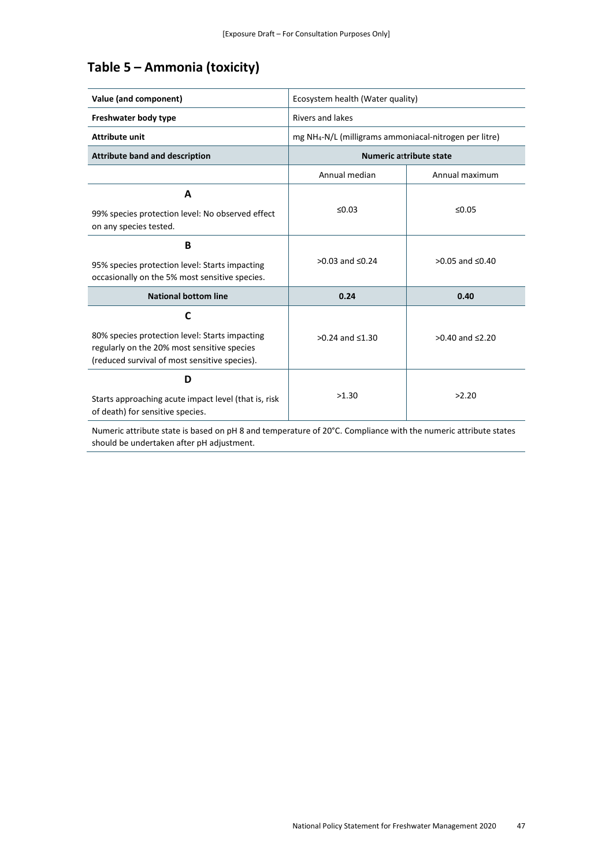## **Table 5 – Ammonia (toxicity)**

| Value (and component)                                                                                                                               | Ecosystem health (Water quality)                                   |                         |
|-----------------------------------------------------------------------------------------------------------------------------------------------------|--------------------------------------------------------------------|-------------------------|
| Freshwater body type                                                                                                                                | <b>Rivers and lakes</b>                                            |                         |
| <b>Attribute unit</b>                                                                                                                               | mg NH <sub>4</sub> -N/L (milligrams ammoniacal-nitrogen per litre) |                         |
| <b>Attribute band and description</b>                                                                                                               | <b>Numeric attribute state</b>                                     |                         |
|                                                                                                                                                     | Annual median                                                      | Annual maximum          |
| A<br>99% species protection level: No observed effect                                                                                               | ≤0.03                                                              | $≤0.05$                 |
| on any species tested.                                                                                                                              |                                                                    |                         |
| B                                                                                                                                                   |                                                                    |                         |
| 95% species protection level: Starts impacting<br>occasionally on the 5% most sensitive species.                                                    | $>0.03$ and $\leq 0.24$                                            | $>0.05$ and $\leq 0.40$ |
| <b>National bottom line</b>                                                                                                                         | 0.24                                                               | 0.40                    |
| C<br>80% species protection level: Starts impacting<br>regularly on the 20% most sensitive species<br>(reduced survival of most sensitive species). | $>0.24$ and $\leq 1.30$                                            | $>0.40$ and $\leq 2.20$ |
| D<br>Starts approaching acute impact level (that is, risk<br>of death) for sensitive species.                                                       | >1.30                                                              | >2.20                   |

Numeric attribute state is based on pH 8 and temperature of 20°C. Compliance with the numeric attribute states should be undertaken after pH adjustment.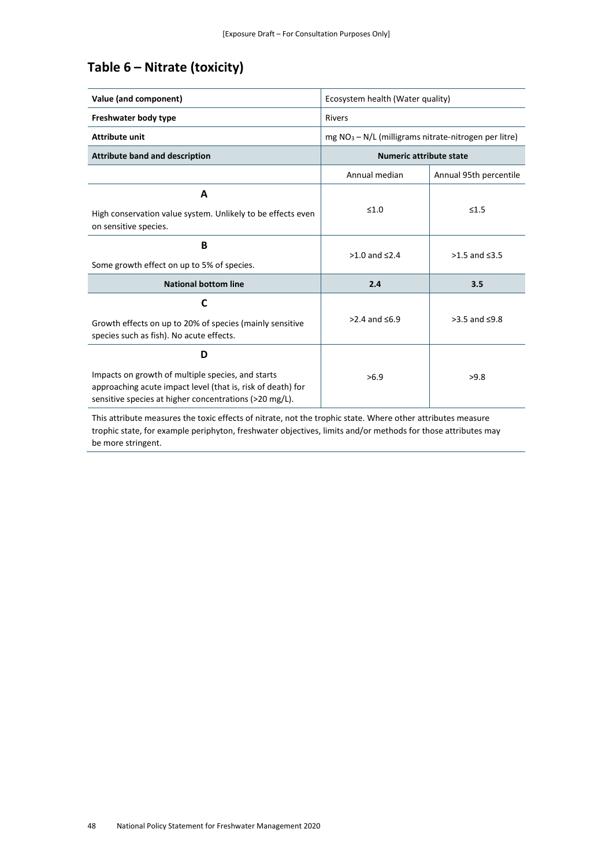## **Table 6 – Nitrate (toxicity)**

| Value (and component)                                                                                                                                                           | Ecosystem health (Water quality)                                 |                        |
|---------------------------------------------------------------------------------------------------------------------------------------------------------------------------------|------------------------------------------------------------------|------------------------|
| Freshwater body type                                                                                                                                                            | <b>Rivers</b>                                                    |                        |
| <b>Attribute unit</b>                                                                                                                                                           | mg NO <sub>3</sub> - N/L (milligrams nitrate-nitrogen per litre) |                        |
| <b>Attribute band and description</b>                                                                                                                                           | <b>Numeric attribute state</b>                                   |                        |
|                                                                                                                                                                                 | Annual median                                                    | Annual 95th percentile |
| A<br>High conservation value system. Unlikely to be effects even<br>on sensitive species.                                                                                       | $\leq 1.0$                                                       | $\leq 1.5$             |
| B<br>Some growth effect on up to 5% of species.                                                                                                                                 | $>1.0$ and $\leq 2.4$                                            | $>1.5$ and $\leq 3.5$  |
| <b>National bottom line</b>                                                                                                                                                     | 2.4                                                              | 3.5                    |
| C<br>Growth effects on up to 20% of species (mainly sensitive<br>species such as fish). No acute effects.                                                                       | >2.4 and ≤6.9                                                    | $>3.5$ and $\leq 9.8$  |
| D<br>Impacts on growth of multiple species, and starts<br>approaching acute impact level (that is, risk of death) for<br>sensitive species at higher concentrations (>20 mg/L). | >6.9                                                             | >9.8                   |

This attribute measures the toxic effects of nitrate, not the trophic state. Where other attributes measure trophic state, for example periphyton, freshwater objectives, limits and/or methods for those attributes may be more stringent.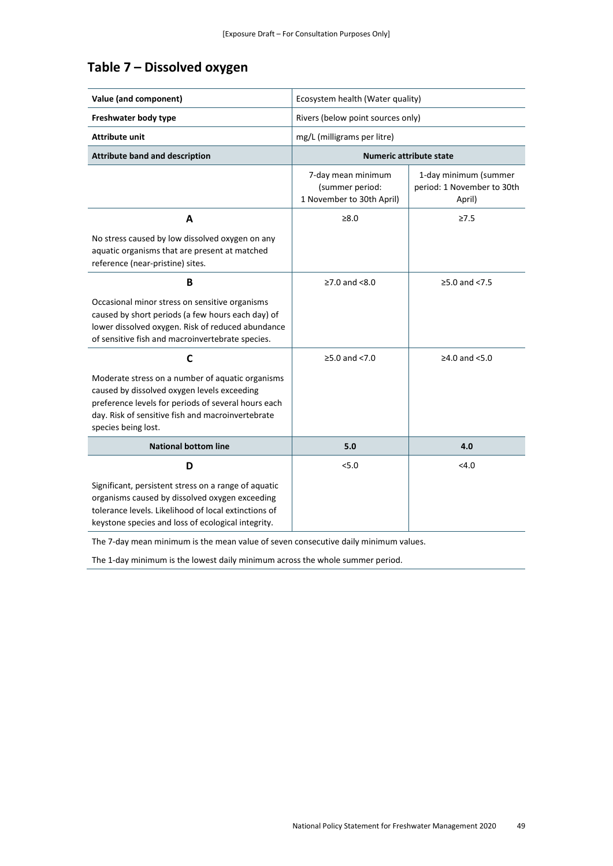## **Table 7 – Dissolved oxygen**

| Value (and component)                                                                                                                                                                                                              | Ecosystem health (Water quality)                                   |                                                               |
|------------------------------------------------------------------------------------------------------------------------------------------------------------------------------------------------------------------------------------|--------------------------------------------------------------------|---------------------------------------------------------------|
| Freshwater body type                                                                                                                                                                                                               | Rivers (below point sources only)                                  |                                                               |
| <b>Attribute unit</b>                                                                                                                                                                                                              | mg/L (milligrams per litre)                                        |                                                               |
| <b>Attribute band and description</b>                                                                                                                                                                                              |                                                                    | <b>Numeric attribute state</b>                                |
|                                                                                                                                                                                                                                    | 7-day mean minimum<br>(summer period:<br>1 November to 30th April) | 1-day minimum (summer<br>period: 1 November to 30th<br>April) |
| A                                                                                                                                                                                                                                  | $\geq 8.0$                                                         | $\geq 7.5$                                                    |
| No stress caused by low dissolved oxygen on any<br>aquatic organisms that are present at matched<br>reference (near-pristine) sites.                                                                                               |                                                                    |                                                               |
| B                                                                                                                                                                                                                                  | $≥7.0$ and $< 8.0$                                                 | $≥5.0$ and <7.5                                               |
| Occasional minor stress on sensitive organisms<br>caused by short periods (a few hours each day) of<br>lower dissolved oxygen. Risk of reduced abundance<br>of sensitive fish and macroinvertebrate species.                       |                                                                    |                                                               |
| $\mathsf{C}$                                                                                                                                                                                                                       | $≥5.0$ and <7.0                                                    | $≥4.0$ and $< 5.0$                                            |
| Moderate stress on a number of aquatic organisms<br>caused by dissolved oxygen levels exceeding<br>preference levels for periods of several hours each<br>day. Risk of sensitive fish and macroinvertebrate<br>species being lost. |                                                                    |                                                               |
| <b>National bottom line</b>                                                                                                                                                                                                        | 5.0                                                                | 4.0                                                           |
| D                                                                                                                                                                                                                                  | 5.0                                                                | < 4.0                                                         |
| Significant, persistent stress on a range of aquatic<br>organisms caused by dissolved oxygen exceeding<br>tolerance levels. Likelihood of local extinctions of<br>keystone species and loss of ecological integrity.               |                                                                    |                                                               |

The 7-day mean minimum is the mean value of seven consecutive daily minimum values.

The 1-day minimum is the lowest daily minimum across the whole summer period.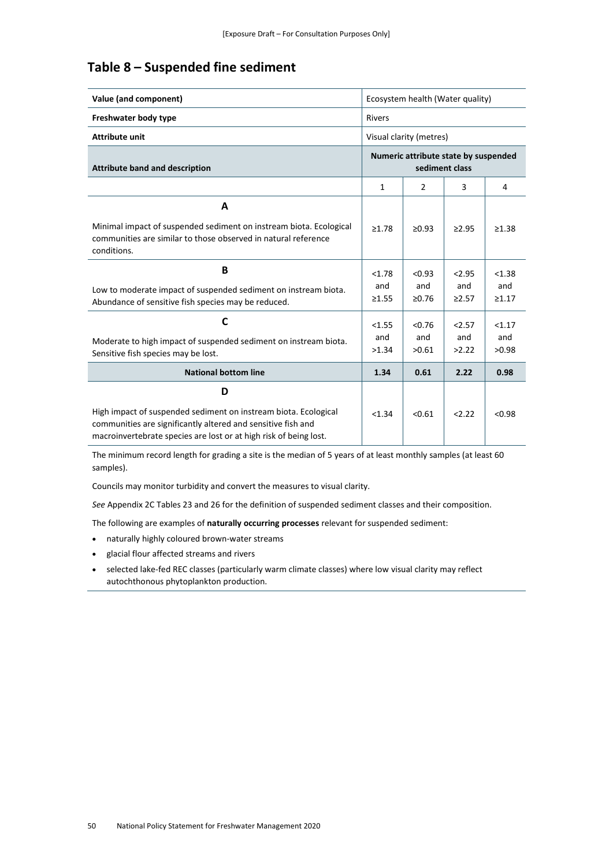### **Table 8 – Suspended fine sediment**

| Value (and component)                                                                                                                                                                                     | Ecosystem health (Water quality) |                                                        |                              |                              |
|-----------------------------------------------------------------------------------------------------------------------------------------------------------------------------------------------------------|----------------------------------|--------------------------------------------------------|------------------------------|------------------------------|
| Freshwater body type                                                                                                                                                                                      | <b>Rivers</b>                    |                                                        |                              |                              |
| <b>Attribute unit</b>                                                                                                                                                                                     |                                  | Visual clarity (metres)                                |                              |                              |
| <b>Attribute band and description</b>                                                                                                                                                                     |                                  | Numeric attribute state by suspended<br>sediment class |                              |                              |
|                                                                                                                                                                                                           | $\mathbf{1}$                     | $\overline{2}$                                         | 3                            | 4                            |
| A<br>Minimal impact of suspended sediment on instream biota. Ecological<br>communities are similar to those observed in natural reference<br>conditions.                                                  | $\geq 1.78$                      | $\geq 0.93$                                            | $\geq 2.95$                  | $\geq 1.38$                  |
| B<br>Low to moderate impact of suspended sediment on instream biota.<br>Abundance of sensitive fish species may be reduced.                                                                               | < 1.78<br>and<br>$\geq 1.55$     | < 0.93<br>and<br>≥0.76                                 | < 2.95<br>and<br>$\geq 2.57$ | < 1.38<br>and<br>$\geq 1.17$ |
| C<br>Moderate to high impact of suspended sediment on instream biota.<br>Sensitive fish species may be lost.                                                                                              | < 1.55<br>and<br>>1.34           | < 0.76<br>and<br>>0.61                                 | 2.57<br>and<br>>2.22         | < 1.17<br>and<br>>0.98       |
| <b>National bottom line</b>                                                                                                                                                                               | 1.34                             | 0.61                                                   | 2.22                         | 0.98                         |
| D<br>High impact of suspended sediment on instream biota. Ecological<br>communities are significantly altered and sensitive fish and<br>macroinvertebrate species are lost or at high risk of being lost. | < 1.34                           | < 0.61                                                 | 2.22                         | < 0.98                       |

The minimum record length for grading a site is the median of 5 years of at least monthly samples (at least 60 samples).

Councils may monitor turbidity and convert the measures to visual clarity.

*See* Appendix 2C Tables 23 and 26 for the definition of suspended sediment classes and their composition.

The following are examples of **naturally occurring processes** relevant for suspended sediment:

- naturally highly coloured brown-water streams
- glacial flour affected streams and rivers
- selected lake-fed REC classes (particularly warm climate classes) where low visual clarity may reflect autochthonous phytoplankton production.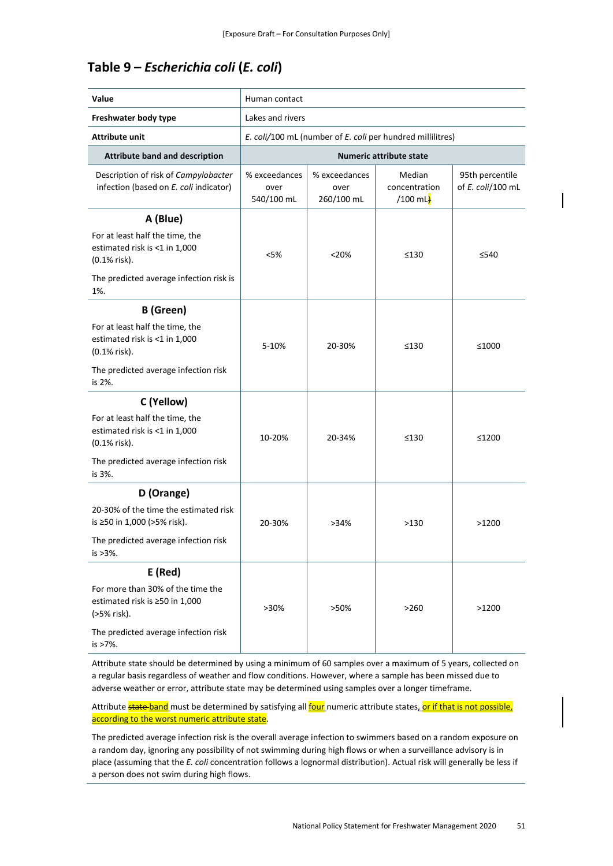### **Table 9 –** *Escherichia coli* **(***E. coli***)**

| Value                                                                              | Human contact                                              |                                     |                                      |                                      |
|------------------------------------------------------------------------------------|------------------------------------------------------------|-------------------------------------|--------------------------------------|--------------------------------------|
| Freshwater body type                                                               | Lakes and rivers                                           |                                     |                                      |                                      |
| <b>Attribute unit</b>                                                              | E. coli/100 mL (number of E. coli per hundred millilitres) |                                     |                                      |                                      |
| <b>Attribute band and description</b>                                              |                                                            |                                     | <b>Numeric attribute state</b>       |                                      |
| Description of risk of Campylobacter<br>infection (based on E. coli indicator)     | % exceedances<br>over<br>540/100 mL                        | % exceedances<br>over<br>260/100 mL | Median<br>concentration<br>$/100$ mL | 95th percentile<br>of E. coli/100 mL |
| A (Blue)                                                                           |                                                            |                                     |                                      |                                      |
| For at least half the time, the<br>estimated risk is <1 in 1,000<br>(0.1% risk).   | <5%                                                        | $<$ 20%                             | ≤130                                 | ≤540                                 |
| The predicted average infection risk is<br>1%.                                     |                                                            |                                     |                                      |                                      |
| <b>B</b> (Green)                                                                   |                                                            |                                     |                                      |                                      |
| For at least half the time, the<br>estimated risk is <1 in 1,000<br>(0.1% risk).   | 5-10%                                                      | 20-30%                              | $\leq 130$                           | ≤1000                                |
| The predicted average infection risk<br>is 2%.                                     |                                                            |                                     |                                      |                                      |
| C (Yellow)                                                                         |                                                            |                                     |                                      |                                      |
| For at least half the time, the<br>estimated risk is <1 in 1,000<br>(0.1% risk).   | 10-20%                                                     | 20-34%                              | $\leq 130$                           | ≤1200                                |
| The predicted average infection risk<br>is 3%.                                     |                                                            |                                     |                                      |                                      |
| D (Orange)                                                                         |                                                            |                                     |                                      |                                      |
| 20-30% of the time the estimated risk<br>is ≥50 in 1,000 (>5% risk).               | 20-30%                                                     | $>34\%$                             | >130                                 | >1200                                |
| The predicted average infection risk<br>is >3%.                                    |                                                            |                                     |                                      |                                      |
| E (Red)                                                                            |                                                            |                                     |                                      |                                      |
| For more than 30% of the time the<br>estimated risk is ≥50 in 1,000<br>(>5% risk). | >30%                                                       | >50%                                | >260                                 | >1200                                |
| The predicted average infection risk<br>is >7%.                                    |                                                            |                                     |                                      |                                      |

Attribute state should be determined by using a minimum of 60 samples over a maximum of 5 years, collected on a regular basis regardless of weather and flow conditions. However, where a sample has been missed due to adverse weather or error, attribute state may be determined using samples over a longer timeframe.

Attribute **state band** must be determined by satisfying all four numeric attribute states, or if that is not possible, according to the worst numeric attribute state.

The predicted average infection risk is the overall average infection to swimmers based on a random exposure on a random day, ignoring any possibility of not swimming during high flows or when a surveillance advisory is in place (assuming that the *E. coli* concentration follows a lognormal distribution). Actual risk will generally be less if a person does not swim during high flows.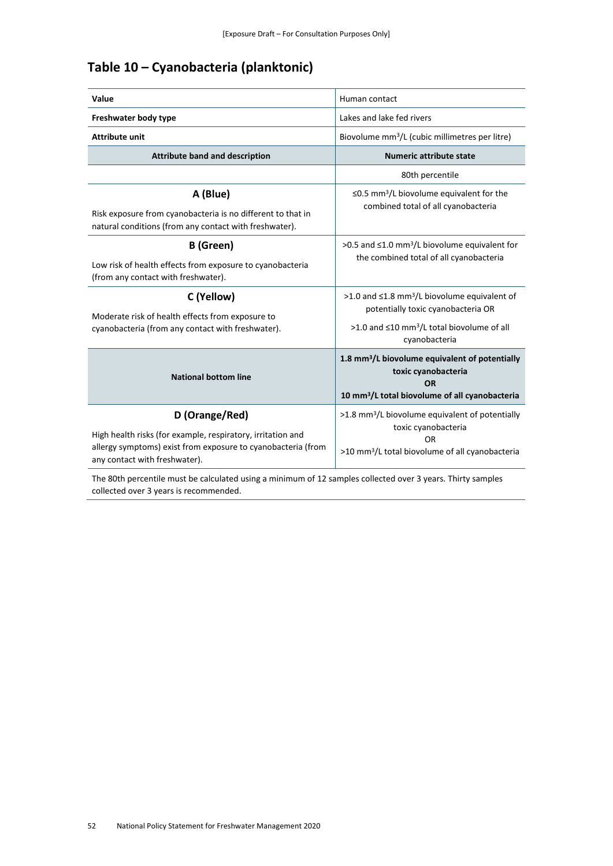## **Table 10 – Cyanobacteria (planktonic)**

| Value                                                                                                                                                                          | Human contact                                                                                                                                                                         |
|--------------------------------------------------------------------------------------------------------------------------------------------------------------------------------|---------------------------------------------------------------------------------------------------------------------------------------------------------------------------------------|
| Freshwater body type                                                                                                                                                           | Lakes and lake fed rivers                                                                                                                                                             |
| <b>Attribute unit</b>                                                                                                                                                          | Biovolume mm <sup>3</sup> /L (cubic millimetres per litre)                                                                                                                            |
| <b>Attribute band and description</b>                                                                                                                                          | <b>Numeric attribute state</b>                                                                                                                                                        |
|                                                                                                                                                                                | 80th percentile                                                                                                                                                                       |
| A (Blue)<br>Risk exposure from cyanobacteria is no different to that in<br>natural conditions (from any contact with freshwater).                                              | $\leq$ 0.5 mm <sup>3</sup> /L biovolume equivalent for the<br>combined total of all cyanobacteria                                                                                     |
| <b>B</b> (Green)<br>Low risk of health effects from exposure to cyanobacteria<br>(from any contact with freshwater).                                                           | >0.5 and $\leq$ 1.0 mm <sup>3</sup> /L biovolume equivalent for<br>the combined total of all cyanobacteria                                                                            |
| C (Yellow)<br>Moderate risk of health effects from exposure to<br>cyanobacteria (from any contact with freshwater).                                                            | >1.0 and $\leq$ 1.8 mm <sup>3</sup> /L biovolume equivalent of<br>potentially toxic cyanobacteria OR<br>>1.0 and $\leq$ 10 mm <sup>3</sup> /L total biovolume of all<br>cyanobacteria |
| <b>National bottom line</b>                                                                                                                                                    | 1.8 mm <sup>3</sup> /L biovolume equivalent of potentially<br>toxic cyanobacteria<br><b>OR</b><br>10 mm <sup>3</sup> /L total biovolume of all cyanobacteria                          |
| D (Orange/Red)<br>High health risks (for example, respiratory, irritation and<br>allergy symptoms) exist from exposure to cyanobacteria (from<br>any contact with freshwater). | $>1.8$ mm <sup>3</sup> /L biovolume equivalent of potentially<br>toxic cyanobacteria<br>OR<br>>10 mm <sup>3</sup> /L total biovolume of all cyanobacteria                             |

The 80th percentile must be calculated using a minimum of 12 samples collected over 3 years. Thirty samples collected over 3 years is recommended.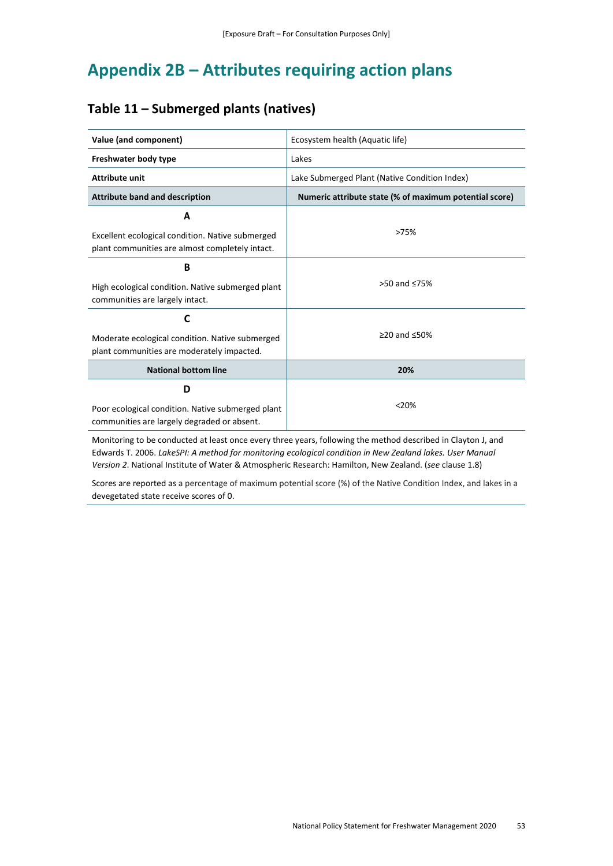## **Appendix 2B – Attributes requiring action plans**

## **Table 11 – Submerged plants (natives)**

| Value (and component)                                                                               | Ecosystem health (Aquatic life)                        |
|-----------------------------------------------------------------------------------------------------|--------------------------------------------------------|
| Freshwater body type                                                                                | Lakes                                                  |
| <b>Attribute unit</b>                                                                               | Lake Submerged Plant (Native Condition Index)          |
| <b>Attribute band and description</b>                                                               | Numeric attribute state (% of maximum potential score) |
| A                                                                                                   |                                                        |
| Excellent ecological condition. Native submerged<br>plant communities are almost completely intact. | >75%                                                   |
| B                                                                                                   |                                                        |
| High ecological condition. Native submerged plant<br>communities are largely intact.                | >50 and ≤75%                                           |
| C                                                                                                   |                                                        |
| Moderate ecological condition. Native submerged<br>plant communities are moderately impacted.       | ≥20 and $≤50%$                                         |
| <b>National bottom line</b>                                                                         | 20%                                                    |
| D                                                                                                   |                                                        |
| Poor ecological condition. Native submerged plant<br>communities are largely degraded or absent.    | < 20%                                                  |

Monitoring to be conducted at least once every three years, following the method described in Clayton J, and Edwards T. 2006. *LakeSPI: A method for monitoring ecological condition in New Zealand lakes. User Manual Version 2*. National Institute of Water & Atmospheric Research: Hamilton, New Zealand. (*see* clause 1.8)

Scores are reported as a percentage of maximum potential score (%) of the Native Condition Index, and lakes in a devegetated state receive scores of 0.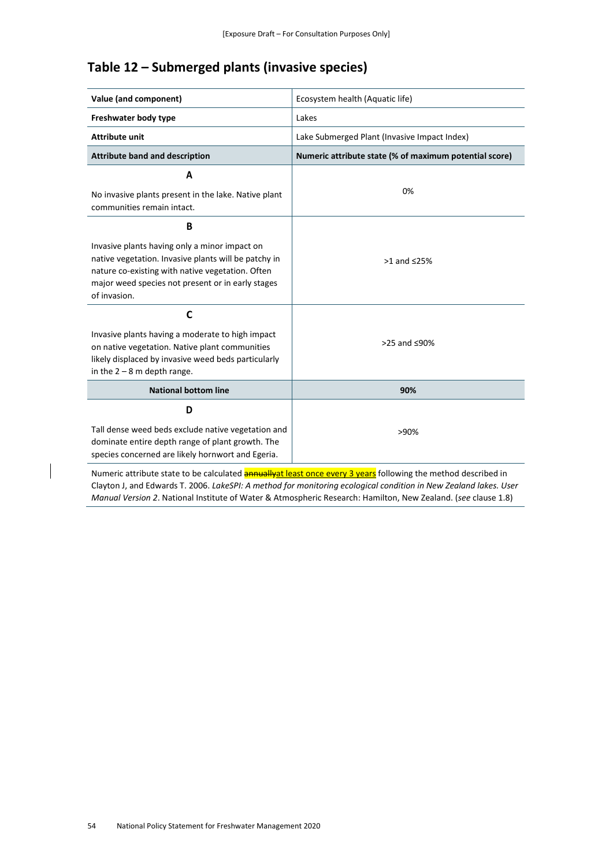## **Table 12 – Submerged plants (invasive species)**

| Value (and component)                                                                                                                                                                                                          | Ecosystem health (Aquatic life)                        |
|--------------------------------------------------------------------------------------------------------------------------------------------------------------------------------------------------------------------------------|--------------------------------------------------------|
| Freshwater body type                                                                                                                                                                                                           | Lakes                                                  |
| <b>Attribute unit</b>                                                                                                                                                                                                          | Lake Submerged Plant (Invasive Impact Index)           |
| <b>Attribute band and description</b>                                                                                                                                                                                          | Numeric attribute state (% of maximum potential score) |
| A                                                                                                                                                                                                                              | 0%                                                     |
| No invasive plants present in the lake. Native plant<br>communities remain intact.                                                                                                                                             |                                                        |
| B                                                                                                                                                                                                                              |                                                        |
| Invasive plants having only a minor impact on<br>native vegetation. Invasive plants will be patchy in<br>nature co-existing with native vegetation. Often<br>major weed species not present or in early stages<br>of invasion. | $>1$ and $\leq$ 25%                                    |
| C<br>Invasive plants having a moderate to high impact<br>on native vegetation. Native plant communities<br>likely displaced by invasive weed beds particularly<br>in the $2 - 8$ m depth range.                                | >25 and <90%                                           |
| <b>National bottom line</b>                                                                                                                                                                                                    | 90%                                                    |
| D                                                                                                                                                                                                                              |                                                        |
| Tall dense weed beds exclude native vegetation and<br>dominate entire depth range of plant growth. The<br>species concerned are likely hornwort and Egeria.                                                                    | $>90\%$                                                |

Numeric attribute state to be calculated **annually**at least once every 3 years following the method described in Clayton J, and Edwards T. 2006. *LakeSPI: A method for monitoring ecological condition in New Zealand lakes. User Manual Version 2*. National Institute of Water & Atmospheric Research: Hamilton, New Zealand. (*see* clause 1.8)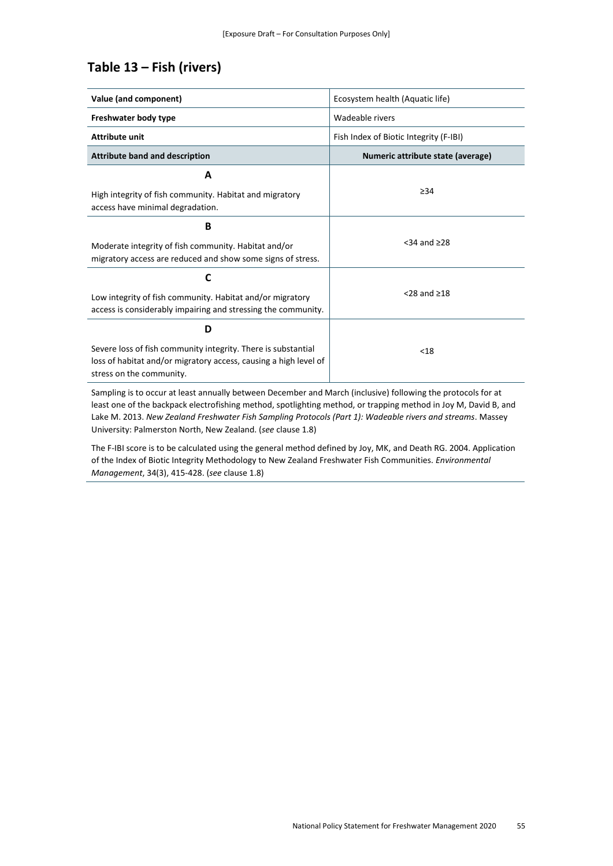### **Table 13 – Fish (rivers)**

| Value (and component)                                                                                                                                         | Ecosystem health (Aquatic life)        |
|---------------------------------------------------------------------------------------------------------------------------------------------------------------|----------------------------------------|
| Freshwater body type                                                                                                                                          | Wadeable rivers                        |
| <b>Attribute unit</b>                                                                                                                                         | Fish Index of Biotic Integrity (F-IBI) |
| <b>Attribute band and description</b>                                                                                                                         | Numeric attribute state (average)      |
| A                                                                                                                                                             |                                        |
| High integrity of fish community. Habitat and migratory<br>access have minimal degradation.                                                                   | $\geq$ 34                              |
| B                                                                                                                                                             |                                        |
| Moderate integrity of fish community. Habitat and/or<br>migratory access are reduced and show some signs of stress.                                           | $<$ 34 and $\geq$ 28                   |
| C                                                                                                                                                             |                                        |
| Low integrity of fish community. Habitat and/or migratory<br>access is considerably impairing and stressing the community.                                    | $<$ 28 and $\geq$ 18                   |
| D                                                                                                                                                             |                                        |
| Severe loss of fish community integrity. There is substantial<br>loss of habitat and/or migratory access, causing a high level of<br>stress on the community. | < 18                                   |
| للمربط والمواجعين وعاليميش بمالوك فيناس والمتاري والمساورة والمستحدد والمستحدث والمستحدث والمستحدث والمستقطع والمستحدث                                        |                                        |

Sampling is to occur at least annually between December and March (inclusive) following the protocols for at least one of the backpack electrofishing method, spotlighting method, or trapping method in Joy M, David B, and Lake M. 2013. *New Zealand Freshwater Fish Sampling Protocols (Part 1): Wadeable rivers and streams*. Massey University: Palmerston North, New Zealand. (*see* clause 1.8)

The F-IBI score is to be calculated using the general method defined by Joy, MK, and Death RG. 2004. Application of the Index of Biotic Integrity Methodology to New Zealand Freshwater Fish Communities. *Environmental Management*, 34(3), 415-428. (*see* clause 1.8)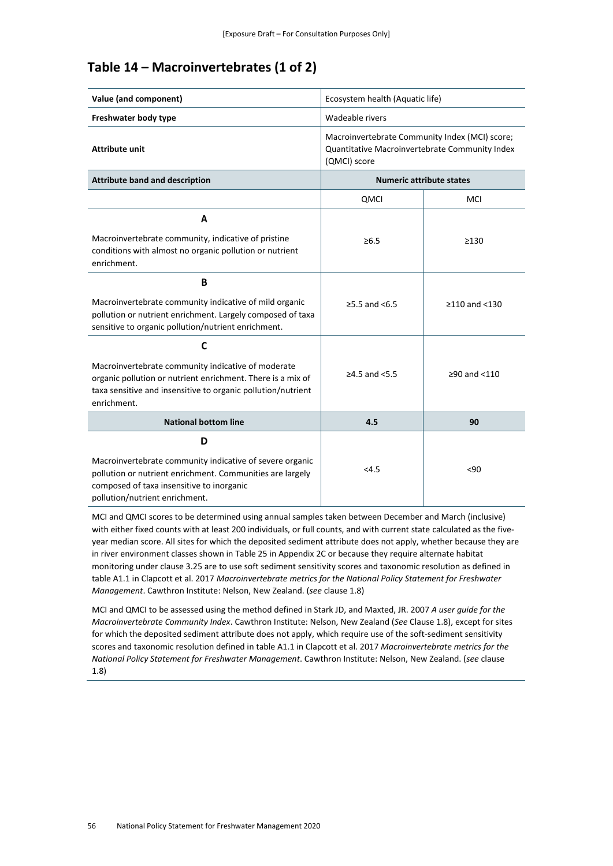### **Table 14 – Macroinvertebrates (1 of 2)**

| Value (and component)                                                                                                                                                                                     | Ecosystem health (Aquatic life)                                                                                  |                    |
|-----------------------------------------------------------------------------------------------------------------------------------------------------------------------------------------------------------|------------------------------------------------------------------------------------------------------------------|--------------------|
| Freshwater body type                                                                                                                                                                                      | Wadeable rivers                                                                                                  |                    |
| <b>Attribute unit</b>                                                                                                                                                                                     | Macroinvertebrate Community Index (MCI) score;<br>Quantitative Macroinvertebrate Community Index<br>(QMCI) score |                    |
| <b>Attribute band and description</b>                                                                                                                                                                     | <b>Numeric attribute states</b>                                                                                  |                    |
|                                                                                                                                                                                                           | QMCI                                                                                                             | <b>MCI</b>         |
| A                                                                                                                                                                                                         |                                                                                                                  |                    |
| Macroinvertebrate community, indicative of pristine<br>conditions with almost no organic pollution or nutrient<br>enrichment.                                                                             | $\geq 6.5$                                                                                                       | >130               |
| B                                                                                                                                                                                                         |                                                                                                                  |                    |
| Macroinvertebrate community indicative of mild organic<br>pollution or nutrient enrichment. Largely composed of taxa<br>sensitive to organic pollution/nutrient enrichment.                               | $≥5.5$ and <6.5                                                                                                  | $≥110$ and <130    |
| C                                                                                                                                                                                                         |                                                                                                                  |                    |
| Macroinvertebrate community indicative of moderate<br>organic pollution or nutrient enrichment. There is a mix of<br>taxa sensitive and insensitive to organic pollution/nutrient<br>enrichment.          | $≥4.5$ and $< 5.5$                                                                                               | $\geq$ 90 and <110 |
| <b>National bottom line</b>                                                                                                                                                                               | 4.5                                                                                                              | 90                 |
| D<br>Macroinvertebrate community indicative of severe organic<br>pollution or nutrient enrichment. Communities are largely<br>composed of taxa insensitive to inorganic<br>pollution/nutrient enrichment. | < 4.5                                                                                                            | $90$               |

MCI and QMCI scores to be determined using annual samples taken between December and March (inclusive) with either fixed counts with at least 200 individuals, or full counts, and with current state calculated as the fiveyear median score. All sites for which the deposited sediment attribute does not apply, whether because they are in river environment classes shown in Table 25 in Appendix 2C or because they require alternate habitat monitoring under clause 3.25 are to use soft sediment sensitivity scores and taxonomic resolution as defined in table A1.1 in Clapcott et al. 2017 *Macroinvertebrate metrics for the National Policy Statement for Freshwater Management*. Cawthron Institute: Nelson, New Zealand. (*see* clause 1.8)

MCI and QMCI to be assessed using the method defined in Stark JD, and Maxted, JR. 2007 *A user guide for the Macroinvertebrate Community Index*. Cawthron Institute: Nelson, New Zealand (*See* Clause 1.8), except for sites for which the deposited sediment attribute does not apply, which require use of the soft-sediment sensitivity scores and taxonomic resolution defined in table A1.1 in Clapcott et al. 2017 *Macroinvertebrate metrics for the National Policy Statement for Freshwater Management*. Cawthron Institute: Nelson, New Zealand. (*see* clause 1.8)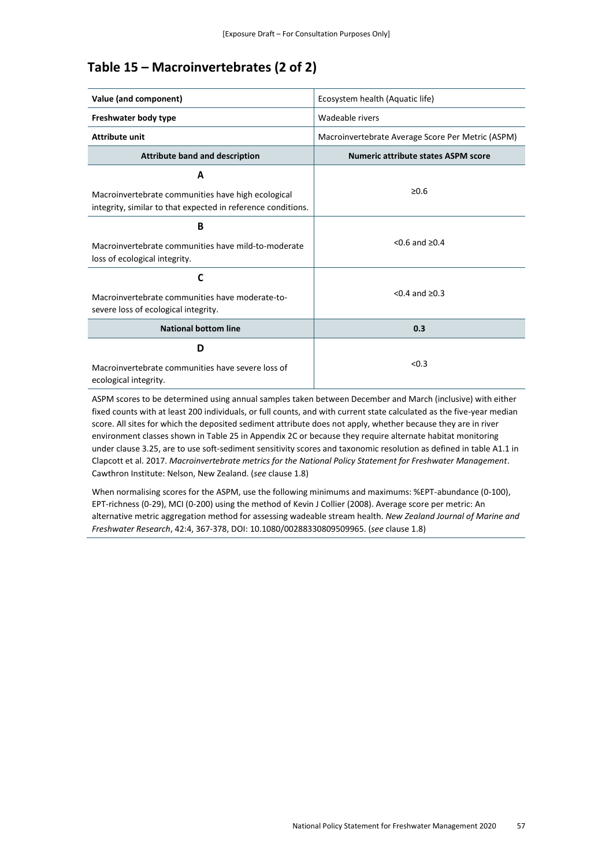### **Table 15 – Macroinvertebrates (2 of 2)**

| Value (and component)                                                                                              | Ecosystem health (Aquatic life)                   |
|--------------------------------------------------------------------------------------------------------------------|---------------------------------------------------|
| Freshwater body type                                                                                               | Wadeable rivers                                   |
| <b>Attribute unit</b>                                                                                              | Macroinvertebrate Average Score Per Metric (ASPM) |
| <b>Attribute band and description</b>                                                                              | <b>Numeric attribute states ASPM score</b>        |
| A                                                                                                                  |                                                   |
| Macroinvertebrate communities have high ecological<br>integrity, similar to that expected in reference conditions. | $\ge 0.6$                                         |
| B                                                                                                                  |                                                   |
| Macroinvertebrate communities have mild-to-moderate<br>loss of ecological integrity.                               | $< 0.6$ and $\ge 0.4$                             |
| C                                                                                                                  |                                                   |
| Macroinvertebrate communities have moderate-to-<br>severe loss of ecological integrity.                            | $< 0.4$ and $> 0.3$                               |
| <b>National bottom line</b>                                                                                        | 0.3                                               |
| D                                                                                                                  |                                                   |
| Macroinvertebrate communities have severe loss of<br>ecological integrity.                                         | < 0.3                                             |

ASPM scores to be determined using annual samples taken between December and March (inclusive) with either fixed counts with at least 200 individuals, or full counts, and with current state calculated as the five-year median score. All sites for which the deposited sediment attribute does not apply, whether because they are in river environment classes shown in Table 25 in Appendix 2C or because they require alternate habitat monitoring under clause 3.25, are to use soft-sediment sensitivity scores and taxonomic resolution as defined in table A1.1 in Clapcott et al. 2017. *Macroinvertebrate metrics for the National Policy Statement for Freshwater Management*. Cawthron Institute: Nelson, New Zealand. (*see* clause 1.8)

When normalising scores for the ASPM, use the following minimums and maximums: %EPT-abundance (0-100), EPT-richness (0-29), MCI (0-200) using the method of Kevin J Collier (2008). Average score per metric: An alternative metric aggregation method for assessing wadeable stream health. *New Zealand Journal of Marine and Freshwater Research*, 42:4, 367-378, DOI: [10.1080/00288330809509965.](https://doi.org/10.1080/00288330809509965) (*see* clause 1.8)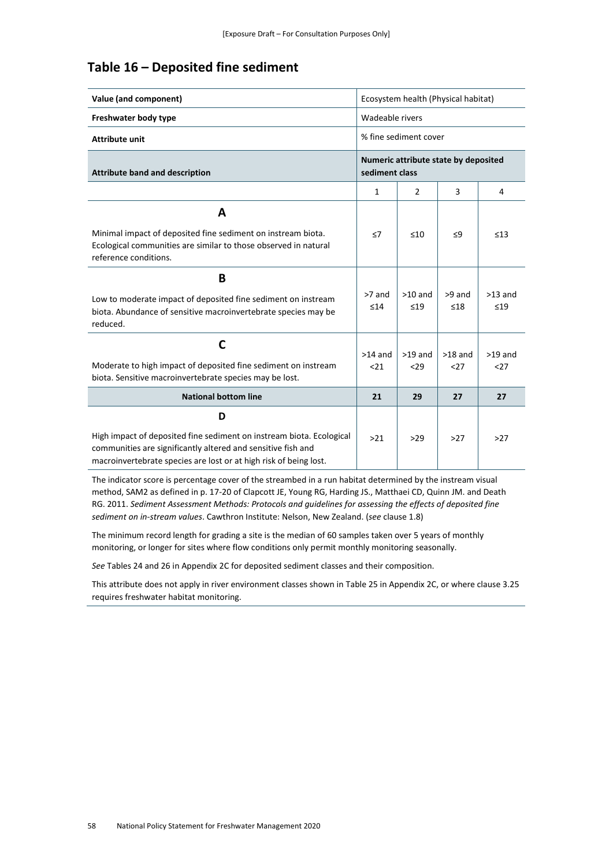### **Table 16 – Deposited fine sediment**

| Value (and component)                                                                                                                                                                                     | Ecosystem health (Physical habitat)                    |                        |                     |                        |
|-----------------------------------------------------------------------------------------------------------------------------------------------------------------------------------------------------------|--------------------------------------------------------|------------------------|---------------------|------------------------|
| Freshwater body type                                                                                                                                                                                      | Wadeable rivers                                        |                        |                     |                        |
| <b>Attribute unit</b>                                                                                                                                                                                     | % fine sediment cover                                  |                        |                     |                        |
| <b>Attribute band and description</b>                                                                                                                                                                     | Numeric attribute state by deposited<br>sediment class |                        |                     |                        |
|                                                                                                                                                                                                           | $\mathbf{1}$                                           | $\overline{2}$         | 3                   | 4                      |
| A                                                                                                                                                                                                         |                                                        |                        |                     |                        |
| Minimal impact of deposited fine sediment on instream biota.<br>Ecological communities are similar to those observed in natural<br>reference conditions.                                                  | $\leq 7$                                               | ≤10                    | $\leq$ 9            | $\leq 13$              |
| B                                                                                                                                                                                                         |                                                        |                        |                     |                        |
| Low to moderate impact of deposited fine sediment on instream<br>biota. Abundance of sensitive macroinvertebrate species may be<br>reduced.                                                               | >7 and<br>$\leq 14$                                    | $>10$ and<br>$\leq 19$ | >9 and<br>$\leq 18$ | $>13$ and<br>$\leq 19$ |
| $\mathsf{C}$                                                                                                                                                                                              |                                                        |                        |                     |                        |
| Moderate to high impact of deposited fine sediment on instream<br>biota. Sensitive macroinvertebrate species may be lost.                                                                                 | $>14$ and<br>$21$                                      | $>19$ and<br>$29$      | $>18$ and<br>$27$   | $>19$ and<br>$27$      |
| <b>National bottom line</b>                                                                                                                                                                               | 21                                                     | 29                     | 27                  | 27                     |
| D                                                                                                                                                                                                         |                                                        |                        |                     |                        |
| High impact of deposited fine sediment on instream biota. Ecological<br>communities are significantly altered and sensitive fish and<br>macroinvertebrate species are lost or at high risk of being lost. | $>21$                                                  | $>29$                  | $>27$               | >27                    |

The indicator score is percentage cover of the streambed in a run habitat determined by the instream visual method, SAM2 as defined in p. 17-20 of Clapcott JE, Young RG, Harding JS., Matthaei CD, Quinn JM. and Death RG. 2011. *Sediment Assessment Methods: Protocols and guidelines for assessing the effects of deposited fine sediment on in-stream values*. Cawthron Institute: Nelson, New Zealand. (*see* clause 1.8)

The minimum record length for grading a site is the median of 60 samples taken over 5 years of monthly monitoring, or longer for sites where flow conditions only permit monthly monitoring seasonally.

*See* Tables 24 and 26 in Appendix 2C for deposited sediment classes and their composition.

This attribute does not apply in river environment classes shown in Table 25 in Appendix 2C, or where clause 3.25 requires freshwater habitat monitoring.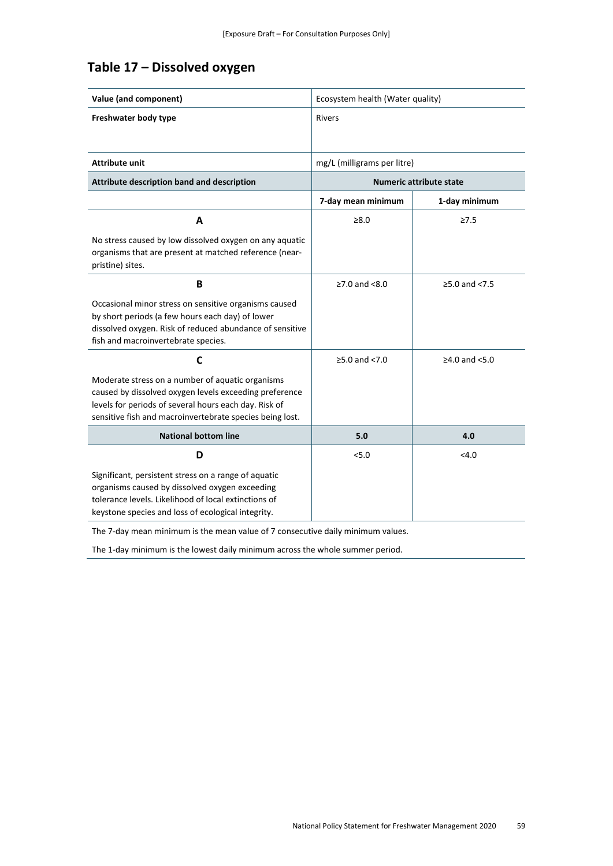## **Table 17 – Dissolved oxygen**

| Value (and component)                                                                                                                                                                                                           | Ecosystem health (Water quality) |                  |
|---------------------------------------------------------------------------------------------------------------------------------------------------------------------------------------------------------------------------------|----------------------------------|------------------|
| Freshwater body type                                                                                                                                                                                                            | <b>Rivers</b>                    |                  |
|                                                                                                                                                                                                                                 |                                  |                  |
| <b>Attribute unit</b>                                                                                                                                                                                                           | mg/L (milligrams per litre)      |                  |
| Attribute description band and description                                                                                                                                                                                      | <b>Numeric attribute state</b>   |                  |
|                                                                                                                                                                                                                                 | 7-day mean minimum               | 1-day minimum    |
| A                                                                                                                                                                                                                               | $\ge 8.0$                        | $\geq 7.5$       |
| No stress caused by low dissolved oxygen on any aquatic<br>organisms that are present at matched reference (near-<br>pristine) sites.                                                                                           |                                  |                  |
| B                                                                                                                                                                                                                               | $\geq 7.0$ and $< 8.0$           | $≥5.0$ and <7.5  |
| Occasional minor stress on sensitive organisms caused<br>by short periods (a few hours each day) of lower<br>dissolved oxygen. Risk of reduced abundance of sensitive<br>fish and macroinvertebrate species.                    |                                  |                  |
| C                                                                                                                                                                                                                               | $≥5.0$ and $< 7.0$               | ≥4.0 and $<$ 5.0 |
| Moderate stress on a number of aquatic organisms<br>caused by dissolved oxygen levels exceeding preference<br>levels for periods of several hours each day. Risk of<br>sensitive fish and macroinvertebrate species being lost. |                                  |                  |
| <b>National bottom line</b>                                                                                                                                                                                                     | 5.0                              | 4.0              |
| D                                                                                                                                                                                                                               | < 5.0                            | $<$ 4.0          |
| Significant, persistent stress on a range of aquatic<br>organisms caused by dissolved oxygen exceeding<br>tolerance levels. Likelihood of local extinctions of<br>keystone species and loss of ecological integrity.            |                                  |                  |

The 7-day mean minimum is the mean value of 7 consecutive daily minimum values.

The 1-day minimum is the lowest daily minimum across the whole summer period.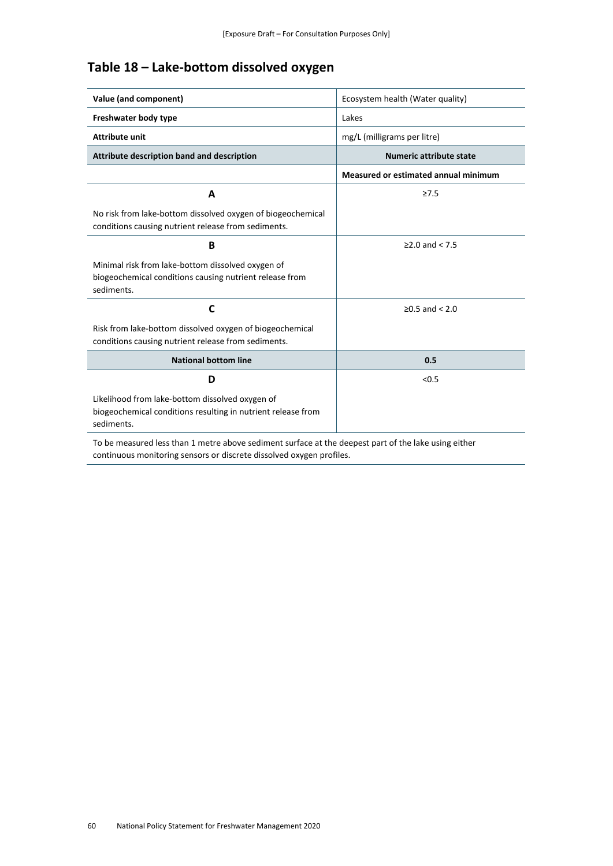## **Table 18 – Lake-bottom dissolved oxygen**

| Value (and component)                                                                                                         | Ecosystem health (Water quality)     |
|-------------------------------------------------------------------------------------------------------------------------------|--------------------------------------|
| Freshwater body type                                                                                                          | Lakes                                |
| <b>Attribute unit</b>                                                                                                         | mg/L (milligrams per litre)          |
| Attribute description band and description                                                                                    | <b>Numeric attribute state</b>       |
|                                                                                                                               | Measured or estimated annual minimum |
| A                                                                                                                             | $\geq 7.5$                           |
| No risk from lake-bottom dissolved oxygen of biogeochemical<br>conditions causing nutrient release from sediments.            |                                      |
| B                                                                                                                             | $≥2.0$ and < 7.5                     |
| Minimal risk from lake-bottom dissolved oxygen of<br>biogeochemical conditions causing nutrient release from<br>sediments.    |                                      |
| C                                                                                                                             | $≥0.5$ and < 2.0                     |
| Risk from lake-bottom dissolved oxygen of biogeochemical<br>conditions causing nutrient release from sediments.               |                                      |
| <b>National bottom line</b>                                                                                                   | 0.5                                  |
| D                                                                                                                             | < 0.5                                |
| Likelihood from lake-bottom dissolved oxygen of<br>biogeochemical conditions resulting in nutrient release from<br>sediments. |                                      |
|                                                                                                                               |                                      |

To be measured less than 1 metre above sediment surface at the deepest part of the lake using either continuous monitoring sensors or discrete dissolved oxygen profiles.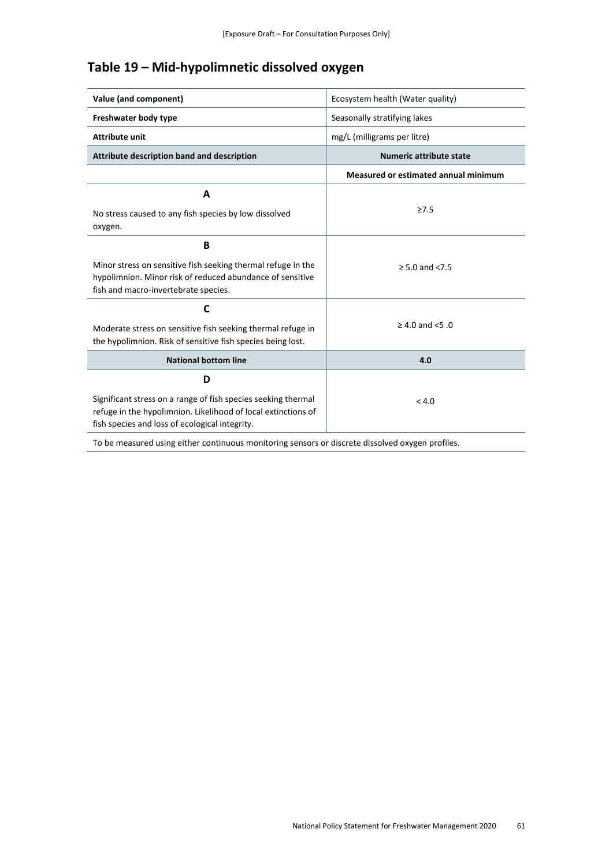## **Table 19 – Mid-hypolimnetic dissolved oxygen**

| Value (and component)                                                                                                                                                            | Ecosystem health (Water quality)     |
|----------------------------------------------------------------------------------------------------------------------------------------------------------------------------------|--------------------------------------|
| Freshwater body type                                                                                                                                                             | Seasonally stratifying lakes         |
| <b>Attribute unit</b>                                                                                                                                                            | mg/L (milligrams per litre)          |
| Attribute description band and description                                                                                                                                       | <b>Numeric attribute state</b>       |
|                                                                                                                                                                                  | Measured or estimated annual minimum |
| A                                                                                                                                                                                |                                      |
| No stress caused to any fish species by low dissolved<br>oxygen.                                                                                                                 | $\geq 7.5$                           |
| B                                                                                                                                                                                |                                      |
| Minor stress on sensitive fish seeking thermal refuge in the<br>hypolimnion. Minor risk of reduced abundance of sensitive<br>fish and macro-invertebrate species.                | $\ge$ 5.0 and <7.5                   |
| C<br>Moderate stress on sensitive fish seeking thermal refuge in<br>the hypolimnion. Risk of sensitive fish species being lost.                                                  | $\geq 4.0$ and <5.0                  |
| <b>National bottom line</b>                                                                                                                                                      | 4.0                                  |
| D                                                                                                                                                                                |                                      |
| Significant stress on a range of fish species seeking thermal<br>refuge in the hypolimnion. Likelihood of local extinctions of<br>fish species and loss of ecological integrity. | < 4.0                                |

To be measured using either continuous monitoring sensors or discrete dissolved oxygen profiles.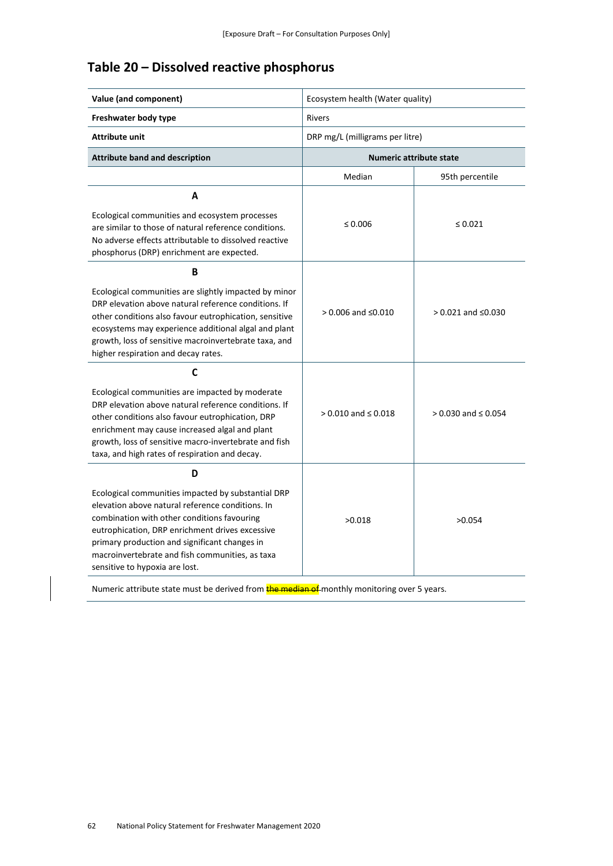## **Table 20 – Dissolved reactive phosphorus**

| Value (and component)                                                                                                                                                                                                                                                                                                                               | Ecosystem health (Water quality) |                            |
|-----------------------------------------------------------------------------------------------------------------------------------------------------------------------------------------------------------------------------------------------------------------------------------------------------------------------------------------------------|----------------------------------|----------------------------|
| Freshwater body type                                                                                                                                                                                                                                                                                                                                | <b>Rivers</b>                    |                            |
| <b>Attribute unit</b>                                                                                                                                                                                                                                                                                                                               | DRP mg/L (milligrams per litre)  |                            |
| <b>Attribute band and description</b>                                                                                                                                                                                                                                                                                                               | Numeric attribute state          |                            |
|                                                                                                                                                                                                                                                                                                                                                     | Median                           | 95th percentile            |
| A<br>Ecological communities and ecosystem processes<br>are similar to those of natural reference conditions.<br>No adverse effects attributable to dissolved reactive<br>phosphorus (DRP) enrichment are expected.                                                                                                                                  | ≤ 0.006                          | $\leq 0.021$               |
| В<br>Ecological communities are slightly impacted by minor<br>DRP elevation above natural reference conditions. If<br>other conditions also favour eutrophication, sensitive<br>ecosystems may experience additional algal and plant<br>growth, loss of sensitive macroinvertebrate taxa, and<br>higher respiration and decay rates.                | $> 0.006$ and $\leq 0.010$       | $> 0.021$ and $\leq 0.030$ |
| C<br>Ecological communities are impacted by moderate<br>DRP elevation above natural reference conditions. If<br>other conditions also favour eutrophication, DRP<br>enrichment may cause increased algal and plant<br>growth, loss of sensitive macro-invertebrate and fish<br>taxa, and high rates of respiration and decay.                       | $> 0.010$ and $\leq 0.018$       | $> 0.030$ and $\leq 0.054$ |
| D<br>Ecological communities impacted by substantial DRP<br>elevation above natural reference conditions. In<br>combination with other conditions favouring<br>eutrophication, DRP enrichment drives excessive<br>primary production and significant changes in<br>macroinvertebrate and fish communities, as taxa<br>sensitive to hypoxia are lost. | >0.018                           | >0.054                     |

Numeric attribute state must be derived from **the median of** monthly monitoring over 5 years.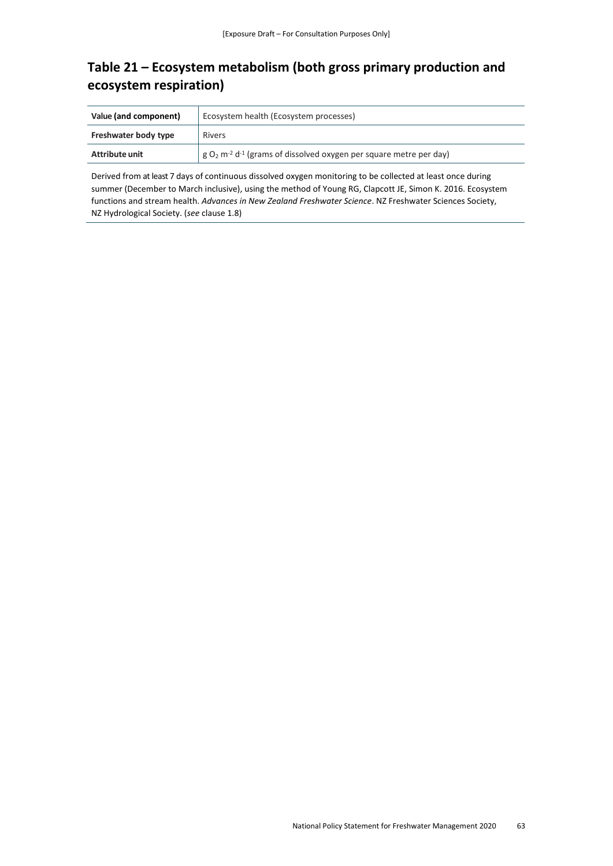## **Table 21 – Ecosystem metabolism (both gross primary production and ecosystem respiration)**

| Value (and component) | Ecosystem health (Ecosystem processes)                                                      |
|-----------------------|---------------------------------------------------------------------------------------------|
| Freshwater body type  | <b>Rivers</b>                                                                               |
| Attribute unit        | $g O2$ m <sup>-2</sup> d <sup>-1</sup> (grams of dissolved oxygen per square metre per day) |

Derived from at least 7 days of continuous dissolved oxygen monitoring to be collected at least once during summer (December to March inclusive), using the method of Young RG, Clapcott JE, Simon K. 2016. Ecosystem functions and stream health. *Advances in New Zealand Freshwater Science*. NZ Freshwater Sciences Society, NZ Hydrological Society. (*see* clause 1.8)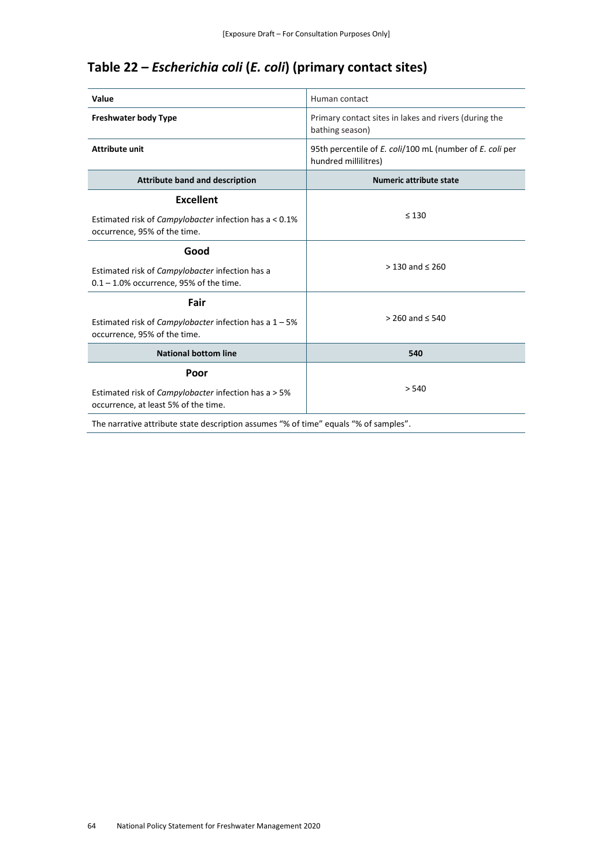## **Table 22 –** *Escherichia coli* **(***E. coli***) (primary contact sites)**

| Value                                                                                                      | Human contact                                                                    |
|------------------------------------------------------------------------------------------------------------|----------------------------------------------------------------------------------|
| <b>Freshwater body Type</b>                                                                                | Primary contact sites in lakes and rivers (during the<br>bathing season)         |
| <b>Attribute unit</b>                                                                                      | 95th percentile of E. coli/100 mL (number of E. coli per<br>hundred millilitres) |
| <b>Attribute band and description</b>                                                                      | Numeric attribute state                                                          |
| <b>Excellent</b><br>Estimated risk of Campylobacter infection has a < 0.1%<br>occurrence, 95% of the time. | $\leq 130$                                                                       |
| Good<br>Estimated risk of Campylobacter infection has a<br>$0.1 - 1.0\%$ occurrence, 95% of the time.      | $> 130$ and $\leq 260$                                                           |
| Fair<br>Estimated risk of Campylobacter infection has a $1 - 5\%$<br>occurrence, 95% of the time.          | $> 260$ and $\leq 540$                                                           |
| <b>National bottom line</b>                                                                                | 540                                                                              |
| Poor<br>Estimated risk of Campylobacter infection has a > 5%<br>occurrence, at least 5% of the time.       | > 540                                                                            |
| The narrative attribute state description assumes "% of time" equals "% of samples".                       |                                                                                  |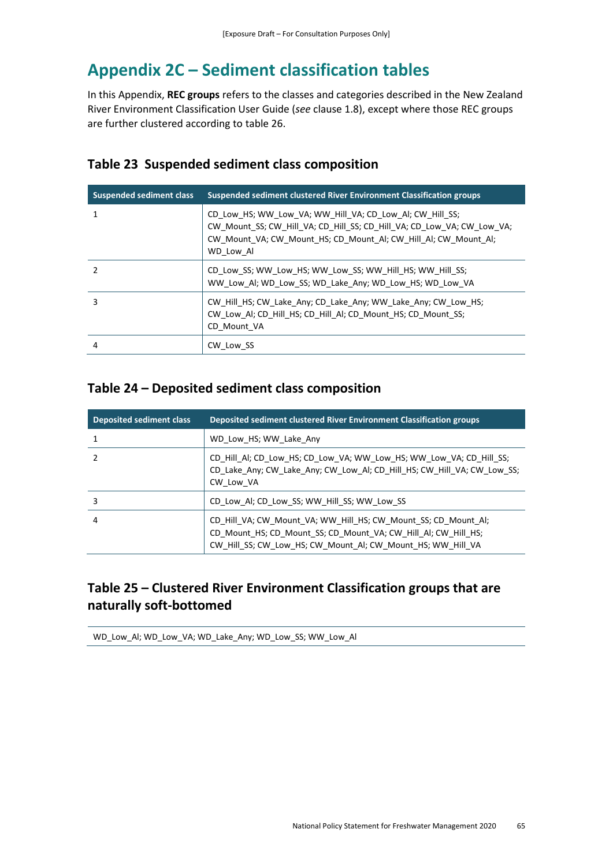## **Appendix 2C – Sediment classification tables**

In this Appendix, **REC groups** refers to the classes and categories described in the New Zealand River Environment Classification User Guide (*see* clause 1.8), except where those REC groups are further clustered according to table 26.

### **Table 23 Suspended sediment class composition**

| <b>Suspended sediment class</b> | Suspended sediment clustered River Environment Classification groups                                                                                                                                               |
|---------------------------------|--------------------------------------------------------------------------------------------------------------------------------------------------------------------------------------------------------------------|
|                                 | CD Low HS; WW_Low_VA; WW_Hill_VA; CD_Low_Al; CW_Hill_SS;<br>CW Mount SS; CW Hill VA; CD Hill SS; CD Hill VA; CD Low VA; CW Low VA;<br>CW Mount VA; CW_Mount_HS; CD_Mount_Al; CW_Hill_Al; CW_Mount_Al;<br>WD Low Al |
|                                 | CD Low SS; WW Low HS; WW Low SS; WW Hill HS; WW Hill SS;<br>WW Low AI; WD Low SS; WD Lake Any; WD Low HS; WD Low VA                                                                                                |
|                                 | CW Hill HS; CW Lake Any; CD Lake Any; WW Lake Any; CW Low HS;<br>CW Low AI; CD Hill HS; CD Hill AI; CD Mount HS; CD Mount SS;<br>CD Mount VA                                                                       |
| 4                               | CW Low SS                                                                                                                                                                                                          |

## **Table 24 – Deposited sediment class composition**

| <b>Deposited sediment class</b> | Deposited sediment clustered River Environment Classification groups                                                                                                                            |
|---------------------------------|-------------------------------------------------------------------------------------------------------------------------------------------------------------------------------------------------|
|                                 | WD Low HS; WW Lake Any                                                                                                                                                                          |
|                                 | CD Hill AI; CD Low HS; CD Low VA; WW Low HS; WW Low VA; CD Hill SS;<br>CD_Lake_Any; CW_Lake_Any; CW_Low_Al; CD_Hill_HS; CW_Hill_VA; CW_Low SS;<br>CW Low VA                                     |
|                                 | CD Low Al; CD_Low_SS; WW_Hill_SS; WW_Low_SS                                                                                                                                                     |
| 4                               | CD Hill VA; CW Mount VA; WW Hill HS; CW Mount SS; CD Mount AI;<br>CD Mount HS; CD Mount SS; CD Mount VA; CW Hill AI; CW Hill HS;<br>CW_Hill_SS; CW_Low_HS; CW_Mount_Al; CW_Mount_HS; WW_Hill_VA |

## **Table 25 – Clustered River Environment Classification groups that are naturally soft-bottomed**

WD\_Low\_Al; WD\_Low\_VA; WD\_Lake\_Any; WD\_Low\_SS; WW\_Low\_Al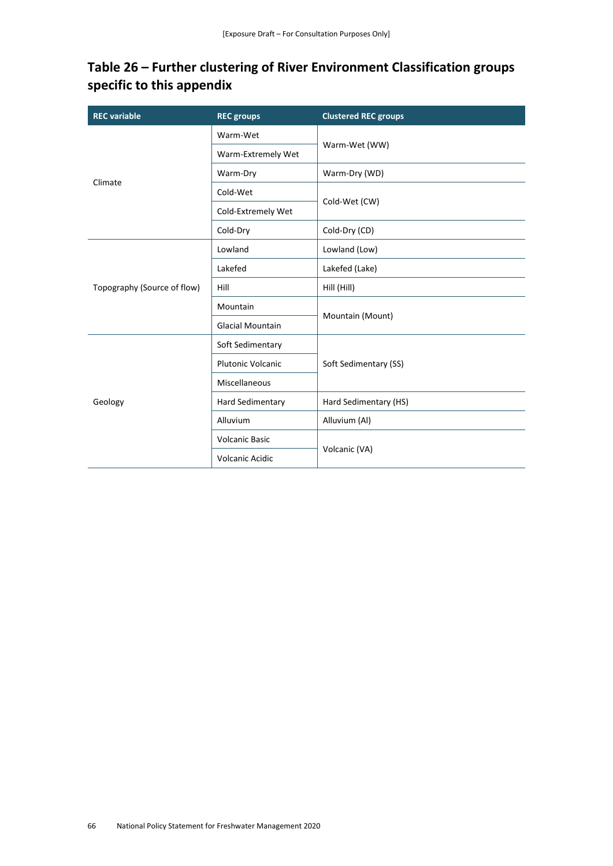## **Table 26 – Further clustering of River Environment Classification groups specific to this appendix**

| <b>REC</b> variable         | <b>REC groups</b>        | <b>Clustered REC groups</b> |
|-----------------------------|--------------------------|-----------------------------|
| Climate                     | Warm-Wet                 | Warm-Wet (WW)               |
|                             | Warm-Extremely Wet       |                             |
|                             | Warm-Dry                 | Warm-Dry (WD)               |
|                             | Cold-Wet                 | Cold-Wet (CW)               |
|                             | Cold-Extremely Wet       |                             |
|                             | Cold-Dry                 | Cold-Dry (CD)               |
| Topography (Source of flow) | Lowland                  | Lowland (Low)               |
|                             | Lakefed                  | Lakefed (Lake)              |
|                             | Hill                     | Hill (Hill)                 |
|                             | Mountain                 | Mountain (Mount)            |
|                             | <b>Glacial Mountain</b>  |                             |
| Geology                     | Soft Sedimentary         | Soft Sedimentary (SS)       |
|                             | <b>Plutonic Volcanic</b> |                             |
|                             | Miscellaneous            |                             |
|                             | <b>Hard Sedimentary</b>  | Hard Sedimentary (HS)       |
|                             | Alluvium                 | Alluvium (Al)               |
|                             | <b>Volcanic Basic</b>    | Volcanic (VA)               |
|                             | <b>Volcanic Acidic</b>   |                             |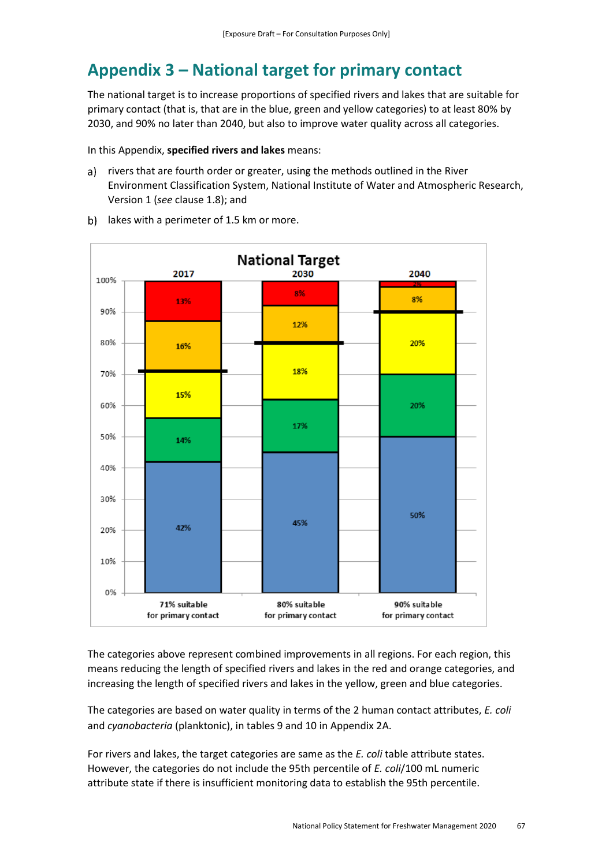## **Appendix 3 – National target for primary contact**

The national target is to increase proportions of specified rivers and lakes that are suitable for primary contact (that is, that are in the blue, green and yellow categories) to at least 80% by 2030, and 90% no later than 2040, but also to improve water quality across all categories.

In this Appendix, **specified rivers and lakes** means:

a) rivers that are fourth order or greater, using the methods outlined in the River Environment Classification System, National Institute of Water and Atmospheric Research, Version 1 (*see* clause 1.8); and



b) lakes with a perimeter of 1.5 km or more.

The categories above represent combined improvements in all regions. For each region, this means reducing the length of specified rivers and lakes in the red and orange categories, and increasing the length of specified rivers and lakes in the yellow, green and blue categories.

The categories are based on water quality in terms of the 2 human contact attributes, *E. coli* and *cyanobacteria* (planktonic), in tables 9 and 10 in Appendix 2A.

For rivers and lakes, the target categories are same as the *E. coli* table attribute states. However, the categories do not include the 95th percentile of *E. coli*/100 mL numeric attribute state if there is insufficient monitoring data to establish the 95th percentile.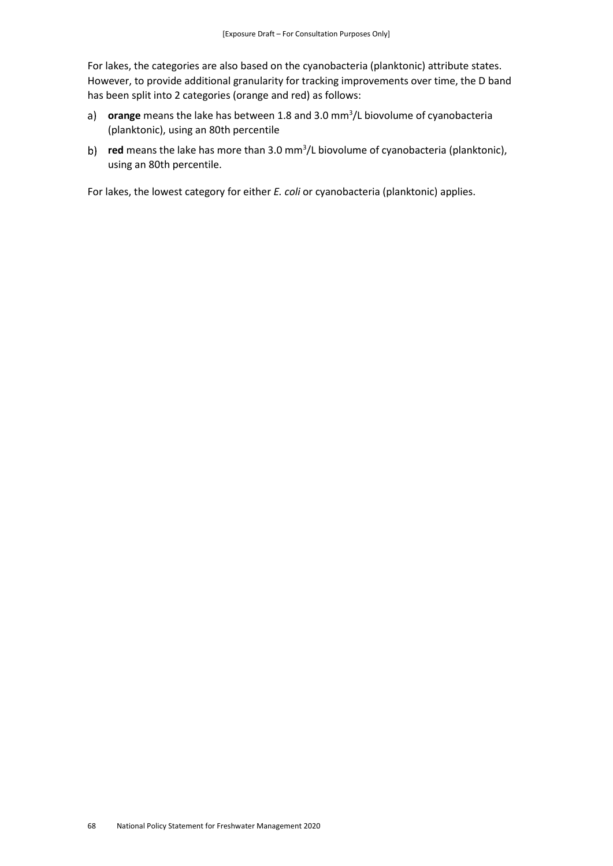For lakes, the categories are also based on the cyanobacteria (planktonic) attribute states. However, to provide additional granularity for tracking improvements over time, the D band has been split into 2 categories (orange and red) as follows:

- **orange** means the lake has between 1.8 and 3.0 mm<sup>3</sup> /L biovolume of cyanobacteria (planktonic), using an 80th percentile
- **red** means the lake has more than 3.0 mm<sup>3</sup> /L biovolume of cyanobacteria (planktonic), using an 80th percentile.

For lakes, the lowest category for either *E. coli* or cyanobacteria (planktonic) applies.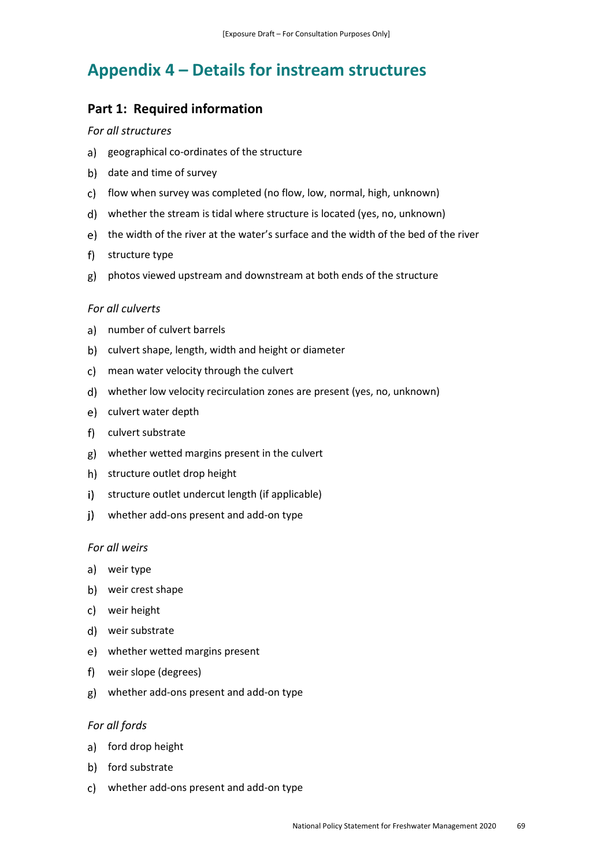## **Appendix 4 – Details for instream structures**

### **Part 1: Required information**

#### *For all structures*

- a) geographical co-ordinates of the structure
- b) date and time of survey
- c) flow when survey was completed (no flow, low, normal, high, unknown)
- whether the stream is tidal where structure is located (yes, no, unknown)
- the width of the river at the water's surface and the width of the bed of the river
- f) structure type
- photos viewed upstream and downstream at both ends of the structure

#### *For all culverts*

- a) number of culvert barrels
- b) culvert shape, length, width and height or diameter
- mean water velocity through the culvert
- whether low velocity recirculation zones are present (yes, no, unknown)
- e) culvert water depth
- f) culvert substrate
- whether wetted margins present in the culvert
- h) structure outlet drop height
- structure outlet undercut length (if applicable) i)
- whether add-ons present and add-on type j)

#### *For all weirs*

- weir type
- weir crest shape
- weir height
- weir substrate
- whether wetted margins present
- $f$ ) weir slope (degrees)
- whether add-ons present and add-on type

#### *For all fords*

- a) ford drop height
- b) ford substrate
- whether add-ons present and add-on type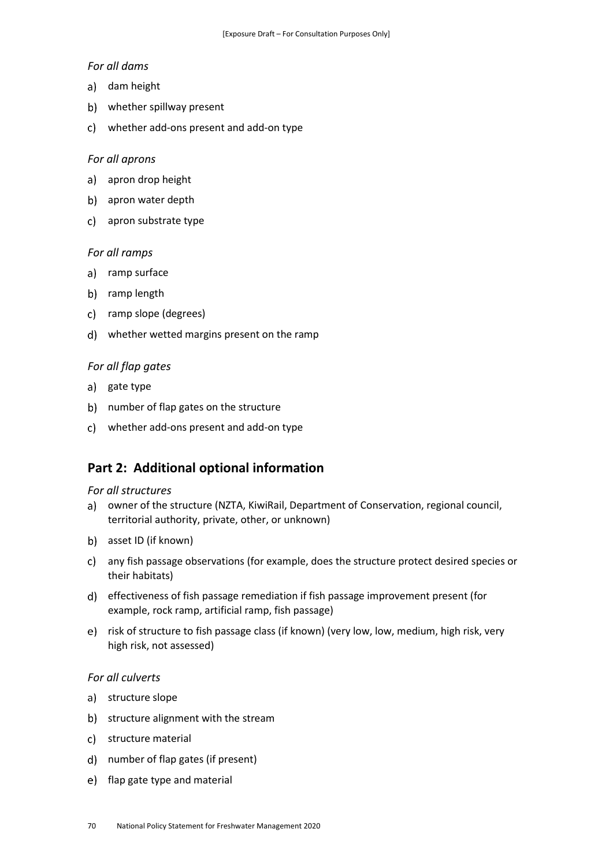#### *For all dams*

- a) dam height
- whether spillway present
- whether add-ons present and add-on type

#### *For all aprons*

- a) apron drop height
- b) apron water depth
- c) apron substrate type

#### *For all ramps*

- a) ramp surface
- b) ramp length
- c) ramp slope (degrees)
- whether wetted margins present on the ramp

#### *For all flap gates*

- a) gate type
- b) number of flap gates on the structure
- whether add-ons present and add-on type

### **Part 2: Additional optional information**

#### *For all structures*

- a) owner of the structure (NZTA, KiwiRail, Department of Conservation, regional council, territorial authority, private, other, or unknown)
- b) asset ID (if known)
- any fish passage observations (for example, does the structure protect desired species or their habitats)
- effectiveness of fish passage remediation if fish passage improvement present (for example, rock ramp, artificial ramp, fish passage)
- risk of structure to fish passage class (if known) (very low, low, medium, high risk, very high risk, not assessed)

#### *For all culverts*

- a) structure slope
- b) structure alignment with the stream
- c) structure material
- number of flap gates (if present)
- e) flap gate type and material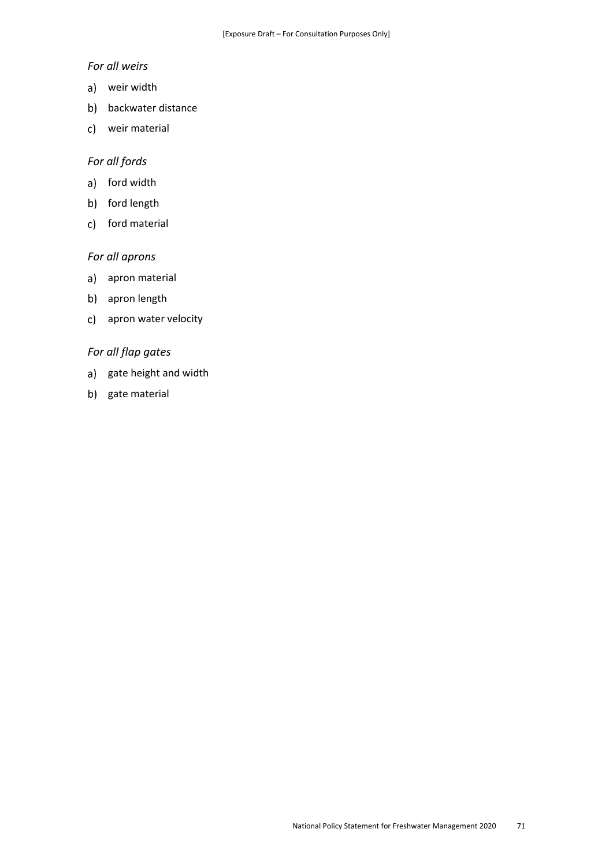#### *For all weirs*

- weir width
- b) backwater distance
- weir material

### *For all fords*

- a) ford width
- b) ford length
- c) ford material

#### *For all aprons*

- a) apron material
- b) apron length
- c) apron water velocity

#### *For all flap gates*

- a) gate height and width
- b) gate material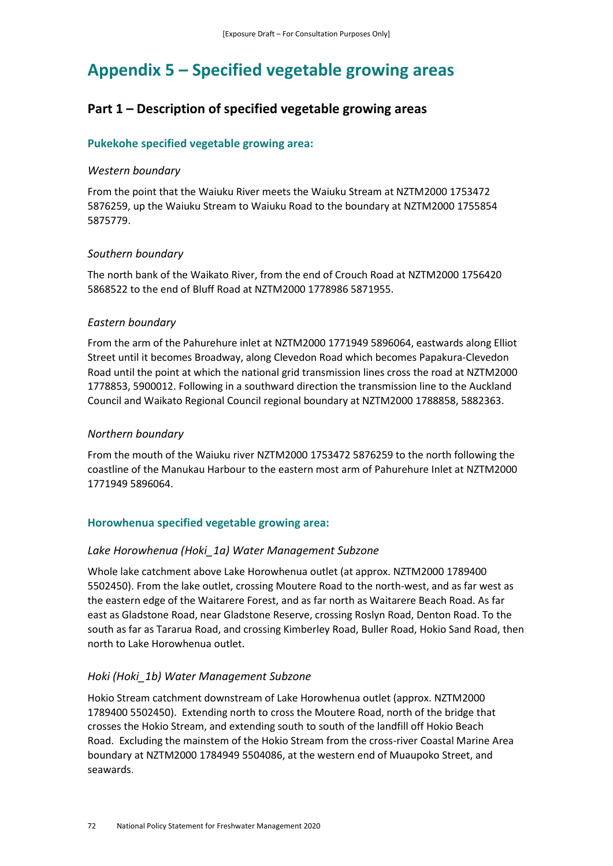# **Appendix 5 – Specified vegetable growing areas**

# **Part 1 – Description of specified vegetable growing areas**

## **Pukekohe specified vegetable growing area:**

### *Western boundary*

From the point that the Waiuku River meets the Waiuku Stream at NZTM2000 1753472 5876259, up the Waiuku Stream to Waiuku Road to the boundary at NZTM2000 1755854 5875779.

## *Southern boundary*

The north bank of the Waikato River, from the end of Crouch Road at NZTM2000 1756420 5868522 to the end of Bluff Road at NZTM2000 1778986 5871955.

## *Eastern boundary*

From the arm of the Pahurehure inlet at NZTM2000 1771949 5896064, eastwards along Elliot Street until it becomes Broadway, along Clevedon Road which becomes Papakura-Clevedon Road until the point at which the national grid transmission lines cross the road at NZTM2000 1778853, 5900012. Following in a southward direction the transmission line to the Auckland Council and Waikato Regional Council regional boundary at NZTM2000 1788858, 5882363.

### *Northern boundary*

From the mouth of the Waiuku river NZTM2000 1753472 5876259 to the north following the coastline of the Manukau Harbour to the eastern most arm of Pahurehure Inlet at NZTM2000 1771949 5896064.

# **Horowhenua specified vegetable growing area:**

#### *Lake Horowhenua (Hoki\_1a) Water Management Subzone*

Whole lake catchment above Lake Horowhenua outlet (at approx. NZTM2000 1789400 5502450). From the lake outlet, crossing Moutere Road to the north-west, and as far west as the eastern edge of the Waitarere Forest, and as far north as Waitarere Beach Road. As far east as Gladstone Road, near Gladstone Reserve, crossing Roslyn Road, Denton Road. To the south as far as Tararua Road, and crossing Kimberley Road, Buller Road, Hokio Sand Road, then north to Lake Horowhenua outlet.

# *Hoki (Hoki\_1b) Water Management Subzone*

Hokio Stream catchment downstream of Lake Horowhenua outlet (approx. NZTM2000 1789400 5502450). Extending north to cross the Moutere Road, north of the bridge that crosses the Hokio Stream, and extending south to south of the landfill off Hokio Beach Road. Excluding the mainstem of the Hokio Stream from the cross-river Coastal Marine Area boundary at NZTM2000 1784949 5504086, at the western end of Muaupoko Street, and seawards.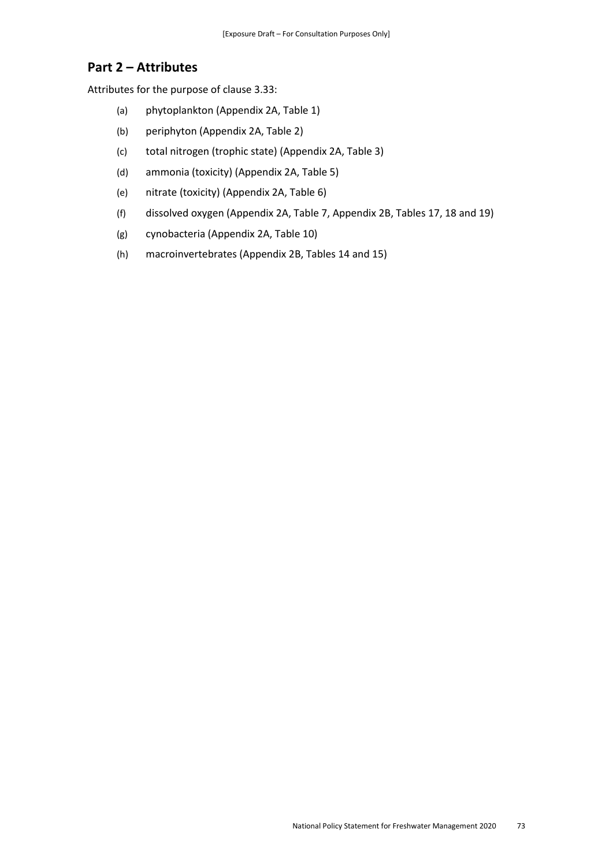# **Part 2 – Attributes**

Attributes for the purpose of clause 3.33:

- (a) phytoplankton (Appendix 2A, Table 1)
- (b) periphyton (Appendix 2A, Table 2)
- (c) total nitrogen (trophic state) (Appendix 2A, Table 3)
- (d) ammonia (toxicity) (Appendix 2A, Table 5)
- (e) nitrate (toxicity) (Appendix 2A, Table 6)
- (f) dissolved oxygen (Appendix 2A, Table 7, Appendix 2B, Tables 17, 18 and 19)
- (g) cynobacteria (Appendix 2A, Table 10)
- (h) macroinvertebrates (Appendix 2B, Tables 14 and 15)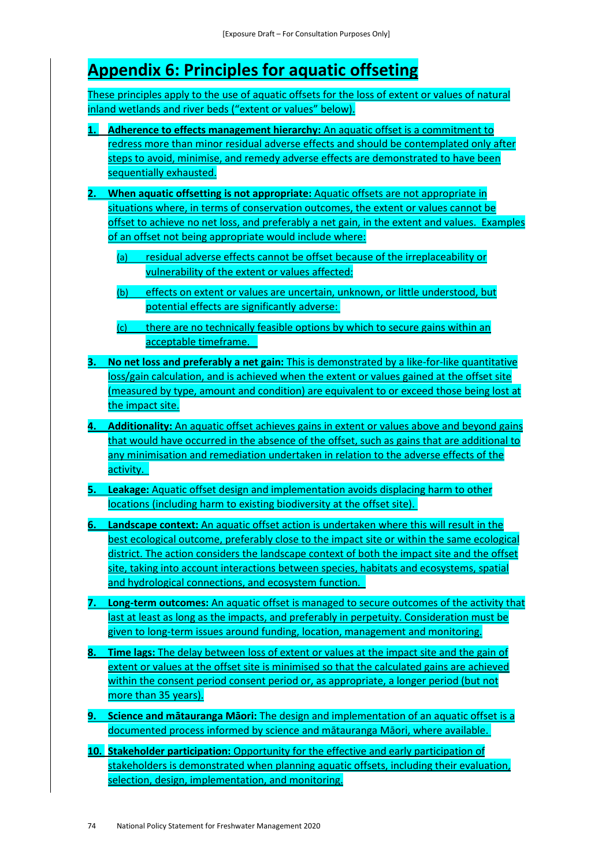# **Appendix 6: Principles for aquatic offseting**

These principles apply to the use of aquatic offsets for the loss of extent or values of natural inland wetlands and river beds ("extent or values" below).

- **1. Adherence to effects management hierarchy:** An aquatic offset is a commitment to redress more than minor residual adverse effects and should be contemplated only after steps to avoid, minimise, and remedy adverse effects are demonstrated to have been sequentially exhausted.
- **2. When aquatic offsetting is not appropriate:** Aquatic offsets are not appropriate in situations where, in terms of conservation outcomes, the extent or values cannot be offset to achieve no net loss, and preferably a net gain, in the extent and values. Examples of an offset not being appropriate would include where:
	- (a) residual adverse effects cannot be offset because of the irreplaceability or vulnerability of the extent or values affected:
	- (b) effects on extent or values are uncertain, unknown, or little understood, but potential effects are significantly adverse:
	- (c) there are no technically feasible options by which to secure gains within an acceptable timeframe.
- **3. No net loss and preferably a net gain:** This is demonstrated by a like-for-like quantitative loss/gain calculation, and is achieved when the extent or values gained at the offset site (measured by type, amount and condition) are equivalent to or exceed those being lost at the impact site.
- **4. Additionality:** An aquatic offset achieves gains in extent or values above and beyond gains that would have occurred in the absence of the offset, such as gains that are additional to any minimisation and remediation undertaken in relation to the adverse effects of the activity.
- **5. Leakage:** Aquatic offset design and implementation avoids displacing harm to other locations (including harm to existing biodiversity at the offset site).
- **6. Landscape context:** An aquatic offset action is undertaken where this will result in the best ecological outcome, preferably close to the impact site or within the same ecological district. The action considers the landscape context of both the impact site and the offset site, taking into account interactions between species, habitats and ecosystems, spatial and hydrological connections, and ecosystem function.
- **7. Long-term outcomes:** An aquatic offset is managed to secure outcomes of the activity that last at least as long as the impacts, and preferably in perpetuity. Consideration must be given to long-term issues around funding, location, management and monitoring.
- **8. Time lags:** The delay between loss of extent or values at the impact site and the gain of extent or values at the offset site is minimised so that the calculated gains are achieved within the consent period consent period or, as appropriate, a longer period (but not more than 35 years).
- **9. Science and mātauranga Māori:** The design and implementation of an aquatic offset is a documented process informed by science and mātauranga Māori, where available.
- **10. Stakeholder participation:** Opportunity for the effective and early participation of stakeholders is demonstrated when planning aquatic offsets, including their evaluation, selection, design, implementation, and monitoring.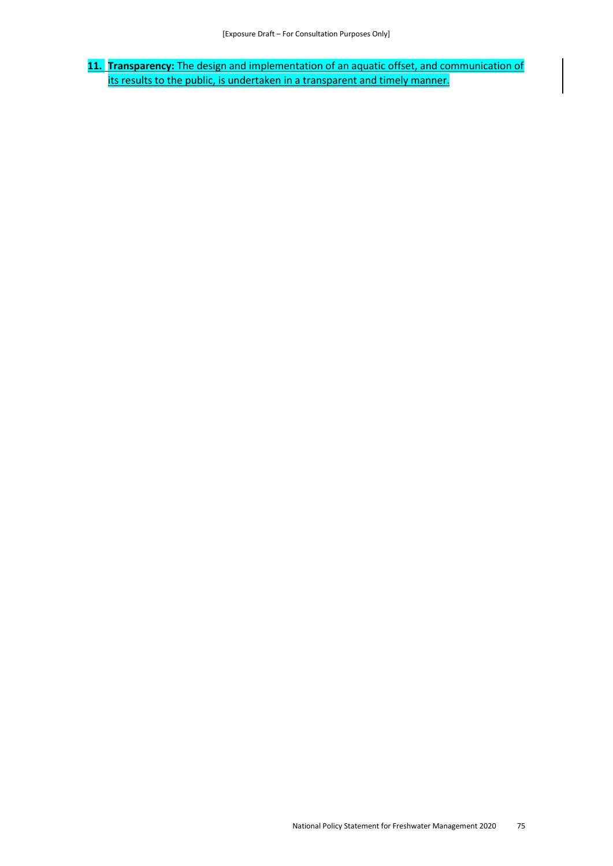**11. Transparency:** The design and implementation of an aquatic offset, and communication of its results to the public, is undertaken in a transparent and timely manner.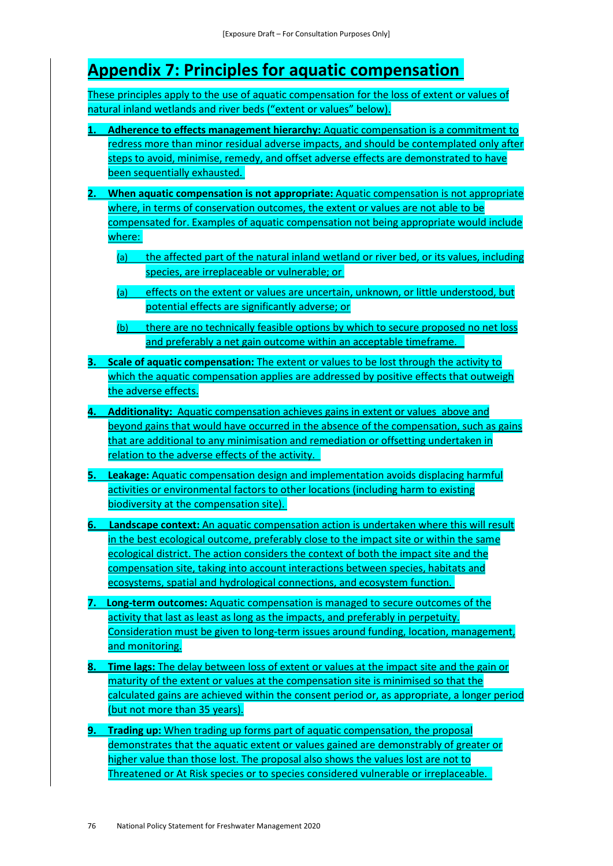# **Appendix 7: Principles for aquatic compensation**

These principles apply to the use of aquatic compensation for the loss of extent or values of natural inland wetlands and river beds ("extent or values" below).

- **1. Adherence to effects management hierarchy:** Aquatic compensation is a commitment to redress more than minor residual adverse impacts, and should be contemplated only after steps to avoid, minimise, remedy, and offset adverse effects are demonstrated to have been sequentially exhausted.
- **2. When aquatic compensation is not appropriate:** Aquatic compensation is not appropriate where, in terms of conservation outcomes, the extent or values are not able to be compensated for. Examples of aquatic compensation not being appropriate would include where:
	- (a) the affected part of the natural inland wetland or river bed, or its values, including species, are irreplaceable or vulnerable; or
	- (a) effects on the extent or values are uncertain, unknown, or little understood, but potential effects are significantly adverse; or
	- (b) there are no technically feasible options by which to secure proposed no net loss and preferably a net gain outcome within an acceptable timeframe.
- **3. Scale of aquatic compensation:** The extent or values to be lost through the activity to which the aquatic compensation applies are addressed by positive effects that outweigh the adverse effects.
- **4. Additionality:** Aquatic compensation achieves gains in extent or values above and beyond gains that would have occurred in the absence of the compensation, such as gains that are additional to any minimisation and remediation or offsetting undertaken in relation to the adverse effects of the activity.
- **5. Leakage:** Aquatic compensation design and implementation avoids displacing harmful activities or environmental factors to other locations (including harm to existing biodiversity at the compensation site).
- **6. Landscape context:** An aquatic compensation action is undertaken where this will result in the best ecological outcome, preferably close to the impact site or within the same ecological district. The action considers the context of both the impact site and the compensation site, taking into account interactions between species, habitats and ecosystems, spatial and hydrological connections, and ecosystem function.
- **7. Long-term outcomes:** Aquatic compensation is managed to secure outcomes of the activity that last as least as long as the impacts, and preferably in perpetuity. Consideration must be given to long-term issues around funding, location, management, and monitoring.
- **8. Time lags:** The delay between loss of extent or values at the impact site and the gain or maturity of the extent or values at the compensation site is minimised so that the calculated gains are achieved within the consent period or, as appropriate, a longer period (but not more than 35 years).
- **9. Trading up:** When trading up forms part of aquatic compensation, the proposal demonstrates that the aquatic extent or values gained are demonstrably of greater or higher value than those lost. The proposal also shows the values lost are not to Threatened or At Risk species or to species considered vulnerable or irreplaceable.